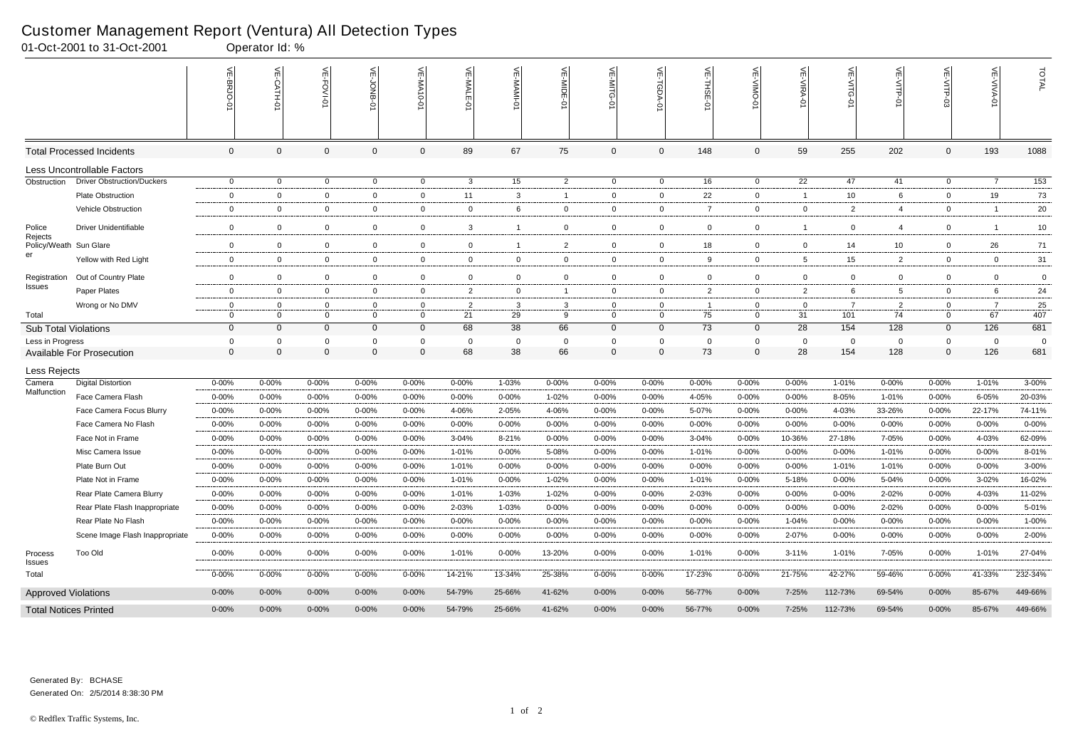|                                   | 01-Oct-2001 to 31-Oct-2001        |                | Operator Id: % |                |                |                |                |              |                |                            |                |                |                |                |                 |                |                |                |                  |
|-----------------------------------|-----------------------------------|----------------|----------------|----------------|----------------|----------------|----------------|--------------|----------------|----------------------------|----------------|----------------|----------------|----------------|-----------------|----------------|----------------|----------------|------------------|
|                                   |                                   | VE-BRJO-       | VE-CATH-0      | VE-FOVI-01     | VE-JONB-01     | VE-MA10-01     | VE-MALE-0      | VE-MAMI-01   | $\leq$         | VE-MITG-<br>$\overline{5}$ | 늦<br>ğ         | VE-THSE-01     | 닞<br>-VIIVO-   | VE-VIRA-01     | VE-VITG-0       | VE-VITP-01     | VE-VITP-03     | VE-VIVA-01     | TOTAL            |
|                                   | <b>Total Processed Incidents</b>  | $\overline{0}$ | $\overline{0}$ | $\mathbf 0$    | $\Omega$       | $\mathbf{0}$   | 89             | 67           | 75             | $\mathbf 0$                | $\mathbf 0$    | 148            | $\mathbf 0$    | 59             | 255             | 202            | $\mathbf 0$    | 193            | 1088             |
|                                   | Less Uncontrollable Factors       |                |                |                |                |                |                |              |                |                            |                |                |                |                |                 |                |                |                |                  |
| Obstruction                       | <b>Driver Obstruction/Duckers</b> | $\overline{0}$ | $\overline{0}$ | $\overline{0}$ | $\mathbf 0$    | $\overline{0}$ | $\mathbf{3}$   | 15           | $\overline{2}$ | $\overline{0}$             | $\overline{0}$ | 16             | $\overline{0}$ | 22             | 47              | 41             | $\overline{0}$ | $\overline{7}$ | $\overline{153}$ |
|                                   | <b>Plate Obstruction</b>          | $\mathbf{0}$   | $\overline{0}$ | $\overline{0}$ | $\mathbf 0$    | $\mathbf 0$    | 11             | 3            | -1             | $\mathbf{0}$               | $\overline{0}$ | 22             | $\mathbf{0}$   |                | 10 <sup>°</sup> | 6              | $\overline{0}$ | 19             | 73               |
|                                   | Vehicle Obstruction               | $\mathbf{0}$   | $\overline{0}$ | $\overline{0}$ | $\mathbf 0$    | $\mathbf{0}$   | $\overline{0}$ | 6            | $\mathbf{0}$   | $\mathbf{0}$               | $\overline{0}$ | 7              | $\mathbf{0}$   | $\mathbf 0$    | $\overline{2}$  | 4              | $\overline{0}$ | - 1            | 20               |
| Police                            | <b>Driver Unidentifiable</b>      | $\mathbf 0$    | $\overline{0}$ | $\overline{0}$ | $\mathbf 0$    | $\overline{0}$ | $\mathbf{3}$   | $\mathbf{1}$ | $\mathbf 0$    | $\overline{0}$             | $\mathbf 0$    | $\mathbf{0}$   | $\mathbf 0$    |                | $\overline{0}$  | 4              | $\mathbf 0$    | -1             | 10               |
| Rejects<br>Policy/Weath Sun Glare |                                   | $\mathbf{0}$   | $\mathbf 0$    | $\overline{0}$ | $\mathbf 0$    | $\overline{0}$ | $\mathbf 0$    | $\mathbf{1}$ | $\overline{2}$ | $\overline{0}$             | $\overline{0}$ | 18             | $\overline{0}$ | $\mathbf{0}$   | 14              | 10             | $\overline{0}$ | 26             | 71               |
| er                                | Yellow with Red Light             | $\mathsf{O}$   | $\overline{0}$ | $\overline{0}$ | $\mathbf 0$    | $\mathbf{0}$   | $\mathbf 0$    | $\mathbf 0$  | $\mathbf 0$    | $\overline{0}$             | $\mathbf 0$    | 9              | $\mathbf 0$    | 5              | 15              | 2              | $\mathbf{0}$   | $\overline{0}$ | 31               |
| Registration                      | Out of Country Plate              | $\mathbf 0$    | $\overline{0}$ | $\overline{0}$ | $\mathbf 0$    | $\mathbf 0$    | $\mathbf 0$    | $\mathbf 0$  | $\mathbf{0}$   | $\mathbf{0}$               | $\mathbf 0$    | $\mathbf{0}$   | $\mathbf 0$    | $\overline{0}$ | $\mathbf{0}$    | $\mathbf 0$    | $\mathbf 0$    | $\mathbf{0}$   | $\mathbf 0$      |
| Issues                            | Paper Plates                      | $\mathbf{0}$   | $\mathbf 0$    | $\overline{0}$ | $\mathbf 0$    | $\overline{0}$ | $\overline{2}$ | $\mathbf{0}$ | -1             | $\overline{0}$             | $\mathbf 0$    | $\overline{2}$ | $\mathbf 0$    | $\overline{2}$ | 6               | 5              | $\overline{0}$ | 6              | 24               |
|                                   | Wrong or No DMV                   | $\mathbf{0}$   | $\overline{0}$ | $\mathbf{0}$   | $\overline{0}$ | $\mathbf 0$    | $\overline{2}$ | 3            | 3              | $\mathbf{0}$               | $\mathbf{0}$   |                | $\mathbf 0$    | $\mathbf 0$    | -7              | $\overline{2}$ | $\mathbf{0}$   | - 7            | 25               |
| Total                             |                                   | $\mathbf{0}$   | $\overline{0}$ | $\mathbf 0$    | $\overline{0}$ | $\Omega$       | 21             | 29           | 9              | $\overline{0}$             | $\overline{0}$ | 75             | $\mathbf{0}$   | 31             | 101             | 74             | $\mathbf{0}$   | 67             | 407              |
| <b>Sub Total Violations</b>       |                                   | $\mathbf 0$    | $\overline{0}$ | $\overline{0}$ | $\Omega$       | $\mathbf{0}$   | 68             | 38           | 66             | $\mathbf 0$                | $\overline{0}$ | 73             | $\mathbf 0$    | 28             | 154             | 128            | $\mathbf 0$    | 126            | 681              |
| Less in Progress                  |                                   | 0              | $\overline{0}$ | $\mathbf 0$    | - 0            | $\Omega$       | $\mathbf 0$    | 0            | $\mathbf 0$    | 0                          | $\mathbf 0$    | 0              | $\mathbf 0$    | $\mathbf{0}$   | 0               | $\mathbf 0$    | $\mathbf{0}$   | $\overline{0}$ | 0                |
|                                   | <b>Available For Prosecution</b>  | $\overline{0}$ | $\overline{0}$ | $\mathbf 0$    | $\Omega$       | $\overline{0}$ | 68             | 38           | 66             | $\mathbf 0$                | $\mathbf 0$    | 73             | $\mathbf{0}$   | 28             | 154             | 128            | $\mathbf{0}$   | 126            | 681              |
| Less Rejects                      |                                   |                |                |                |                |                |                |              |                |                            |                |                |                |                |                 |                |                |                |                  |
| Camera<br>Malfunction             | <b>Digital Distortion</b>         | $0 - 00%$      | 0-00%          | $0 - 00%$      | $0 - 00%$      | $0 - 00\%$     | $0 - 00%$      | 1-03%        | 0-00%          | $0 - 00%$                  | $0 - 00%$      | $0 - 00%$      | 0-00%          | $0 - 00%$      | 1-01%           | $0 - 00%$      | 0-00%          | 1-01%          | $3 - 00%$        |
|                                   | Face Camera Flash                 | $0 - 00%$      | 0-00%          | 0-00%          | $0 - 00%$      | $0 - 00\%$     | $0 - 00%$      | $0 - 00%$    | 1-02%          | $0 - 00%$                  | $0 - 00%$      | 4-05%          | $0 - 00%$      | $0 - 00%$      | 8-05%           | 1-01%          | $0 - 00%$      | 6-05%          | 20-03%           |
|                                   | Face Camera Focus Blurry          | $0 - 00%$      | 0-00%          | $0 - 00%$      | $0 - 00%$      | $0 - 00\%$     | 4-06%          | 2-05%        | 4-06%          | $0 - 00%$                  | $0 - 00%$      | 5-07%          | $0 - 00%$      | $0 - 00%$      | 4-03%           | 33-26%         | $0 - 00%$      | 22-17%         | 74-11%           |
|                                   | Face Camera No Flash              | $0 - 00%$      | $0 - 00%$      | 0-00%          | $0 - 00%$      | $0 - 00\%$     | $0 - 00\%$     | $0 - 00%$    | 0-00%          | $0 - 00%$                  | $0 - 00%$      | $0 - 00%$      | $0 - 00%$      | $0 - 00%$      | $0 - 00%$       | 0-00%          | $0 - 00%$      | $0 - 00%$      | $0 - 00%$        |
|                                   | Face Not in Frame                 | $0 - 00%$      | $0 - 00%$      | $0 - 00%$      | $0 - 00%$      | $0 - 00\%$     | $3 - 04%$      | $8 - 21%$    | 0-00%          | $0 - 00%$                  | $0 - 00%$      | $3 - 04%$      | $0 - 00%$      | 10-36%         | 27-18%          | 7-05%          | $0 - 00%$      | 4-03%          | 62-09%           |
|                                   | Misc Camera Issue                 | $0 - 00%$      | $0 - 00%$      | $0 - 00%$      | $0 - 00%$      | $0 - 00\%$     | 1-01%          | $0 - 00%$    | 5-08%          | $0 - 00%$                  | 0-00%          | 1-01%          | 0-00%          | $0 - 00\%$     | $0 - 00%$       | 1-01%          | $0 - 00%$      | $0 - 00%$      | 8-01%            |
|                                   | Plate Burn Out                    | $0 - 00%$      | $0 - 00%$      | 0-00%          | $0 - 00%$      | $0 - 00\%$     | 1-01%          | 0-00%        | 0-00%          | 0-00%                      | $0 - 00%$      | 0-00%          | $0 - 00%$      | $0 - 00%$      | 1-01%           | 1-01%          | 0-00%          | $0 - 00%$      | $3 - 00\%$       |
|                                   | Plate Not in Frame                | $0 - 00%$      | 0-00%          | 0-00%          | $0 - 00%$      | $0 - 00\%$     | 1-01%          | $0 - 00%$    | 1-02%          | $0 - 00%$                  | $0 - 00%$      | 1-01%          | $0 - 00%$      | 5-18%          | $0 - 00%$       | 5-04%          | 0-00%          | 3-02%          | 16-02%           |
|                                   | Rear Plate Camera Blurry          | $0 - 00%$      | $0 - 00%$      | 0-00%          | $0 - 00%$      | $0 - 00\%$     | 1-01%          | 1-03%        | 1-02%          | $0 - 00%$                  | $0 - 00%$      | 2-03%          | $0 - 00%$      | 0-00%          | $0 - 00%$       | 2-02%          | $0 - 00%$      | 4-03%          | 11-02%           |
|                                   | Rear Plate Flash Inappropriate    | $0 - 00%$      | $0 - 00%$      | $0 - 00%$      | $0 - 00%$      | $0 - 00\%$     | 2-03%          | 1-03%        | $0 - 00%$      | $0 - 00%$                  | $0 - 00%$      | $0 - 00\%$     | $0 - 00%$      | $0 - 00%$      | $0 - 00%$       | 2-02%          | $0 - 00%$      | $0 - 00%$      | 5-01%            |
|                                   | Rear Plate No Flash               | $0 - 00%$      | $0 - 00%$      | 0-00%          | $0 - 00%$      | $0 - 00\%$     | $0 - 00\%$     | 0-00%        | $0 - 00%$      | $0 - 00%$                  | $0 - 00%$      | 0-00%          | $0 - 00%$      | 1-04%          | $0 - 00%$       | $0 - 00%$      | $0 - 00%$      | $0 - 00%$      | 1-00%            |
|                                   | Scene Image Flash Inappropriate   | 0-00%          | $0 - 00\%$     | 0-00%          | $0 - 00%$      | $0 - 00\%$     | $0 - 00\%$     | 0-00%        | 0-00%          | $0 - 00%$                  | $0 - 00\%$     | 0-00%          | $0 - 00%$      | 2-07%          | 0-00%           | 0-00%          | $0 - 00%$      | $0 - 00%$      | 2-00%            |
| Process<br>Issues                 | <b>Too Old</b>                    | $0 - 00%$      | $0 - 00\%$     | $0 - 00\%$     | $0 - 00%$      | $0 - 00%$      | 1-01%          | 0-00%        | 13-20%         | $0 - 00\%$                 | $0 - 00%$      | 1-01%          | $0 - 00%$      | $3 - 11%$      | 1-01%           | 7-05%          | $0 - 00%$      | 1-01%          | 27-04%           |
| Total                             |                                   | $0 - 00\%$     | $0 - 00\%$     | $0 - 00\%$     | $0 - 00%$      | $0 - 00\%$     | 14-21%         | 13-34%       | 25-38%         | $0 - 00\%$                 | $0 - 00\%$     | 17-23%         | $0 - 00%$      | 21-75%         | 42-27%          | 59-46%         | 0-00%          | 41-33%         | 232-34%          |
| <b>Approved Violations</b>        |                                   | $0 - 00%$      | $0 - 00\%$     | $0 - 00\%$     | $0 - 00%$      | $0 - 00\%$     | 54-79%         | 25-66%       | 41-62%         | $0 - 00%$                  | $0 - 00\%$     | 56-77%         | $0 - 00\%$     | 7-25%          | 112-73%         | 69-54%         | $0 - 00%$      | 85-67%         | 449-66%          |
|                                   | <b>Total Notices Printed</b>      | $0 - 00\%$     | $0 - 00\%$     | $0 - 00\%$     | $0 - 00%$      | $0 - 00\%$     | 54-79%         | 25-66%       | 41-62%         | $0 - 00\%$                 | $0 - 00\%$     | 56-77%         | $0 - 00\%$     | 7-25%          | 112-73%         | 69-54%         | $0 - 00\%$     | 85-67%         | 449-66%          |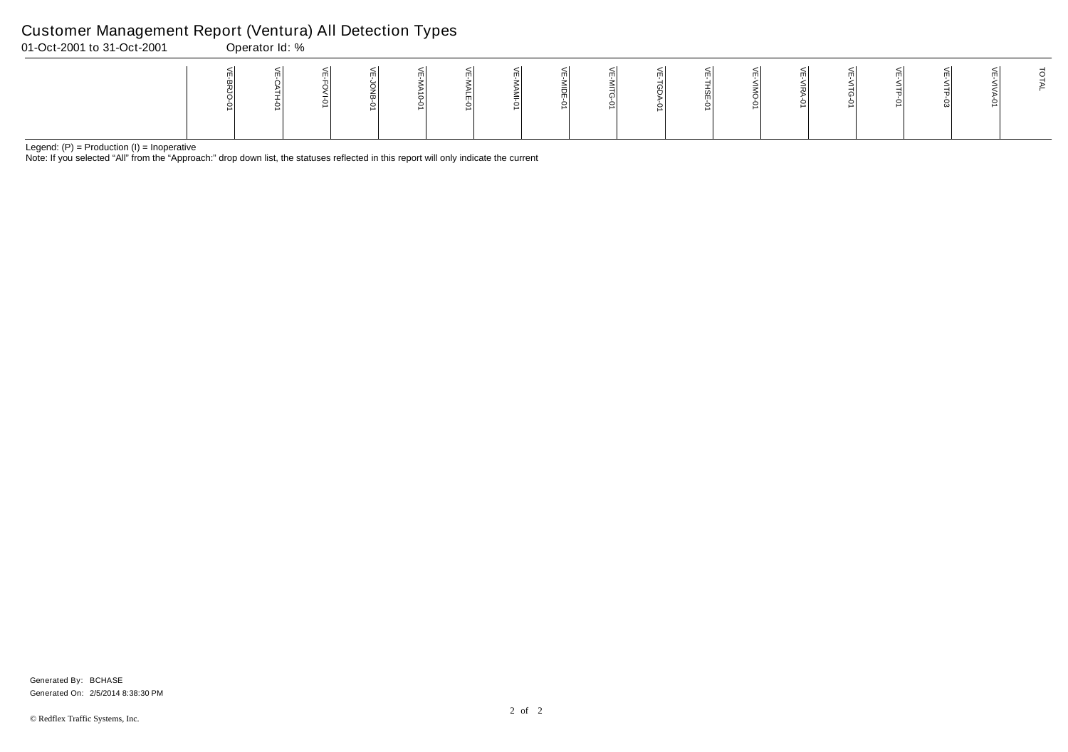Note: If you selected "All" from the "Approach:" drop down list, the statuses reflected in this report will only indicate the current

## Customer Management Report (Ventura) All Detection Types

| 01-Oct-2001 to 31-Oct-2001 | Operator Id: % |  |  |  |  |  |  |                          |  |  |
|----------------------------|----------------|--|--|--|--|--|--|--------------------------|--|--|
|                            |                |  |  |  |  |  |  | $\leq$<br>$\blacksquare$ |  |  |

Generated On: 2/5/2014 8:38:30 PM Generated By: BCHASE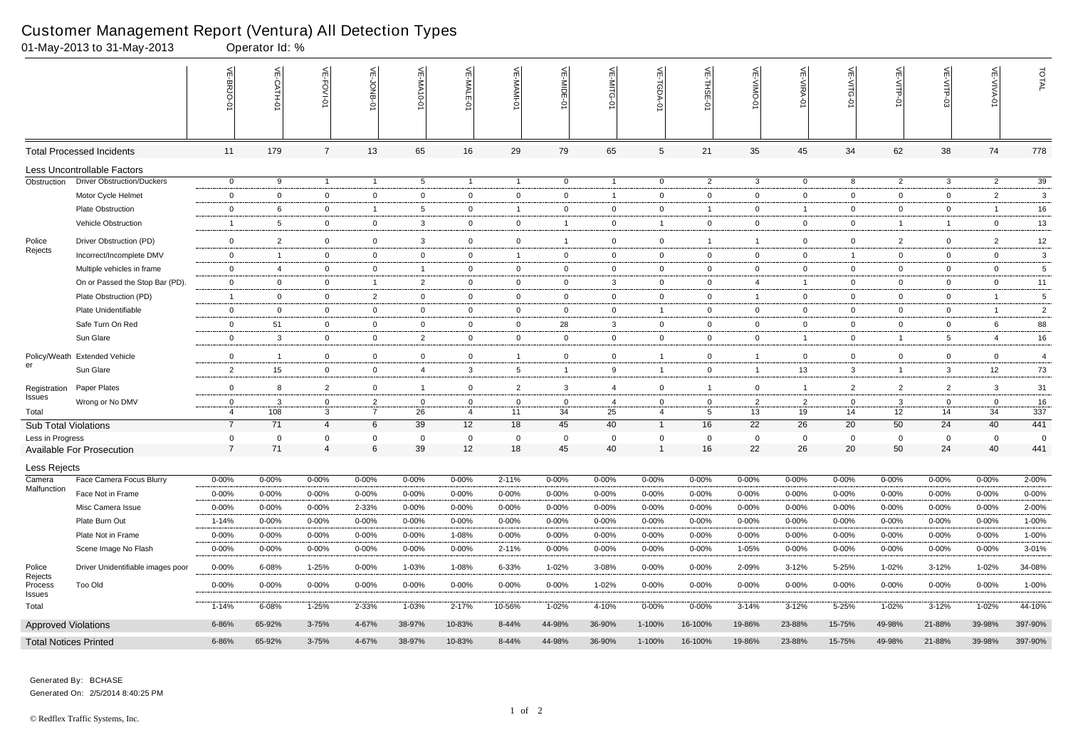|                              | 01-May-2013 to 31-May-2013        |                | Operator Id: %  |                |                |                          |                |                 |                |                |                |                |                |                |                |                 |                 |                   |                 |
|------------------------------|-----------------------------------|----------------|-----------------|----------------|----------------|--------------------------|----------------|-----------------|----------------|----------------|----------------|----------------|----------------|----------------|----------------|-----------------|-----------------|-------------------|-----------------|
|                              |                                   | VE-BRJO-0      | VE-CATH-0       | VE-FOVI-01     | 븻<br>JONB      | 븻<br>$-0.01$ $\times$ M- | VE-MALE-       | VE-MAMI-0       | VE-MIDE-       | VE-MITG-01     | VE-TGDA-0      | VE-THSE-01     | VE-VIMO-0      | VE-VIRA-01     | VE-VITG-01     | VE-VITP-01      | VE-VITP-03      | <b>VE-VIVA-01</b> | TOTAL           |
|                              | <b>Total Processed Incidents</b>  | 11             | 179             | $\overline{7}$ | 13             | 65                       | 16             | 29              | 79             | 65             | $\sqrt{5}$     | 21             | 35             | 45             | 34             | 62              | 38              | 74                | 778             |
|                              | Less Uncontrollable Factors       |                |                 |                |                |                          |                |                 |                |                |                |                |                |                |                |                 |                 |                   |                 |
| Obstruction                  | <b>Driver Obstruction/Duckers</b> | $\overline{0}$ | 9               | $\overline{1}$ | $\overline{1}$ | $5^{\circ}$              | $\overline{1}$ | $\overline{1}$  | $\overline{0}$ | $\overline{1}$ | $\overline{0}$ | $\overline{2}$ | $\mathbf{3}$   | $\overline{0}$ | 8              | $\overline{2}$  | $\mathbf{3}$    | $\overline{2}$    | 39              |
|                              | Motor Cycle Helmet                | $\mathbf 0$    | $\mathbf 0$     | $\mathbf 0$    | $\mathbf 0$    | $\mathbf 0$              | $\mathbf{0}$   | $\mathbf 0$     | $\mathbf 0$    | $\overline{1}$ | $\overline{0}$ | $\overline{0}$ | $\overline{0}$ | $\mathbf 0$    | $\mathbf{0}$   | $\mathbf 0$     | $\mathbf 0$     | $\overline{2}$    | $\mathbf{3}$    |
|                              | Plate Obstruction                 | $\mathbf 0$    | 6               | $\mathbf 0$    | - 1            | $5^{\circ}$              | $\mathbf{0}$   |                 | $\overline{0}$ | $\mathbf{0}$   | $\overline{0}$ |                | $\overline{0}$ | $\overline{1}$ | $\mathbf{0}$   | $\overline{0}$  | $\overline{0}$  | $\overline{1}$    | 16              |
|                              | Vehicle Obstruction               | $\overline{1}$ | $5\phantom{.0}$ | $\mathbf 0$    | $\mathbf 0$    | $\mathbf{3}$             | $\mathbf 0$    | $\mathbf 0$     | $\overline{1}$ | $\overline{0}$ | $\overline{1}$ | $\mathbf 0$    | $\mathbf 0$    | $\mathbf 0$    | $\mathbf{0}$   | $\overline{1}$  | $\overline{1}$  | $\mathbf 0$       | 13              |
| Police                       | Driver Obstruction (PD)           | $\mathbf 0$    | $\overline{2}$  | $\overline{0}$ | $\mathbf 0$    | $\mathbf{3}$             | $\overline{0}$ | $\overline{0}$  | $\overline{1}$ | $\overline{0}$ | $\overline{0}$ |                | $\overline{1}$ | $\mathbf 0$    | $\overline{0}$ | $\overline{2}$  | $\mathbf 0$     | $\overline{2}$    | 12              |
| Rejects                      | Incorrect/Incomplete DMV          | $\overline{0}$ | $\overline{1}$  | $\overline{0}$ | $\mathbf 0$    | $\overline{0}$           | $\overline{0}$ | $\overline{1}$  | $\overline{0}$ | $\overline{0}$ | $\overline{0}$ | $\overline{0}$ | $\mathbf 0$    | $\overline{0}$ | $\overline{1}$ | $\overline{0}$  | $\overline{0}$  | $\overline{0}$    | $\mathbf{3}$    |
|                              | Multiple vehicles in frame        | $\overline{0}$ | 4               | $\mathbf{0}$   | $\mathbf 0$    | $\mathbf{1}$             | $\mathbf 0$    | $\overline{0}$  | $\overline{0}$ | $\overline{0}$ | $\overline{0}$ | $\overline{0}$ | $\overline{0}$ | $\mathbf{0}$   | $\mathbf{0}$   | $\mathbf{0}$    | $\overline{0}$  | $\overline{0}$    | 5               |
|                              | On or Passed the Stop Bar (PD).   | $\overline{0}$ | $\mathbf 0$     | $\overline{0}$ | $\overline{1}$ | $\overline{2}$           | $\overline{0}$ | $\mathbf{0}$    | $\overline{0}$ | $\mathbf{3}$   | $\mathbf 0$    | $\overline{0}$ | 4              | $\overline{1}$ | $\mathbf{0}$   | $\overline{0}$  | $\overline{0}$  | $\overline{0}$    | 11              |
|                              | Plate Obstruction (PD)            | $\overline{1}$ | $\overline{0}$  | $\overline{0}$ | $\overline{2}$ | $\overline{0}$           | $\mathbf{0}$   | $\overline{0}$  | $\overline{0}$ | $\overline{0}$ | $\mathbf{0}$   | $\overline{0}$ | $\overline{1}$ | $\overline{0}$ | $\mathbf{0}$   | $\mathbf 0$     | $\overline{0}$  | $\overline{1}$    | $\overline{5}$  |
|                              | Plate Unidentifiable              | $\overline{0}$ | $\mathbf 0$     | $\mathbf 0$    | $\mathbf 0$    | $\overline{0}$           | $\mathbf{0}$   | 0               | $\overline{0}$ | $\overline{0}$ | $\overline{1}$ | $\overline{0}$ | $\mathbf 0$    | $\mathbf{0}$   | $\mathbf{0}$   | $\mathbf 0$     | $\overline{0}$  | $\overline{1}$    | $\overline{c}$  |
|                              | Safe Turn On Red                  | $\mathbf 0$    | 51              | $\overline{0}$ | $\mathbf{0}$   | $\overline{0}$           | $\overline{0}$ | $\overline{0}$  | 28             | $\mathbf{3}$   | $\overline{0}$ | $\overline{0}$ | $\mathbf 0$    | $\overline{0}$ | $\overline{0}$ | $\overline{0}$  | $\overline{0}$  | 6                 | 88              |
|                              | Sun Glare                         | $\mathbf 0$    | $\mathbf{3}$    | $\overline{0}$ | $\mathbf 0$    | $\overline{2}$           | $\mathbf 0$    | $\mathbf{0}$    | $\overline{0}$ | $\overline{0}$ | $\mathbf 0$    | $\mathbf{0}$   | $\overline{0}$ | $\mathbf{1}$   | $\mathbf{0}$   | -1              | $5\overline{)}$ | $\overline{4}$    | 16              |
|                              | Policy/Weath Extended Vehicle     | $\mathbf 0$    | $\overline{1}$  | $\mathbf 0$    | $\mathbf 0$    | 0                        | $\overline{0}$ |                 | $\mathbf 0$    | $\mathbf{0}$   | $\overline{1}$ | $\mathbf 0$    | $\overline{1}$ | $\mathbf 0$    | $\mathbf 0$    | $\mathbf 0$     | $\mathbf 0$     | $\mathbf 0$       | $\overline{4}$  |
| er                           | Sun Glare                         | $\overline{2}$ | 15              | $\overline{0}$ | $\mathbf 0$    | 4                        | $\mathbf{3}$   | $5\phantom{.0}$ | $\overline{1}$ | 9              | $\overline{1}$ | $\overline{0}$ | $\overline{1}$ | 13             | $\mathbf{3}$   | -1              | $\mathbf{3}$    | 12                | 73              |
| Registration                 | Paper Plates                      | $\mathbf 0$    | 8               | $\overline{2}$ | $\mathbf 0$    | $\overline{1}$           | $\mathbf 0$    | $\overline{2}$  | $\mathbf{3}$   | $\overline{4}$ | $\mathbf{0}$   |                | $\mathbf 0$    | $\overline{1}$ | $\overline{2}$ | $\overline{2}$  | $\overline{2}$  | $\mathbf{3}$      | 31              |
| Issues                       | Wrong or No DMV                   | $\mathbf 0$    | $\mathbf{3}$    | $\overline{0}$ | $\overline{2}$ | 0                        | $\overline{0}$ | 0               | $\overline{0}$ | 4              | 0              | $\mathbf 0$    | $\overline{2}$ | $\overline{2}$ | $\mathbf 0$    | $\mathbf{3}$    | $\overline{0}$  | $\mathbf 0$       | 16              |
| Total                        |                                   | $\overline{4}$ | 108             | $\mathbf{3}$   | $\overline{7}$ | 26                       | $\overline{4}$ | 11              | 34             | 25             | $\overline{4}$ | 5              | 13             | 19             | 14             | 12 <sup>°</sup> | 14              | 34                | $\frac{1}{337}$ |
| <b>Sub Total Violations</b>  |                                   | $\overline{7}$ | 71              | $\overline{4}$ | 6              | 39                       | 12             | 18              | 45             | 40             | $\mathbf{1}$   | 16             | 22             | 26             | 20             | 50              | 24              | 40                | 441             |
| Less in Progress             |                                   | $\mathbf 0$    | $\mathbf 0$     | $\mathbf 0$    | $\mathbf 0$    | $\mathbf 0$              | $\mathbf 0$    | $\mathbf 0$     | $\overline{0}$ | $\mathbf 0$    | $\mathbf 0$    | $\overline{0}$ | $\mathbf 0$    | $\mathbf 0$    | 0              | $\overline{0}$  | $\mathbf{0}$    | $\mathbf{0}$      | $\mathbf 0$     |
|                              | Available For Prosecution         | $\overline{7}$ | 71              | $\overline{4}$ | 6              | 39                       | 12             | 18              | 45             | 40             | $\overline{1}$ | 16             | 22             | 26             | 20             | 50              | 24              | 40                | 441             |
| Less Rejects                 | Face Camera Focus Blurry          | $0 - 00\%$     | $0 - 00%$       | $0 - 00%$      | $0 - 00%$      | $0 - 00%$                | $0 - 00%$      | 2-11%           | 0-00%          | $0 - 00%$      | $0 - 00\%$     | $0 - 00%$      | 0-00%          | $0 - 00%$      | $0 - 00%$      | $0 - 00%$       | $0 - 00%$       | $0 - 00%$         | $2 - 00\%$      |
| Camera<br>Malfunction        | Face Not in Frame                 | 0-00%          | 0-00%           | $0 - 00%$      | 0-00%          | 0-00%                    | $0 - 00\%$     | 0-00%           | $0 - 00%$      | $0 - 00%$      | $0 - 00\%$     | 0-00%          | $0 - 00%$      | $0 - 00%$      | 0-00%          | $0 - 00%$       | 0-00%           | $0 - 00%$         | $0 - 00\%$      |
|                              | Misc Camera Issue                 | $0 - 00\%$     | $0 - 00\%$      | $0 - 00%$      | 2-33%          | $0 - 00%$                | $0 - 00\%$     | $0 - 00%$       | $0 - 00%$      | $0 - 00\%$     | $0 - 00\%$     | $0 - 00%$      | $0 - 00%$      | $0 - 00%$      | $0 - 00%$      | $0 - 00%$       | $0 - 00%$       | $0 - 00%$         | 2-00%           |
|                              | Plate Burn Out                    | 1-14%          | 0-00%           | $0 - 00%$      | 0-00%          | $0 - 00%$                | $0 - 00\%$     | $0 - 00%$       | 0-00%          | $0 - 00\%$     | $0 - 00\%$     | $0 - 00%$      | $0 - 00%$      | $0 - 00%$      | $0 - 00%$      | 0-00%           | $0 - 00%$       | $0 - 00%$         | 1-00%           |
|                              | Plate Not in Frame                | $0 - 00\%$     | 0-00%           | $0 - 00%$      | $0 - 00%$      | $0 - 00%$                | 1-08%          | $0 - 00%$       | 0-00%          | $0 - 00\%$     | $0 - 00\%$     | 0-00%          | $0 - 00%$      | 0-00%          | 0-00%          | $0 - 00%$       | $0 - 00%$       | $0 - 00%$         | 1-00%           |
|                              | Scene Image No Flash              | $0 - 00\%$     | $0 - 00\%$      | 0-00%          | 0-00%          | $0 - 00\%$               | 0-00%          | 2-11%           | 0-00%          | 0-00%          | $0 - 00\%$     | 0-00%          | 1-05%          | 0-00%          | $0 - 00\%$     | 0-00%           | $0 - 00%$       | 0-00%             | 3-01%           |
|                              |                                   |                |                 |                |                |                          |                |                 |                |                |                |                |                |                |                |                 |                 |                   |                 |
| Police<br>Rejects            | Driver Unidentifiable images poor | $0 - 00\%$     | 6-08%           | 1-25%          | $0 - 00\%$     | 1-03%                    | 1-08%          | 6-33%           | 1-02%          | 3-08%          | $0 - 00\%$     | $0 - 00\%$     | 2-09%          | $3 - 12%$      | 5-25%          | 1-02%           | $3 - 12%$       | 1-02%             | 34-08%          |
| Process<br>Issues            | <b>Too Old</b>                    | $0 - 00\%$     | $0 - 00\%$      | $0 - 00\%$     | $0 - 00%$      | $0 - 00\%$               | $0 - 00%$      | $0 - 00%$       | $0 - 00\%$     | $1 - 02%$      | $0 - 00\%$     | $0 - 00%$      | $0 - 00\%$     | $0 - 00\%$     | $0 - 00\%$     | $0 - 00%$       | $0 - 00\%$      | $0 - 00\%$        | $1 - 00\%$      |
| Total                        |                                   | 1-14%          | 6-08%           | 1-25%          | 2-33%          | 1-03%                    | $2 - 17%$      | 10-56%          | 1-02%          | 4-10%          | $0 - 00\%$     | $0 - 00%$      | $3 - 14%$      | $3 - 12%$      | 5-25%          | 1-02%           | $3 - 12%$       | 1-02%             | 44-10%          |
| <b>Approved Violations</b>   |                                   | 6-86%          | 65-92%          | $3 - 75%$      | 4-67%          | 38-97%                   | 10-83%         | 8-44%           | 44-98%         | 36-90%         | 1-100%         | 16-100%        | 19-86%         | 23-88%         | 15-75%         | 49-98%          | 21-88%          | 39-98%            | 397-90%         |
| <b>Total Notices Printed</b> |                                   | 6-86%          | 65-92%          | $3 - 75%$      | 4-67%          | 38-97%                   | 10-83%         | 8-44%           | 44-98%         | 36-90%         | 1-100%         | 16-100%        | 19-86%         | 23-88%         | 15-75%         | 49-98%          | 21-88%          | 39-98%            | 397-90%         |

Generated On: 2/5/2014 8:40:25 PM Generated By: BCHASE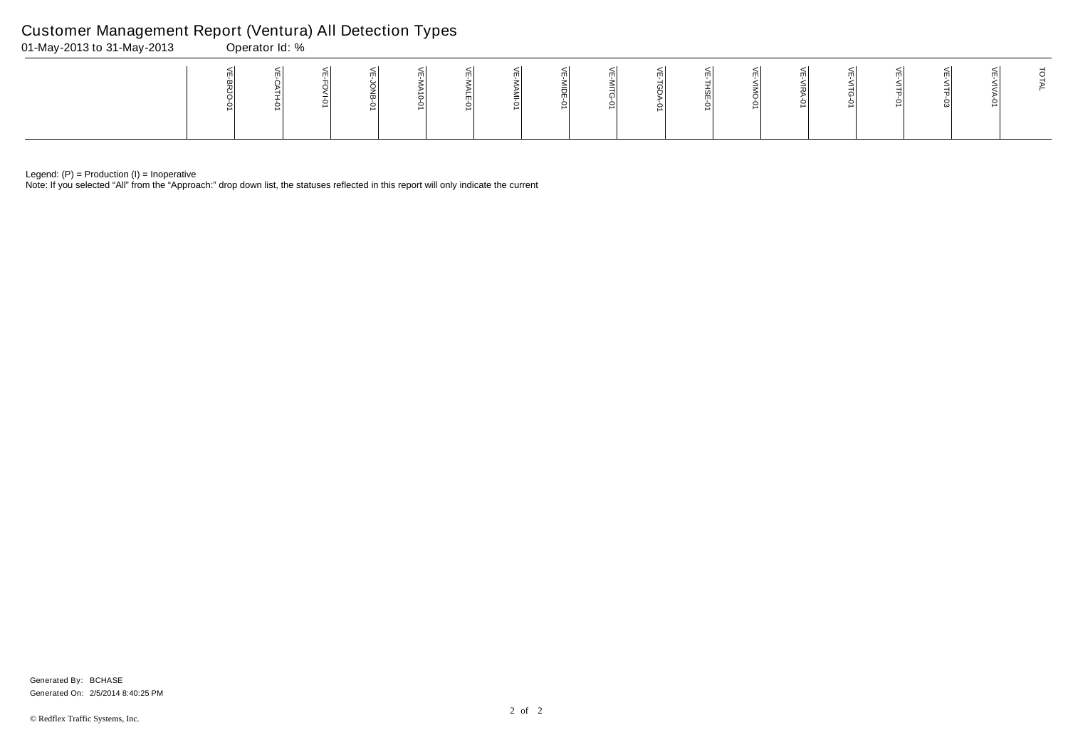Note: If you selected "All" from the "Approach:" drop down list, the statuses reflected in this report will only indicate the current

# Customer Management Report (Ventura) All Detection Types

| $\mathsf{H}$<br>- | 01-May-2013 to 31-May-2013 |  | Operator Id: % |  |  |  |  |  |  |  |  |
|-------------------|----------------------------|--|----------------|--|--|--|--|--|--|--|--|
|                   |                            |  |                |  |  |  |  |  |  |  |  |

Generated On: 2/5/2014 8:40:25 PM Generated By: BCHASE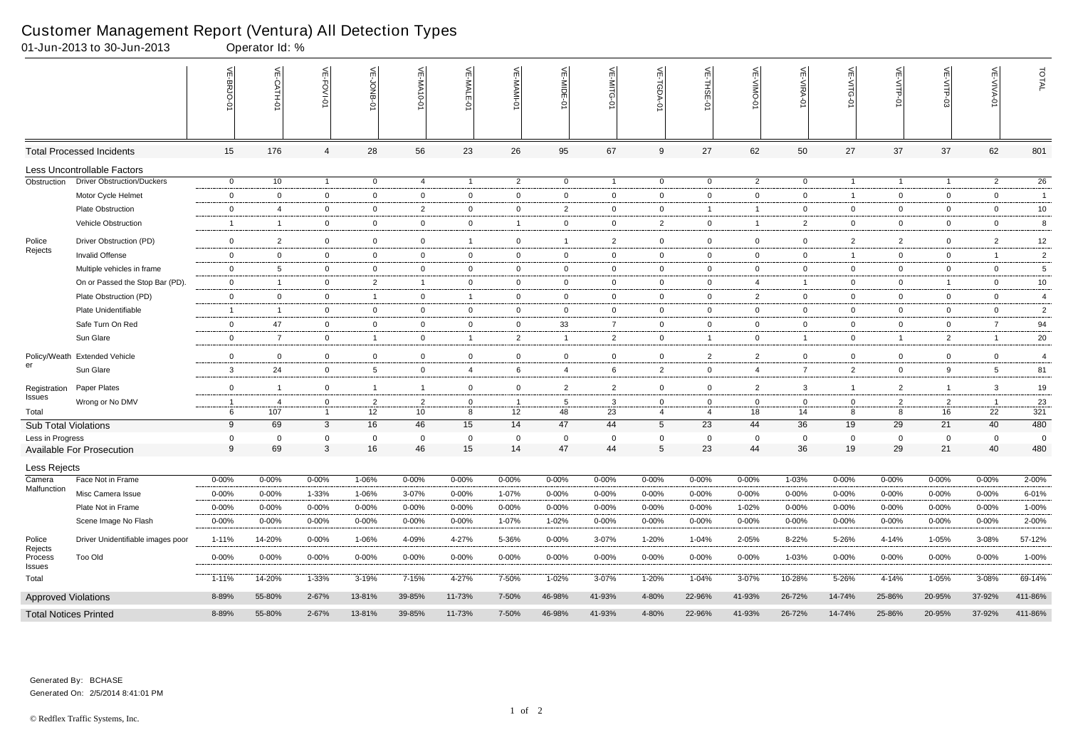|                              | 01-Jun-2013 to 30-Jun-2013        |                     | Operator Id: %        |                   |                      |                                   |                     |                |                |                    |                                |                     |                   |                      |                  |                |                      |                                |                 |
|------------------------------|-----------------------------------|---------------------|-----------------------|-------------------|----------------------|-----------------------------------|---------------------|----------------|----------------|--------------------|--------------------------------|---------------------|-------------------|----------------------|------------------|----------------|----------------------|--------------------------------|-----------------|
|                              |                                   | VE-BRJO-0           | VE-CATH-0             | VE-FOVI-01        | VE-JONB-0            | 늰<br>ΑĄ.<br>$0 - 0$               | $\leq$<br>-MALE     | VE-MAMI-01     | VE-MIDE        | VE-MITG-01         | VE-TGDA-0                      | VE-THSE-01          | VE-VIMO-0         | <b>VE-VIRA-01</b>    | VE-VITG-0        | VE-VITP-01     | VE-VITP-03           | <b>VE-VIVA-01</b>              | TOTAL           |
|                              | <b>Total Processed Incidents</b>  | 15                  | 176                   | 4                 | 28                   | 56                                | 23                  | 26             | 95             | 67                 | 9                              | 27                  | 62                | 50                   | 27               | 37             | 37                   | 62                             | 801             |
|                              | Less Uncontrollable Factors       |                     |                       |                   |                      |                                   |                     |                |                |                    |                                |                     |                   |                      |                  |                |                      |                                |                 |
| Obstruction                  | <b>Driver Obstruction/Duckers</b> | $\overline{0}$      | 10                    | $\overline{1}$    | $\overline{0}$       | $\overline{4}$                    | $\overline{1}$      | $\overline{2}$ | $\overline{0}$ | $\overline{1}$     | $\overline{0}$                 | $\overline{0}$      | $\overline{2}$    | $\overline{0}$       | $\overline{1}$   | $\overline{1}$ | $\overline{1}$       | $\overline{c}$                 | $\overline{26}$ |
|                              | Motor Cycle Helmet                | $\overline{0}$      | $\mathbf 0$           | $\overline{0}$    | $\mathbf 0$          | $\mathbf 0$                       | $\mathsf{O}$        | $\mathbf 0$    | $\mathbf 0$    | $\mathbf{0}$       | $\overline{0}$                 | $\overline{0}$      | $\mathbf 0$       | $\mathbf 0$          | $\mathbf{1}$     | $\mathbf 0$    | $\overline{0}$       | $\overline{0}$                 | $\overline{1}$  |
|                              | Plate Obstruction                 | $\mathbf 0$         | $\overline{4}$        | $\mathbf 0$       | $\mathbf 0$          | $\overline{2}$                    | $\overline{0}$      | $\mathbf 0$    | $\overline{2}$ | $\overline{0}$     | $\mathbf 0$                    | -1                  | $\overline{1}$    | $\overline{0}$       | $\mathbf{0}$     | $\mathbf{0}$   | $\overline{0}$       | $\overline{0}$                 | 10 <sub>1</sub> |
|                              | Vehicle Obstruction               | $\overline{1}$      | $\overline{1}$        | $\mathbf 0$       | $\mathbf 0$          | $\mathbf 0$                       | $\mathsf{O}$        | $\overline{1}$ | $\mathbf 0$    | $\overline{0}$     | $\overline{2}$                 | $\mathbf{0}$        | $\overline{1}$    | $\overline{2}$       | $\mathbf{0}$     | $\overline{0}$ | $\overline{0}$       | $\overline{0}$                 | 8               |
| Police                       | Driver Obstruction (PD)           | $\mathbf 0$         | $\overline{2}$        | $\overline{0}$    | $\mathbf 0$          | $\mathbf{0}$                      | $\mathbf{1}$        | $\mathbf 0$    | $\overline{1}$ | $\overline{2}$     | $\overline{0}$                 | $\mathbf{0}$        | $\mathbf 0$       | $\mathbf 0$          | $\overline{2}$   | $\overline{2}$ | $\mathbf 0$          | $\overline{2}$                 | 12              |
| Rejects                      | Invalid Offense                   | $\overline{0}$      | $\mathbf 0$           | $\overline{0}$    | $\mathbf 0$          | $\overline{0}$                    | $\overline{0}$      | $\mathbf{0}$   | $\overline{0}$ | $\overline{0}$     | $\mathbf 0$                    | $\overline{0}$      | $\overline{0}$    | $\overline{0}$       | $\overline{1}$   | $\overline{0}$ | $\overline{0}$       | $\overline{1}$                 | $\overline{2}$  |
|                              | Multiple vehicles in frame        | $\mathbf 0$         | $5\phantom{.0}$       | $\overline{0}$    | $\mathbf 0$          | $\overline{0}$                    | $\mathbf 0$         | $\mathbf{0}$   | $\mathbf 0$    | $\mathbf 0$        | $\overline{0}$                 | $\overline{0}$      | $\mathbf 0$       | $\overline{0}$       | $\mathbf 0$      | $\mathbf{0}$   | $\overline{0}$       | $\overline{0}$                 | 5               |
|                              | On or Passed the Stop Bar (PD).   | $\overline{0}$      | $\overline{1}$        | $\mathbf 0$       | $\overline{2}$       | $\overline{1}$                    | $\overline{0}$      | $\mathbf{0}$   | $\overline{0}$ | $\overline{0}$     | $\mathbf 0$                    | $\overline{0}$      | $\overline{4}$    | $\overline{1}$       | $\overline{0}$   | $\overline{0}$ | $\overline{1}$       | $\overline{0}$                 | 10              |
|                              | Plate Obstruction (PD)            | $\overline{0}$      | $\mathbf 0$           | $\mathbf 0$       | $\overline{1}$       | $\overline{0}$                    | $\overline{1}$      | $\overline{0}$ | $\overline{0}$ | $\overline{0}$     | $\overline{0}$                 | $\mathbf{0}$        | $\overline{2}$    | $\overline{0}$       | $\mathbf{0}$     | $\overline{0}$ | $\overline{0}$       | $\overline{0}$                 | $\overline{4}$  |
|                              | Plate Unidentifiable              | $\overline{1}$      | $\overline{1}$        | $\overline{0}$    | $\mathbf 0$          | $\overline{0}$                    | $\overline{0}$      | $\mathbf{0}$   | $\overline{0}$ | $\overline{0}$     | $\mathbf 0$                    | $\mathbf{0}$        | $\overline{0}$    | $\overline{0}$       | $\mathbf{0}$     | $\overline{0}$ | $\overline{0}$       | $\overline{0}$                 | $\overline{c}$  |
|                              | Safe Turn On Red                  | $\overline{0}$      | 47                    | $\overline{0}$    | $\mathbf 0$          | $\overline{0}$                    | $\overline{0}$      | $\overline{0}$ | 33             | $\overline{7}$     | $\overline{0}$                 | $\overline{0}$      | $\mathbf{0}$      | $\overline{0}$       | $\overline{0}$   | $\mathbf{0}$   | $\overline{0}$       | 7                              | 94              |
|                              | Sun Glare                         | $\mathbf 0$         | $\overline{7}$        | $\overline{0}$    | $\overline{1}$       | $\overline{0}$                    | $\mathbf{1}$        | $\overline{2}$ | $\overline{1}$ | $\overline{2}$     | $\mathbf 0$                    | $\overline{1}$      | $\overline{0}$    | $\overline{1}$       | $\mathbf{0}$     | $\overline{1}$ | $\overline{2}$       | $\overline{1}$                 | 20              |
|                              | Policy/Weath Extended Vehicle     | $\overline{0}$      | $\overline{0}$        | $\mathbf 0$       | $\mathbf 0$          | $\overline{0}$                    | $\mathsf{O}\xspace$ | $\mathbf 0$    | $\mathbf 0$    | $\overline{0}$     | $\mathsf 0$                    | $\overline{2}$      | $\overline{2}$    | $\mathbf 0$          | $\boldsymbol{0}$ | $\mathbf 0$    | $\mathbf 0$          | $\overline{0}$                 | $\overline{4}$  |
| er                           | Sun Glare                         | $\mathbf{3}$        | 24                    | $\overline{0}$    | $5\phantom{.0}$      | $\mathbf{0}$                      | $\overline{4}$      | 6              | $\overline{4}$ | 6                  | $\overline{2}$                 | $\overline{0}$      | $\overline{4}$    | $\overline{7}$       | $\overline{2}$   | $\overline{0}$ | 9                    | $5\overline{5}$                | 81              |
|                              |                                   |                     |                       |                   |                      |                                   |                     |                |                |                    |                                |                     |                   |                      |                  |                |                      |                                |                 |
| Registration<br>Issues       | Paper Plates                      | $\overline{0}$      | $\overline{1}$        | $\overline{0}$    | $\overline{1}$       | $\overline{1}$                    | $\mathsf{O}$        | $\overline{0}$ | $\overline{2}$ | $\overline{2}$     | $\overline{0}$                 | $\overline{0}$      | $\overline{2}$    | 3                    | $\mathbf{1}$     | $\overline{2}$ | $\mathbf{1}$         | $\mathbf{3}$                   | $19$            |
| Total                        | Wrong or No DMV                   | $\overline{1}$<br>6 | -4<br>$\frac{1}{107}$ | 0<br>$\mathbf{1}$ | $\overline{2}$<br>12 | $\overline{2}$<br>10 <sup>1</sup> | 0<br>8              | 12             | -5<br>48       | $\mathbf{3}$<br>23 | $\mathbf{0}$<br>$\overline{4}$ | 0<br>$\overline{4}$ | $\mathbf 0$<br>18 | $\overline{0}$<br>14 | $\mathbf 0$<br>8 | 2<br>8         | $\overline{2}$<br>16 | $\overline{\phantom{0}}$<br>22 | 23<br>321       |
| <b>Sub Total Violations</b>  |                                   | 9                   | 69                    | $\mathbf{3}$      | 16                   | 46                                | 15                  | 14             | 47             | 44                 | $5\phantom{.0}$                | 23                  | 44                | 36                   | 19               | 29             | 21                   | 40                             | 480             |
| Less in Progress             |                                   | $\mathbf 0$         | $\mathbf 0$           | $\mathbf 0$       | $\mathbf 0$          | $\mathbf{0}$                      | $\overline{0}$      | $\mathbf 0$    | $\overline{0}$ | $\mathbf 0$        | $\mathbf 0$                    | $\mathbf 0$         | $\mathbf{0}$      | $\mathbf 0$          | $\mathbf 0$      | $\overline{0}$ | 0                    | $\overline{0}$                 | $\overline{0}$  |
|                              | <b>Available For Prosecution</b>  | 9                   | 69                    | $\mathbf{3}$      | 16                   | 46                                | 15                  | 14             | 47             | 44                 | $\sqrt{5}$                     | 23                  | 44                | 36                   | 19               | 29             | 21                   | 40                             | 480             |
| Less Rejects                 |                                   |                     |                       |                   |                      |                                   |                     |                |                |                    |                                |                     |                   |                      |                  |                |                      |                                |                 |
| Camera                       | Face Not in Frame                 | $0 - 00\%$          | $0 - 00\%$            | $0 - 00%$         | 1-06%                | $0 - 00%$                         | $0 - 00%$           | $0 - 00%$      | 0-00%          | $0 - 00%$          | $0 - 00%$                      | 0-00%               | $0 - 00%$         | 1-03%                | $0 - 00%$        | 0-00%          | $0 - 00%$            | $0 - 00%$                      | 2-00%           |
| Malfunction                  | Misc Camera Issue                 | $0 - 00%$           | 0-00%                 | 1-33%             | 1-06%                | 3-07%                             | 0-00%               | 1-07%          | 0-00%          | $0 - 00%$          | $0 - 00\%$                     | 0-00%               | $0 - 00\%$        | $0 - 00%$            | $0 - 00\%$       | $0 - 00%$      | $0 - 00%$            | $0 - 00\%$                     | 6-01%           |
|                              | Plate Not in Frame                | $0 - 00\%$          | $0 - 00\%$            | $0 - 00%$         | $0 - 00%$            | $0 - 00%$                         | 0-00%               | $0 - 00%$      | $0 - 00%$      | $0 - 00\%$         | $0 - 00\%$                     | $0 - 00%$           | 1-02%             | $0 - 00%$            | 0-00%            | $0 - 00%$      | $0 - 00%$            | 0-00%                          | 1-00%           |
|                              | Scene Image No Flash              | $0 - 00\%$          | 0-00%                 | $0 - 00\%$        | $0 - 00\%$           | $0 - 00%$                         | 0-00%               | 1-07%          | 1-02%          | $0 - 00\%$         | $0 - 00\%$                     | 0-00%               | 0-00%             | $0 - 00\%$           | $0 - 00\%$       | $0 - 00%$      | $0 - 00%$            | $0 - 00\%$                     | 2-00%           |
| Police                       | Driver Unidentifiable images poor | $1 - 11%$           | 14-20%                | $0 - 00\%$        | 1-06%                | 4-09%                             | 4-27%               | 5-36%          | $0 - 00\%$     | 3-07%              | 1-20%                          | 1-04%               | 2-05%             | 8-22%                | 5-26%            | 4-14%          | 1-05%                | 3-08%                          | 57-12%          |
| Rejects<br>Process<br>Issues | <b>Too Old</b>                    | $0 - 00\%$          | $0 - 00\%$            | $0 - 00\%$        | $0 - 00\%$           | $0 - 00\%$                        | $0 - 00\%$          | $0 - 00\%$     | $0 - 00\%$     | $0 - 00\%$         | $0 - 00\%$                     | $0 - 00\%$          | $0 - 00\%$        | 1-03%                | $0 - 00\%$       | $0 - 00\%$     | $0 - 00\%$           | $0 - 00%$                      | 1-00%           |
| Total                        |                                   | 1-11%               | 14-20%                | 1-33%             | 3-19%                | 7-15%                             | 4-27%               | 7-50%          | 1-02%          | 3-07%              | 1-20%                          | 1-04%               | 3-07%             | 10-28%               | 5-26%            | 4-14%          | 1-05%                | 3-08%                          | 69-14%          |
| <b>Approved Violations</b>   |                                   | 8-89%               | 55-80%                | 2-67%             | 13-81%               | 39-85%                            | 11-73%              | 7-50%          | 46-98%         | 41-93%             | 4-80%                          | 22-96%              | 41-93%            | 26-72%               | 14-74%           | 25-86%         | 20-95%               | 37-92%                         | 411-86%         |
| <b>Total Notices Printed</b> |                                   | 8-89%               | 55-80%                | 2-67%             | 13-81%               | 39-85%                            | 11-73%              | 7-50%          | 46-98%         | 41-93%             | 4-80%                          | 22-96%              | 41-93%            | 26-72%               | 14-74%           | 25-86%         | 20-95%               | 37-92%                         | 411-86%         |

Generated On: 2/5/2014 8:41:01 PM Generated By: BCHASE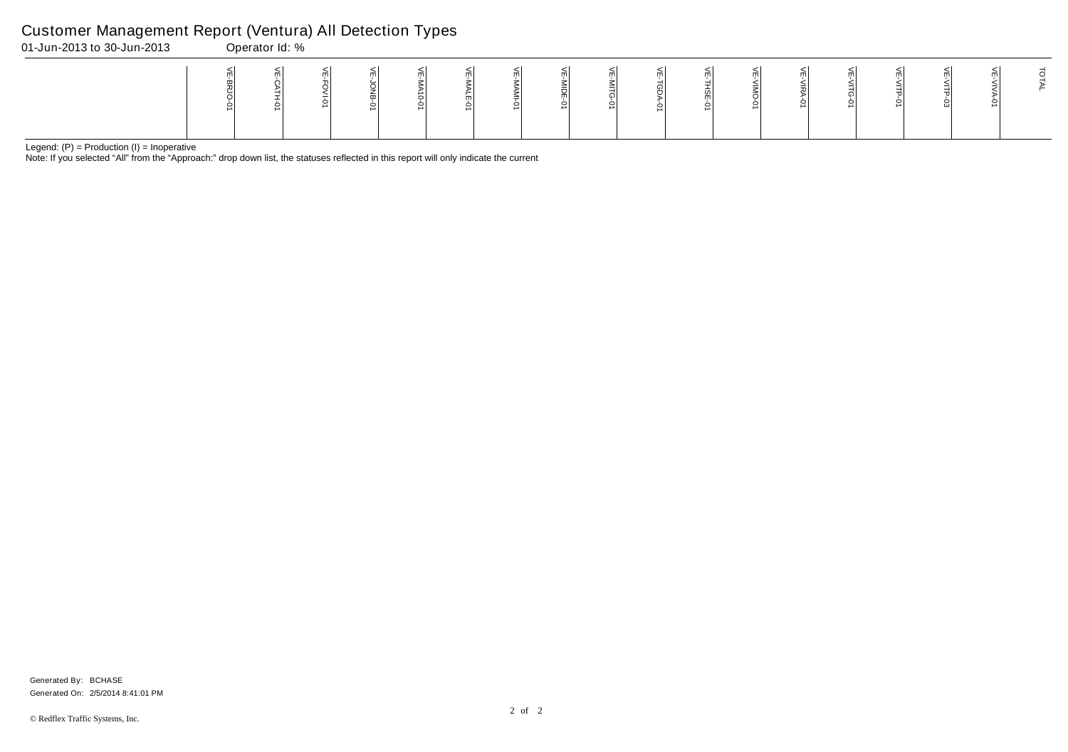Note: If you selected "All" from the "Approach:" drop down list, the statuses reflected in this report will only indicate the current

## Customer Management Report (Ventura) All Detection Types

| 01-Jun-2013 to 30-Jun-2013 | Operator Id: % |  |  |  |  |                     |  |  |  |  |
|----------------------------|----------------|--|--|--|--|---------------------|--|--|--|--|
|                            |                |  |  |  |  | $\blacksquare$<br>- |  |  |  |  |

Generated On: 2/5/2014 8:41:01 PM Generated By: BCHASE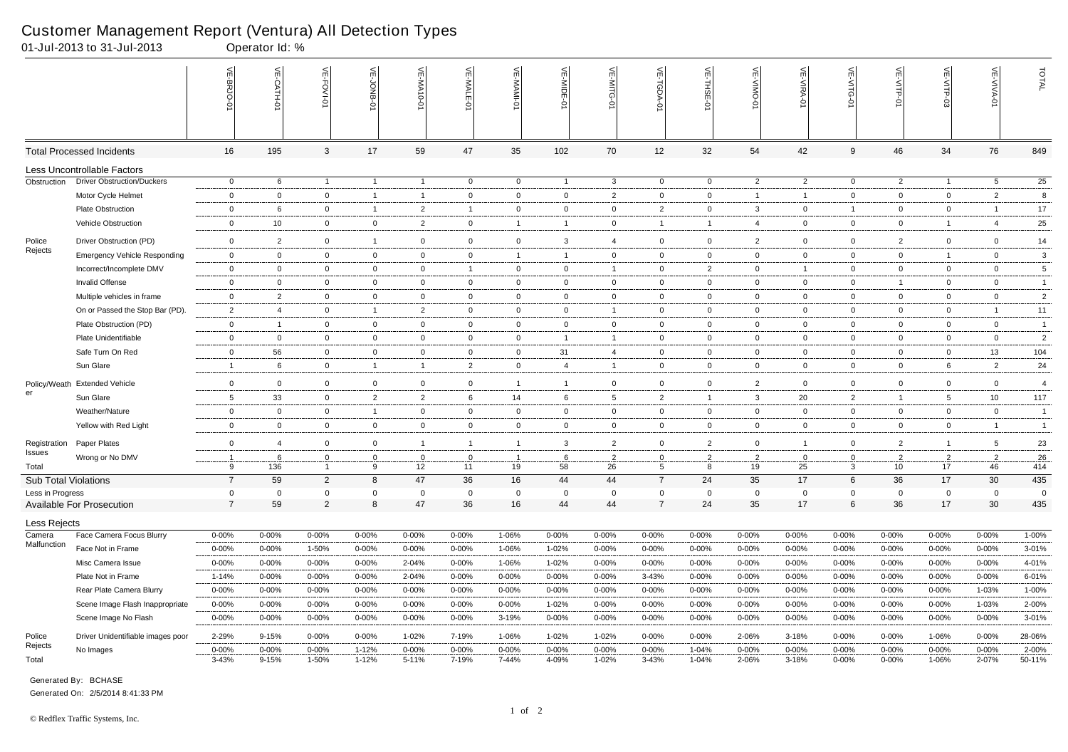|                             | 01-Jul-2013 to 31-Jul-2013          |                     | Operator Id: % |                               |                     |                                 |                   |                     |                |                |                     |                     |                |                |                  |                      |                      |                      |                 |
|-----------------------------|-------------------------------------|---------------------|----------------|-------------------------------|---------------------|---------------------------------|-------------------|---------------------|----------------|----------------|---------------------|---------------------|----------------|----------------|------------------|----------------------|----------------------|----------------------|-----------------|
|                             |                                     | VE-BRJO-0           | VE-CATH-0      | VE-FOVI-01                    | VE-JONB-01          | VE-MA10-01                      | VE-MALE-0         | 븻<br><b>NAMI-01</b> | VE-MIDE-       | VE-MITG-<br>ò  | <b>VE-TGDA-0</b>    | VE-THSE-01          | VE-VIMO-01     | VE-VIRA-01     | VE-VITG-0        | VE-VITP-01           | VE-VITP-03           | <b>VE-VIVA-01</b>    | TOTAL           |
|                             | <b>Total Processed Incidents</b>    | 16                  | 195            | $\mathbf{3}$                  | 17                  | 59                              | 47                | 35                  | 102            | 70             | 12                  | 32                  | 54             | 42             | 9                | 46                   | 34                   | 76                   | 849             |
|                             | Less Uncontrollable Factors         |                     |                |                               |                     |                                 |                   |                     |                |                |                     |                     |                |                |                  |                      |                      |                      |                 |
| Obstruction                 | <b>Driver Obstruction/Duckers</b>   | $\overline{0}$      | 6              | $\overline{1}$                | $\overline{1}$      | $\overline{1}$                  | $\overline{0}$    | $\mathbf{0}$        | $\overline{1}$ | $\mathbf{3}$   | $\overline{0}$      | $\overline{0}$      | $\overline{2}$ | $\overline{2}$ | $\overline{0}$   | $\overline{2}$       | $\overline{1}$       | $5\overline{)}$      | $\overline{25}$ |
|                             | Motor Cycle Helmet                  | $\overline{0}$      | $\mathbf{0}$   | $\overline{0}$                | $\overline{1}$      | $\overline{1}$                  | $\overline{0}$    | 0                   | $\mathbf{0}$   | $\mathbf{2}$   | $\overline{0}$      | $\mathbf 0$         | $\overline{1}$ | $\mathbf{1}$   | $\overline{0}$   | $\mathbf 0$          | $\overline{0}$       | $\overline{2}$       | 8               |
|                             | <b>Plate Obstruction</b>            | $\overline{0}$      | 6              | $\overline{0}$                | -1                  | $\overline{2}$                  | $\overline{1}$    | $\overline{0}$      | $\mathbf{0}$   | $\overline{0}$ | $\overline{2}$      | $\mathbf{0}$        | 3              | $\overline{0}$ | $\overline{1}$   | $\overline{0}$       | $\overline{0}$       | -1                   | 17              |
|                             | Vehicle Obstruction                 | $\overline{0}$      | 10             | $\overline{0}$                | $\mathbf 0$         | $\overline{2}$                  | $\mathbf 0$       | $\overline{1}$      | $\overline{1}$ | $\overline{0}$ | $\overline{1}$      |                     | $\overline{4}$ | $\overline{0}$ | $\overline{0}$   | $\mathbf 0$          | $\overline{1}$       | $\overline{4}$       | 25              |
| Police                      | Driver Obstruction (PD)             | $\mathbf 0$         | $\overline{2}$ | $\mathbf 0$                   | $\overline{1}$      | $\mathbf 0$                     | $\overline{0}$    | $\mathbf 0$         | 3              | 4              | $\overline{0}$      | $\mathbf{0}$        | $\overline{2}$ | $\overline{0}$ | $\mathbf{0}$     | $\overline{2}$       | $\mathbf 0$          | $\mathbf 0$          | 14              |
| Rejects                     | <b>Emergency Vehicle Responding</b> | $\overline{0}$      | $\mathbf{0}$   | $\overline{0}$                | $\mathbf 0$         | $\overline{0}$                  | $\overline{0}$    | $\overline{1}$      | -1             | $\overline{0}$ | $\overline{0}$      | $\mathbf{0}$        | $\overline{0}$ | $\overline{0}$ | $\overline{0}$   | $\overline{0}$       | $\overline{1}$       | $\overline{0}$       | $\mathbf{3}$    |
|                             | Incorrect/Incomplete DMV            | $\mathbf{0}$        | $\mathbf{0}$   | $\mathbf{0}$                  | $\mathbf 0$         | $\mathbf{0}$                    | $\mathbf{1}$      | $\mathbf{0}$        | $\mathbf{0}$   |                | $\overline{0}$      | $\overline{2}$      | $\mathbf 0$    | $\mathbf{1}$   | $\mathbf{0}$     | $\mathbf 0$          | $\overline{0}$       | $\overline{0}$       | $\,$ 5 $\,$     |
|                             | Invalid Offense                     | $\mathbf{0}$        | $\mathbf{0}$   | $\overline{0}$                | $\mathbf 0$         | $\mathbf{0}$                    | $\overline{0}$    | $\mathbf{0}$        | $\mathbf 0$    | $\overline{0}$ | $\overline{0}$      | $\overline{0}$      | $\mathbf 0$    | $\overline{0}$ | $\overline{0}$   | -1                   | $\overline{0}$       | $\overline{0}$       | $\overline{1}$  |
|                             | Multiple vehicles in frame          | $\overline{0}$      | $\overline{2}$ | $\overline{0}$                | $\mathbf 0$         | $\overline{0}$                  | $\overline{0}$    | $\mathbf{0}$        | $\mathbf{0}$   | $\overline{0}$ | $\overline{0}$      | $\overline{0}$      | $\mathbf 0$    | $\overline{0}$ | $\mathbf{0}$     | $\overline{0}$       | $\overline{0}$       | $\overline{0}$       | $\overline{2}$  |
|                             | On or Passed the Stop Bar (PD).     | $\overline{2}$      | $\overline{4}$ | $\overline{0}$                | $\overline{1}$      | $\overline{2}$                  | $\mathbf 0$       | $\mathbf{0}$        | $\mathbf 0$    | -1             | $\overline{0}$      | $\mathbf{0}$        | $\mathbf 0$    | $\mathbf 0$    | $\mathbf{0}$     | $\mathbf 0$          | $\overline{0}$       | $\overline{1}$       | 11              |
|                             | Plate Obstruction (PD)              | $\mathbf{0}$        | $\overline{1}$ | $\overline{0}$                | $\overline{0}$      | $\overline{0}$                  | $\mathbf 0$       | $\mathbf{0}$        | $\mathbf{0}$   | $\overline{0}$ | $\overline{0}$      | $\overline{0}$      | $\overline{0}$ | $\overline{0}$ | $\mathbf{0}$     | $\overline{0}$       | $\overline{0}$       | $\mathbf 0$          | $\overline{1}$  |
|                             | Plate Unidentifiable                | $\mathbf 0$         | $\overline{0}$ | $\mathbf 0$                   | $\mathbf 0$         | $\mathbf{0}$                    | $\mathbf 0$       | $\mathbf 0$         | $\overline{1}$ | -1             | $\overline{0}$      | $\mathbf 0$         | $\overline{0}$ | $\mathbf 0$    | $\mathbf{0}$     | $\mathbf 0$          | $\mathbf 0$          | $\overline{0}$       | $\overline{2}$  |
|                             | Safe Turn On Red                    | $\mathbf 0$         | 56             | $\overline{0}$                | $\mathbf 0$         | $\mathbf{0}$                    | $\overline{0}$    | $\mathbf{0}$        | 31             | 4              | $\mathbf 0$         | $\mathbf{0}$        | $\mathbf 0$    | $\overline{0}$ | $\mathbf{0}$     | $\overline{0}$       | $\overline{0}$       | 13                   | 104             |
|                             | Sun Glare                           | $\overline{1}$      | 6              | $\overline{0}$                | $\overline{1}$      | $\mathbf{1}$                    | $\overline{2}$    | $\mathbf 0$         | $\overline{4}$ | $\mathbf 1$    | $\mathbf 0$         | $\mathbf 0$         | $\mathbf 0$    | $\mathbf 0$    | $\mathbf 0$      | $\mathbf 0$          | 6                    | 2                    | 24              |
|                             | Policy/Weath Extended Vehicle       | $\mathbf 0$         |                |                               | $\mathbf 0$         | $\mathbf 0$                     |                   | $\overline{1}$      | $\overline{1}$ | $\mathbf 0$    |                     | $\mathbf 0$         | 2              | $\mathbf 0$    |                  | $\mathbf 0$          | $\overline{0}$       | $\overline{0}$       | $\overline{4}$  |
| er                          | Sun Glare                           |                     | $\mathbf{0}$   | $\mathbf 0$                   |                     |                                 | $\mathbf 0$       | 14                  |                |                | $\overline{0}$      | $\overline{1}$      |                |                | $\mathbf{0}$     | -1                   |                      |                      | 117             |
|                             | Weather/Nature                      | $5\overline{5}$     | 33             | $\overline{0}$                | $\overline{2}$      | $\overline{2}$                  | 6                 |                     | 6              | 5 <sup>5</sup> | $\overline{2}$      |                     | 3              | 20             | $\overline{2}$   |                      | $5^{\circ}$          | 10                   |                 |
|                             |                                     | $\overline{0}$      | $\mathbf 0$    | $\overline{0}$                | $\overline{1}$      | $\mathbf{0}$                    | $\overline{0}$    | 0                   | $\mathbf{0}$   | $\mathbf 0$    | $\mathbf 0$         | $\mathbf{0}$        | $\overline{0}$ | $\overline{0}$ | $\mathbf{0}$     | $\overline{0}$       | $\overline{0}$       | $\overline{0}$       | $\overline{1}$  |
|                             | Yellow with Red Light               | $\overline{0}$      | $\mathbf 0$    | $\overline{0}$                | $\mathbf 0$         | $\overline{0}$                  | $\overline{0}$    | $\mathbf{0}$        | $\mathbf 0$    | $\overline{0}$ | $\overline{0}$      | $\overline{0}$      | $\mathbf 0$    | $\overline{0}$ | $\mathbf{0}$     | $\overline{0}$       | $\overline{0}$       | $\overline{1}$       | $\overline{1}$  |
| Registration<br>Issues      | Paper Plates                        | $\mathbf 0$         | $\overline{4}$ | $\overline{0}$                | $\mathbf 0$         | $\overline{1}$                  | $\overline{1}$    | $\overline{1}$      | 3              | $\overline{2}$ | $\overline{0}$      | $\overline{2}$      | $\mathbf 0$    | $\mathbf{1}$   | $\mathbf{0}$     | $\overline{2}$       | $\overline{1}$       | 5                    | 23              |
| Total                       | Wrong or No DMV                     | $\overline{1}$<br>q | 6              | $\mathbf 0$<br>$\overline{1}$ | $\overline{0}$<br>9 | $\mathbf{0}$<br>12 <sup>2</sup> | $\mathbf 0$<br>11 | -1<br>19            | 6              | $\overline{2}$ | $\overline{0}$<br>5 | $\overline{2}$<br>8 | 2<br>19        | $\mathbf 0$    | $\mathbf 0$<br>3 | $\overline{2}$<br>10 | $\overline{2}$<br>17 | $\overline{2}$<br>46 | 26<br>414       |
| <b>Sub Total Violations</b> |                                     | $\overline{7}$      | 136<br>59      | $\overline{2}$                | 8                   | 47                              | 36                | 16                  | 58<br>44       | 26<br>44       | $\overline{7}$      | 24                  | 35             | 25<br>17       | 6                | 36                   | 17                   | 30                   | 435             |
| Less in Progress            |                                     | 0                   | $\mathbf 0$    | 0                             | $\Omega$            | $\mathbf{0}$                    | $\mathbf 0$       | $\mathbf 0$         | 0              | $\mathbf 0$    | $\overline{0}$      | $\overline{0}$      | $\mathbf 0$    | $\mathbf 0$    | $\overline{0}$   | $\mathbf 0$          | $\overline{0}$       | $\mathbf 0$          | - 0             |
|                             | Available For Prosecution           | $\overline{7}$      | 59             | $\overline{2}$                | 8                   | 47                              | 36                | 16                  | 44             | 44             | $\overline{7}$      | 24                  | 35             | 17             | 6                | 36                   | 17                   | $30\,$               | 435             |
| Less Rejects                |                                     |                     |                |                               |                     |                                 |                   |                     |                |                |                     |                     |                |                |                  |                      |                      |                      |                 |
| Camera                      | Face Camera Focus Blurry            | $0 - 00\%$          | $0 - 00%$      | $0 - 00\%$                    | $0 - 00%$           | $0 - 00\%$                      | $0 - 00\%$        | 1-06%               | $0 - 00\%$     | $0 - 00%$      | $0 - 00\%$          | $0 - 00%$           | $0 - 00\%$     | $0 - 00\%$     | $0 - 00\%$       | 0-00%                | $0 - 00%$            | 0-00%                | 1-00%           |
| Malfunction                 | Face Not in Frame                   | $0 - 00\%$          | $0 - 00\%$     | 1-50%                         | $0 - 00%$           | 0-00%                           | $0 - 00%$         | 1-06%               | 1-02%          | $0 - 00\%$     | 0-00%               | $0 - 00%$           | 0-00%          | $0 - 00%$      | 0-00%            | $0 - 00%$            | $0 - 00%$            | 0-00%                | 3-01%           |
|                             | Misc Camera Issue                   | 0-00%               | $0 - 00%$      | 0-00%                         | $0 - 00%$           | 2-04%                           | $0 - 00\%$        | 1-06%               | 1-02%          | $0 - 00%$      | 0-00%               | $0 - 00%$           | $0 - 00\%$     | $0 - 00%$      | 0-00%            | $0 - 00%$            | $0 - 00%$            | $0 - 00%$            | 4-01%           |
|                             | Plate Not in Frame                  | 1-14%               | $0 - 00%$      | $0 - 00\%$                    | $0 - 00%$           | 2-04%                           | $0 - 00\%$        | $0 - 00\%$          | $0 - 00%$      | $0 - 00%$      | 3-43%               | $0 - 00%$           | $0 - 00\%$     | $0 - 00%$      | $0 - 00\%$       | $0 - 00%$            | $0 - 00%$            | $0 - 00%$            | 6-01%           |
|                             | Rear Plate Camera Blurry            | 0-00%               | $0 - 00\%$     | 0-00%                         | $0 - 00%$           | 0-00%                           | 0-00%             | $0 - 00%$           | $0 - 00%$      | $0 - 00%$      | 0-00%               | $0 - 00%$           | 0-00%          | $0 - 00%$      | 0-00%            | $0 - 00%$            | $0 - 00%$            | 1-03%                | 1-00%           |
|                             | Scene Image Flash Inappropriate     | $0 - 00\%$          | $0 - 00%$      | 0-00%                         | $0 - 00%$           | $0 - 00\%$                      | $0 - 00\%$        | $0 - 00%$           | 1-02%          | $0 - 00%$      | 0-00%               | $0 - 00%$           | $0 - 00\%$     | $0 - 00%$      | 0-00%            | $0 - 00%$            | $0 - 00%$            | 1-03%                | 2-00%           |
|                             | Scene Image No Flash                | 0-00%               | $0 - 00%$      | 0-00%                         | $0 - 00%$           | 0-00%                           | 0-00%             | 3-19%               | 0-00%          | $0 - 00\%$     | 0-00%               | $0 - 00%$           | 0-00%          | $0 - 00%$      | $0 - 00\%$       | $0 - 00%$            | $0 - 00%$            | 0-00%                | 3-01%           |
| Police                      | Driver Unidentifiable images poor   | 2-29%               | 9-15%          | $0 - 00\%$                    | $0 - 00%$           | 1-02%                           | 7-19%             | 1-06%               | 1-02%          | 1-02%          | $0 - 00\%$          | $0 - 00\%$          | 2-06%          | 3-18%          | $0 - 00\%$       | $0 - 00%$            | 1-06%                | $0 - 00%$            | 28-06%          |
| Rejects                     | No Images                           | $0 - 00\%$          | $0 - 00%$      | 0-00%                         | 1-12%               | $0 - 00\%$                      | $0 - 00\%$        | $0 - 00\%$          | $0 - 00%$      | $0 - 00%$      | $0 - 00%$           | 1-04%               | $0 - 00\%$     | $0 - 00\%$     | $0 - 00\%$       | $0 - 00%$            | $0 - 00%$            | $0 - 00%$            | 2-00%           |
| Total                       |                                     | $3 - 43%$           | 9-15%          | 1-50%                         | $1 - 12%$           | 5-11%                           | 7-19%             | 7-44%               | 4-09%          | 1-02%          | $3 - 43%$           | 1-04%               | 2-06%          | 3-18%          | $0 - 00\%$       | $0 - 00\%$           | 1-06%                | 2-07%                | 50-11%          |

Generated On: 2/5/2014 8:41:33 PM

Generated By: BCHASE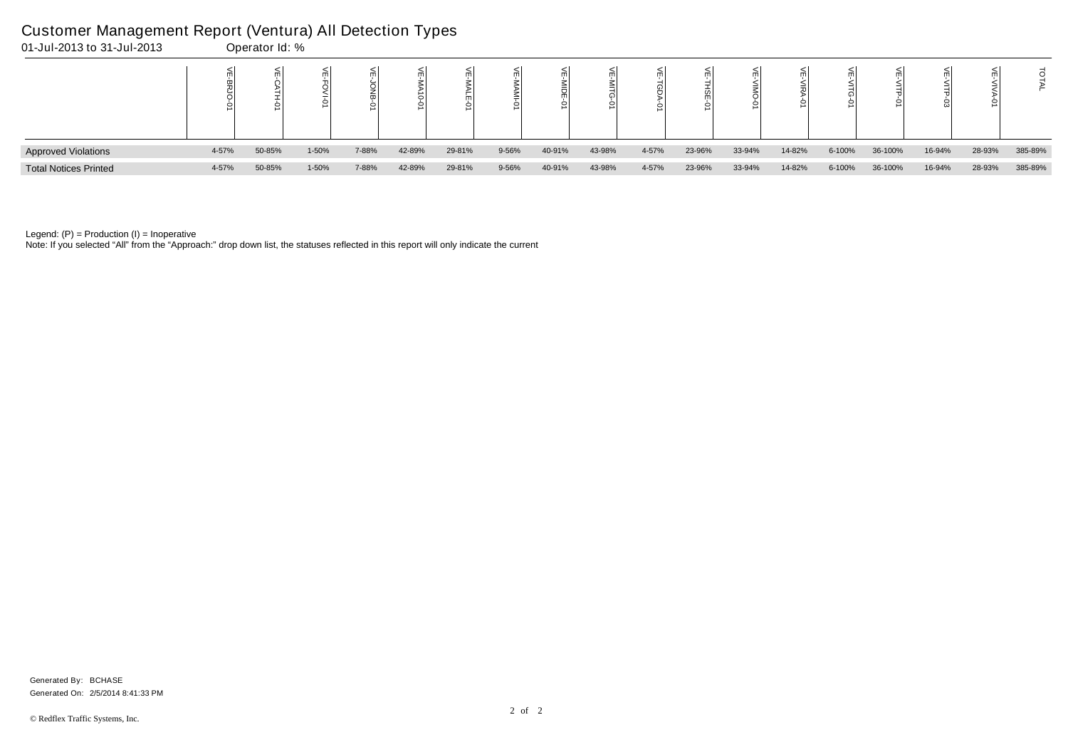| 01-Jul-2013 to 31-Jul-2013   |       | Operator Id: % |       |       |        |        |       |        |        |       |        |        |        |        |         |        |        |         |
|------------------------------|-------|----------------|-------|-------|--------|--------|-------|--------|--------|-------|--------|--------|--------|--------|---------|--------|--------|---------|
|                              |       |                |       |       |        |        |       |        |        |       |        |        |        |        |         |        |        |         |
| <b>Approved Violations</b>   | 4-57% | 50-85%         | 1-50% | 7-88% | 42-89% | 29-81% | 9-56% | 40-91% | 43-98% | 4-57% | 23-96% | 33-94% | 14-82% | 6-100% | 36-100% | 16-94% | 28-93% | 385-89% |
| <b>Total Notices Printed</b> | 4-57% | 50-85%         | 1-50% | 7-88% | 42-89% | 29-81% | 9-56% | 40-91% | 43-98% | 4-57% | 23-96% | 33-94% | 14-82% | 6-100% | 36-100% | 16-94% | 28-93% | 385-89% |

Note: If you selected "All" from the "Approach:" drop down list, the statuses reflected in this report will only indicate the current

# Customer Management Report (Ventura) All Detection Types

Generated On: 2/5/2014 8:41:33 PM Generated By: BCHASE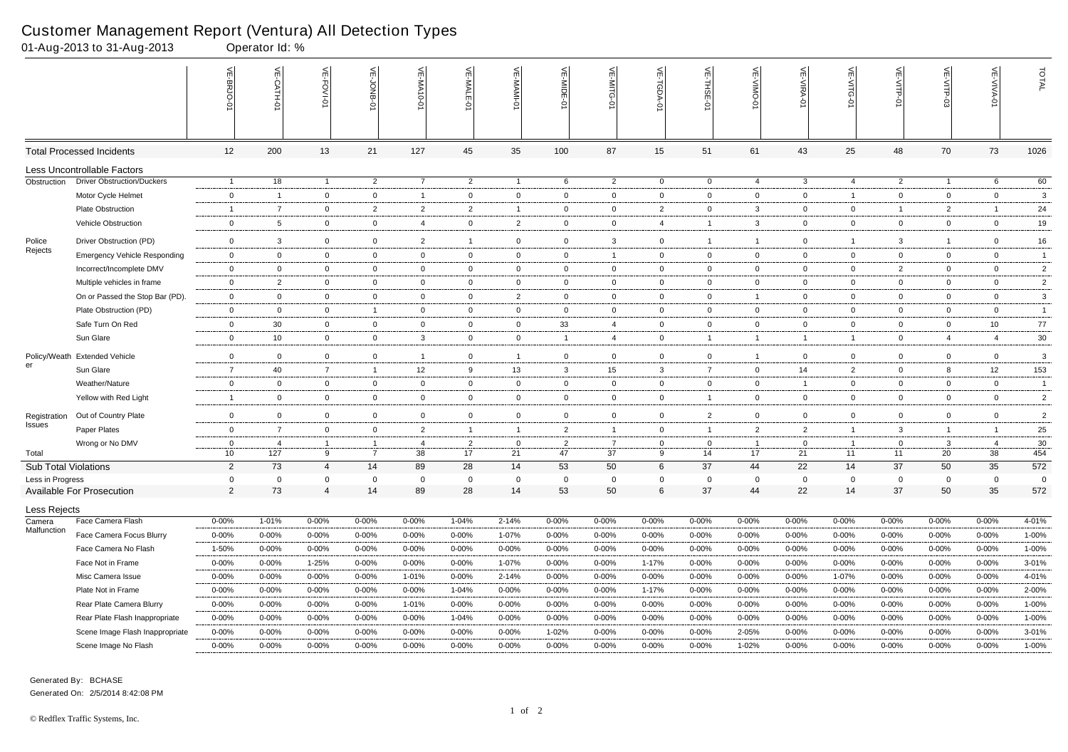Generated By: BCHASE Generated On: 2/5/2014 8:42:08 PM

# Customer Management Report (Ventura) All Detection Types<br>01-Aug-2013 to 31-Aug-2013 Coerator Id: %

|                        | 01-Aug-2013 to 31-Aug-2013           |                            | Operator Id: %                 |                                |                |                  |                      |                   |                                  |                             |                |                                |                      |                               |                                  |                             |                               |                                  |                |
|------------------------|--------------------------------------|----------------------------|--------------------------------|--------------------------------|----------------|------------------|----------------------|-------------------|----------------------------------|-----------------------------|----------------|--------------------------------|----------------------|-------------------------------|----------------------------------|-----------------------------|-------------------------------|----------------------------------|----------------|
|                        |                                      | VE-BRJO-                   | VE-CATH-01                     | VE-FOVI-0                      | VE-JONB-01     | VE-MA10-0        | VE-MALE-01           | VE-MAMI-01        | VE-MIDE-0                        | VE-MITG-0                   | $\leq$         | 븻<br>-THSE-0                   | 늦<br>-YINO           | VE-VIRA-0                     | VE-VITG-0                        | VE-VITP-01                  | VE-VITP<br>င္လ်               | <b>VE-VIVA-01</b>                | TOTAL          |
|                        | <b>Total Processed Incidents</b>     | 12                         | 200                            | 13                             | 21             | 127              | 45                   | 35                | 100                              | 87                          | 15             | 51                             | 61                   | 43                            | 25                               | 48                          | 70                            | 73                               | 1026           |
|                        | Less Uncontrollable Factors          |                            |                                |                                |                |                  |                      |                   |                                  |                             |                |                                |                      |                               |                                  |                             |                               |                                  |                |
| Obstruction            | <b>Driver Obstruction/Duckers</b>    | $\overline{1}$             | 18                             | $\overline{1}$                 | $\overline{2}$ | $\overline{7}$   | $\overline{2}$       | $\overline{1}$    | 6                                | $\overline{2}$              | $\overline{0}$ | $\overline{0}$                 | $\overline{4}$       | $\mathbf{3}$                  | $\overline{4}$                   | $\overline{2}$              | $\overline{1}$                | 6                                | 60             |
|                        | Motor Cycle Helmet                   | $\mathbf 0$                | $\overline{1}$                 | $\mathbf{0}$                   | $\mathbf 0$    | $\overline{1}$   | $\overline{0}$       | $\mathbf 0$       | $\Omega$                         | $\mathbf 0$                 | $\mathbf 0$    | $\mathbf 0$                    | $\mathbf 0$          | $\overline{0}$                | $\overline{1}$                   | $\mathbf 0$                 | $\mathbf 0$                   | $\mathbf 0$                      | 3              |
|                        | Plate Obstruction                    | $\overline{1}$             | $\overline{7}$                 | $\mathsf{O}\xspace$            | $\overline{2}$ | $\overline{2}$   | $\overline{2}$       | $\overline{1}$    | $\overline{0}$                   | $\mathbf 0$                 | $\overline{2}$ | $\mathbf 0$                    | $\mathbf{3}$         | $\mathbf 0$                   | $\overline{0}$                   | -1                          | $\overline{2}$                | -1                               | $24\,$         |
|                        | Vehicle Obstruction                  | $\mathbf 0$                | $5\phantom{.0}$                | $\overline{0}$                 | $\mathbf 0$    | $\overline{4}$   | $\overline{0}$       | $\overline{2}$    | $\mathbf 0$                      | $\mathbf 0$                 | $\overline{4}$ | $\mathbf{1}$                   | $\mathbf{3}$         | $\overline{0}$                | $\overline{0}$                   | $\mathbf 0$                 | $\mathbf 0$                   | $\mathbf 0$                      | 19             |
| Police                 | Driver Obstruction (PD)              | $\mathbf 0$                | 3                              | $\mathbf{0}$                   | $\mathbf 0$    | 2                | $\overline{1}$       | $\mathbf 0$       | $\overline{0}$                   | 3                           | $\mathbf 0$    | $\mathbf 1$                    | $\overline{1}$       | $\overline{0}$                | $\overline{1}$                   | 3                           | $\overline{1}$                | $\mathbf 0$                      | 16             |
| Rejects                | <b>Emergency Vehicle Responding</b>  | $\mathbf 0$                | $\mathbf 0$                    | $\mathbf{0}$                   | $\mathbf 0$    | $\overline{0}$   | $\overline{0}$       | $\overline{0}$    | $\mathbf 0$                      | $\mathbf{1}$                | 0              | $\mathbf 0$                    | $\mathbf 0$          | $\overline{0}$                | $\mathbf{0}$                     | $\mathbf 0$                 | $\mathbf 0$                   | $\mathbf 0$                      | $\overline{1}$ |
|                        | Incorrect/Incomplete DMV             | $\mathbf 0$                | $\mathbf 0$                    | $\overline{0}$                 | $\mathbf 0$    | $\mathbf 0$      | $\overline{0}$       | $\overline{0}$    | $\mathbf 0$                      | $\mathbf 0$                 | $\mathbf 0$    | $\overline{0}$                 | $\mathbf 0$          | $\overline{0}$                | $\overline{0}$                   | $\overline{2}$              | $\overline{0}$                | $\mathbf 0$                      | $\overline{c}$ |
|                        | Multiple vehicles in frame           | $\mathbf 0$                | 2                              | $\overline{0}$                 | $\mathbf 0$    | $\mathbf 0$      | $\overline{0}$       | $\overline{0}$    | $\mathbf 0$                      | $\mathbf 0$                 | $\mathsf{O}$   | $\overline{0}$                 | $\mathbf 0$          | $\overline{0}$                | $\overline{0}$                   | $\mathbf 0$                 | $\mathbf 0$                   | $\mathbf 0$                      | $\overline{2}$ |
|                        | On or Passed the Stop Bar (PD).      | $\mathbf 0$                | $\mathbf 0$                    | $\mathbf{0}$                   | $\mathbf 0$    | $\overline{0}$   | $\mathbf 0$          | $\overline{2}$    | $\overline{0}$                   | $\mathbf 0$                 | $\mathbf 0$    | $\overline{0}$                 | $\overline{1}$       | $\overline{0}$                | $\mathbf{0}$                     | $\overline{0}$              | $\overline{0}$                | $\mathbf 0$                      | $\mathbf{3}$   |
|                        | Plate Obstruction (PD)               | $\mathbf 0$                | $\mathbf 0$                    | $\mathbf{0}$                   | $\overline{1}$ | $\mathbf 0$      | $\overline{0}$       | $\mathsf 0$       | $\Omega$                         | $\mathbf 0$                 | $\mathsf{O}$   | $\mathbf 0$                    | $\mathbf{0}$         | $\mathbf{0}$                  | $\overline{0}$                   | $\mathbf 0$                 | $\mathbf 0$                   | $\overline{0}$                   | $\overline{1}$ |
|                        | Safe Turn On Red                     | $\mathbf 0$                | 30 <sup>°</sup>                | $\overline{0}$                 | $\overline{0}$ | $\mathbf 0$      | $\overline{0}$       | $\overline{0}$    | 33                               | $\overline{4}$              | $\mathbf 0$    | $\mathbf 0$                    | $\overline{0}$       | $\mathbf 0$                   | $\overline{0}$                   | $\mathbf 0$                 | $\mathbf{0}$                  | 10 <sub>1</sub>                  | 77             |
|                        | Sun Glare                            | $\mathbf 0$                | 10                             | $\mathbf 0$                    | $\mathbf 0$    | 3                | $\overline{0}$       | $\overline{0}$    | $\overline{1}$                   | $\overline{4}$              | $\mathbf 0$    | $\mathbf 1$                    | $\overline{1}$       | $\overline{1}$                | $\overline{1}$                   | $\mathbf 0$                 | 4                             | $\overline{4}$                   | $30\,$         |
|                        | Policy/Weath Extended Vehicle        | $\mathbf 0$                | $\mathbf 0$                    | $\mathbf{0}$                   | $\mathbf 0$    | $\overline{1}$   | $\overline{0}$       | $\overline{1}$    | $\Omega$                         | $\mathbf 0$                 | 0              | $\mathbf 0$                    | $\overline{1}$       | $\mathbf 0$                   | $\mathbf{0}$                     | $\mathbf 0$                 | $\mathbf{0}$                  | $\overline{0}$                   | 3              |
| er                     | Sun Glare                            | $\overline{7}$             | 40                             | $\overline{7}$                 | $\overline{1}$ | 12               | 9                    | 13                | 3                                | 15                          | 3              | $\overline{7}$                 | $\mathbf 0$          | 14                            | $\overline{2}$                   | $\mathbf 0$                 | 8                             | 12                               | 153            |
|                        | Weather/Nature                       | $\mathbf 0$                | $\mathbf 0$                    | $\mathbf{0}$                   | $\mathbf 0$    | $\mathbf 0$      | $\overline{0}$       | $\mathbf 0$       | $\mathbf 0$                      | $\mathbf 0$                 | 0              | $\mathbf 0$                    | $\mathbf 0$          | $\overline{1}$                | $\overline{0}$                   | $\mathbf 0$                 | $\overline{0}$                | $\mathbf{0}$                     | $\overline{1}$ |
|                        | Yellow with Red Light                | $\mathbf{1}$               | $\mathbf 0$                    | $\mathbf{0}$                   | $\mathbf 0$    | $\mathbf 0$      | $\mathbf 0$          | $\mathbf 0$       | $\mathbf{0}$                     | $\mathbf 0$                 | $\mathbf 0$    | $\mathbf{1}$                   | $\mathbf 0$          | $\overline{0}$                | $\mathbf 0$                      | $\mathbf 0$                 | $\mathbf{0}$                  | $\mathbf 0$                      | $\overline{2}$ |
|                        |                                      |                            |                                |                                |                |                  |                      |                   |                                  |                             |                |                                |                      |                               |                                  |                             |                               |                                  |                |
| Registration<br>Issues | Out of Country Plate<br>Paper Plates | $\overline{0}$             | $\mathbf{0}$<br>$\overline{7}$ | $\mathbf{0}$                   | $\mathbf 0$    | $\mathbf 0$<br>2 | $\overline{0}$       | $\overline{0}$    | $\mathbf{0}$                     | $\mathbf 0$<br>$\mathbf{1}$ | $\overline{0}$ | $\overline{2}$<br>$\mathbf{1}$ | $\mathbf 0$          | $\overline{0}$                | $\overline{0}$<br>$\overline{1}$ | $\mathbf 0$                 | $\mathbf 0$<br>$\overline{1}$ | $\overline{0}$<br>$\overline{1}$ | $\overline{2}$ |
|                        | Wrong or No DMV                      | $\mathbf 0$<br>$\mathbf 0$ |                                | $\mathbf{0}$<br>$\overline{1}$ | $\mathbf 0$    | $\overline{4}$   | $\overline{1}$       | $\overline{1}$    | $\overline{2}$<br>$\overline{2}$ | $\overline{7}$              | 0              | $\mathbf 0$                    | $\overline{2}$<br>-1 | $\overline{2}$<br>$\mathbf 0$ | $\overline{1}$                   | $\mathbf{3}$<br>$\mathbf 0$ |                               | $\overline{4}$                   | 25<br>$30\,$   |
| Total                  |                                      | 10                         | 4<br>127                       | 9                              | $\overline{7}$ | 38               | $\overline{2}$<br>17 | $\mathbf 0$<br>21 | 47                               | 37                          | 0<br>9         | 14                             | 17                   | 21                            | 11                               | 11                          | $\mathbf{3}$<br>20            | 38                               | 454            |
|                        | <b>Sub Total Violations</b>          | 2                          | 73                             | 4                              | 14             | 89               | 28                   | 14                | 53                               | 50                          | 6              | 37                             | 44                   | 22                            | 14                               | 37                          | 50                            | 35                               | 572            |
| Less in Progress       |                                      | 0                          | $\mathbf 0$                    | $\mathbf 0$                    | $\Omega$       | $\overline{0}$   | $\mathbf 0$          | $\mathbf 0$       | $\mathbf 0$                      | $\mathbf 0$                 | $\mathbf 0$    | $\Omega$                       | $\overline{0}$       | $\overline{0}$                | $\mathbf 0$                      | $\overline{0}$              | $\mathbf{0}$                  | $\overline{0}$                   | 0              |
|                        | Available For Prosecution            | $\overline{2}$             | 73                             | $\overline{4}$                 | 14             | 89               | 28                   | 14                | 53                               | 50                          | 6              | 37                             | 44                   | 22                            | 14                               | 37                          | 50                            | 35                               | 572            |
| Less Rejects           |                                      |                            |                                |                                |                |                  |                      |                   |                                  |                             |                |                                |                      |                               |                                  |                             |                               |                                  |                |
| Camera                 | Face Camera Flash                    | $0 - 00\%$                 | 1-01%                          | $0 - 00\%$                     | 0-00%          | $0 - 00\%$       | 1-04%                | 2-14%             | $0 - 00\%$                       | $0 - 00%$                   | $0 - 00\%$     | $0 - 00%$                      | 0-00%                | $0 - 00\%$                    | $0 - 00\%$                       | $0 - 00%$                   | $0 - 00\%$                    | $0 - 00%$                        | 4-01%          |
| Malfunction            | Face Camera Focus Blurry             | $0 - 00\%$                 | $0 - 00%$                      | $0 - 00%$                      | 0-00%          | $0 - 00%$        | $0 - 00%$            | 1-07%             | $0 - 00\%$                       | $0 - 00\%$                  | $0 - 00%$      | $0 - 00%$                      | $0 - 00%$            | $0 - 00\%$                    | $0 - 00\%$                       | 0-00%                       | $0 - 00\%$                    | $0 - 00%$                        | $1 - 00\%$     |
|                        | Face Camera No Flash                 | 1-50%                      | $0 - 00%$                      | $0 - 00%$                      | 0-00%          | $0 - 00%$        | $0 - 00%$            | $0 - 00%$         | $0 - 00\%$                       | $0 - 00\%$                  | $0 - 00%$      | $0 - 00%$                      | $0 - 00%$            | $0 - 00\%$                    | $0 - 00\%$                       | $0 - 00%$                   | $0 - 00\%$                    | $0 - 00%$                        | $1 - 00\%$     |
|                        | Face Not in Frame                    | $0 - 00\%$                 | 0-00%                          | 1-25%                          | 0-00%          | $0 - 00%$        | $0 - 00%$            | 1-07%             | $0 - 00\%$                       | $0 - 00\%$                  | $1 - 17%$      | $0 - 00%$                      | $0 - 00%$            | $0 - 00\%$                    | $0 - 00\%$                       | 0-00%                       | $0 - 00\%$                    | $0 - 00%$                        | $3 - 01%$      |
|                        | Misc Camera Issue                    | $0 - 00\%$                 | 0-00%                          | $0 - 00%$                      | 0-00%          | 1-01%            | $0 - 00%$            | 2-14%             | $0 - 00%$                        | $0 - 00\%$                  | $0 - 00%$      | $0 - 00%$                      | $0 - 00%$            | $0 - 00\%$                    | 1-07%                            | $0 - 00%$                   | $0 - 00%$                     | $0 - 00%$                        | 4-01%          |
|                        | Plate Not in Frame                   | $0 - 00\%$                 | 0-00%                          | $0 - 00\%$                     | 0-00%          | $0 - 00\%$       | 1-04%                | $0 - 00\%$        | $0 - 00%$                        | $0 - 00\%$                  | $1 - 17%$      | $0 - 00%$                      | 0-00%                | $0 - 00\%$                    | $0 - 00\%$                       | 0-00%                       | $0 - 00%$                     | $0 - 00%$                        | 2-00%          |
|                        | Rear Plate Camera Blurry             | $0 - 00\%$                 | 0-00%                          | $0 - 00%$                      | 0-00%          | 1-01%            | $0 - 00%$            | $0 - 00%$         | $0 - 00\%$                       | $0 - 00\%$                  | $0 - 00\%$     | $0 - 00%$                      | $0 - 00%$            | $0 - 00\%$                    | $0 - 00\%$                       | 0-00%                       | $0 - 00\%$                    | $0 - 00%$                        | $1 - 00\%$     |
|                        | Rear Plate Flash Inappropriate       | $0 - 00\%$                 | $0 - 00\%$                     | $0 - 00%$                      | 0-00%          | $0 - 00\%$       | 1-04%                | $0 - 00%$         | $0 - 00\%$                       | $0 - 00\%$                  | $0 - 00%$      | $0 - 00%$                      | $0 - 00%$            | $0 - 00\%$                    | $0 - 00\%$                       | $0 - 00%$                   | $0 - 00\%$                    | $0 - 00%$                        | $1 - 00\%$     |
|                        | Scene Image Flash Inappropriate      | $0 - 00\%$                 | $0 - 00%$                      | $0 - 00%$                      | 0-00%          | $0 - 00%$        | $0 - 00%$            | $0 - 00%$         | 1-02%                            | $0 - 00\%$                  | $0 - 00%$      | $0 - 00%$                      | 2-05%                | $0 - 00\%$                    | $0 - 00\%$                       | $0 - 00%$                   | $0 - 00%$                     | $0 - 00%$                        | 3-01%          |
|                        | Scene Image No Flash                 | $0 - 00\%$                 | $0 - 00\%$                     | $0 - 00%$                      | $0 - 00%$      | $0 - 00%$        | $0 - 00%$            | $0 - 00%$         | $0 - 00\%$                       | $0 - 00\%$                  | $0 - 00%$      | $0 - 00%$                      | 1-02%                | $0 - 00\%$                    | $0 - 00\%$                       | $0 - 00%$                   | $0 - 00%$                     | $0 - 00%$                        | $1 - 00\%$     |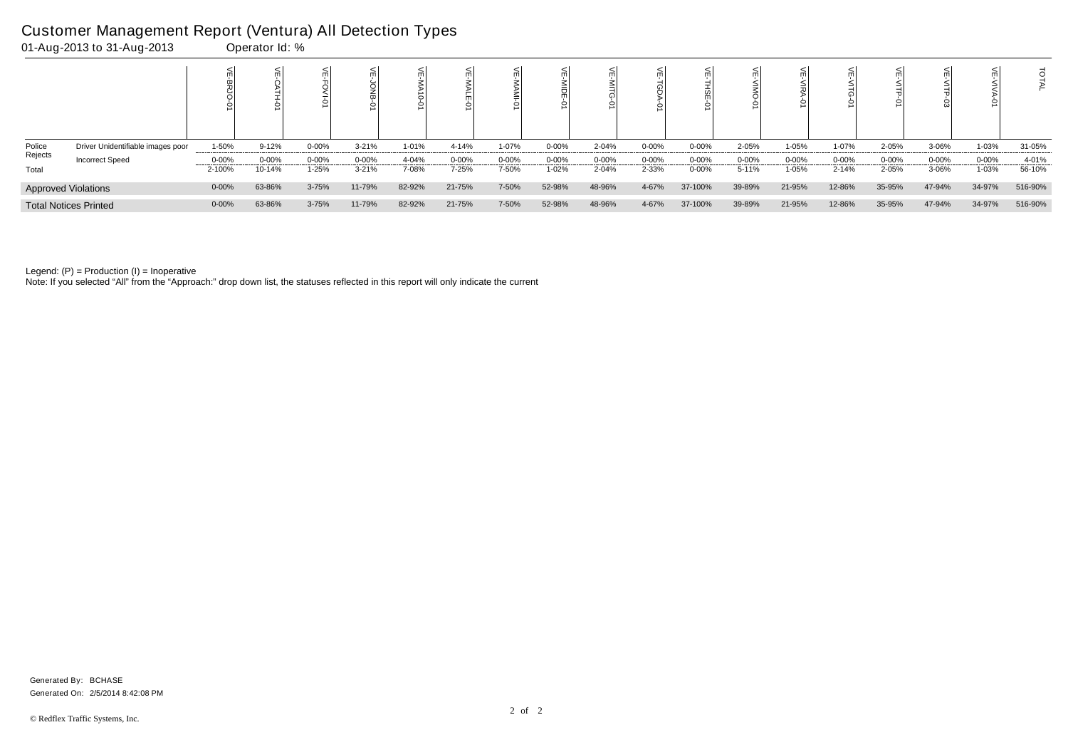|         |                                   |            |            |           |            | ∘      |            | 0         |            |           | $\,<\,$   |           |           |           |           |           |           |           |         |
|---------|-----------------------------------|------------|------------|-----------|------------|--------|------------|-----------|------------|-----------|-----------|-----------|-----------|-----------|-----------|-----------|-----------|-----------|---------|
| Police  | Driver Unidentifiable images poor | 1-50%      | $9 - 12%$  | $0 - 00%$ | $3 - 21%$  | 1-01%  | 4-14%      | 1-07%     | $0 - 00\%$ | 2-04%     | 0-00%     | $0 - 00%$ | 2-05%     | 1-05%     | 1-07%     | 2-05%     | 3-06%     | 1-03%     | 31-05%  |
| Rejects | <b>Incorrect Speed</b>            | $0 - 00%$  | $0 - 00\%$ | $0 - 00%$ | $0 - 00\%$ | 4-04%  | $0 - 00\%$ | $0 - 00%$ | $0 - 00%$  | $0 - 00%$ | $0 - 00%$ | $0 - 00%$ | $0 - 00%$ | $0 - 00%$ | $0 - 00%$ | $0 - 00%$ | $0 - 00%$ | $0 - 00%$ | 4-01%   |
| Total   |                                   | 2-100%     | 10-14%     | 1-25%     | $3-21%$    | 7-08%  | 7-25%      | 7-50%     | 1-02%      | 2-04%     | 2-33%     | $0 - 00%$ | 5-11%     | 1-05%     | 2-14%     | 2-05%     | 3-06%     | 1-03%     | 56-10%  |
|         | <b>Approved Violations</b>        | $0 - 00%$  | 63-86%     | 3-75%     | 11-79%     | 82-92% | 21-75%     | 7-50%     | 52-98%     | 48-96%    | 4-67%     | 37-100%   | 39-89%    | 21-95%    | 12-86%    | 35-95%    | 47-94%    | 34-97%    | 516-90% |
|         | <b>Total Notices Printed</b>      | $0 - 00\%$ | 63-86%     | 3-75%     | 11-79%     | 82-92% | 21-75%     | 7-50%     | 52-98%     | 48-96%    | 4-67%     | 37-100%   | 39-89%    | 21-95%    | 12-86%    | 35-95%    | 47-94%    | 34-97%    | 516-90% |

Note: If you selected "All" from the "Approach:" drop down list, the statuses reflected in this report will only indicate the current

## Customer Management Report (Ventura) All Detection Types

01-Aug-2013 to 31-Aug-2013 Operator Id: %

Generated On: 2/5/2014 8:42:08 PM Generated By: BCHASE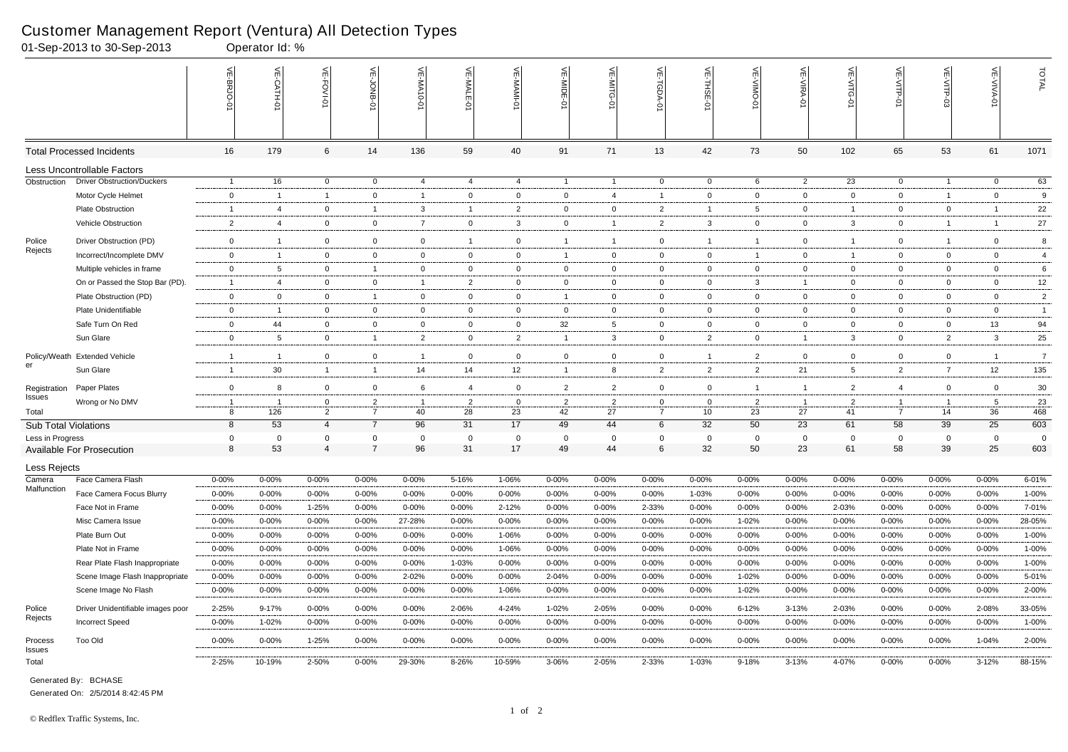|                             | 01-Sep-2013 to 30-Sep-2013        |                  | Operator Id: %    |                               |                            |                    |                   |                   |                |                   |                 |                   |                   |                   |                   |                      |                   |                         |                    |
|-----------------------------|-----------------------------------|------------------|-------------------|-------------------------------|----------------------------|--------------------|-------------------|-------------------|----------------|-------------------|-----------------|-------------------|-------------------|-------------------|-------------------|----------------------|-------------------|-------------------------|--------------------|
|                             |                                   | VE-BRJO          | VE-CATH-0         | VE-FOVI-01                    | VE-JONB-01                 | <b>VE-MA10-0</b>   | VE-MALE-0         | 븻<br>MAMI-0       | VE-MIDE-       | VE-MITG-<br>ò     | VE-TGDA-0       | VE-THSE-01        | VE-VIMO-0         | <b>VE-VIRA-01</b> | VE-VITG-0         | VE-VITP-01           | VE-VITP-03        | <b>VE-VIVA-01</b>       | TOTAL              |
|                             | <b>Total Processed Incidents</b>  | 16               | 179               | 6                             | 14                         | 136                | 59                | 40                | 91             | 71                | 13              | 42                | 73                | 50                | 102               | 65                   | 53                | 61                      | 1071               |
|                             | Less Uncontrollable Factors       |                  |                   |                               |                            |                    |                   |                   |                |                   |                 |                   |                   |                   |                   |                      |                   |                         |                    |
| Obstruction                 | <b>Driver Obstruction/Duckers</b> | $\overline{1}$   | 16                | $\overline{0}$                | $\overline{0}$             | 4                  | $\overline{4}$    | $\overline{4}$    | $\overline{1}$ | $\overline{1}$    | $\overline{0}$  | $\overline{0}$    | 6                 | $\overline{2}$    | 23                | $\overline{0}$       | $\overline{1}$    | $\overline{0}$          | 63                 |
|                             | Motor Cycle Helmet                | $\overline{0}$   | $\overline{1}$    | $\overline{1}$                | $\mathbf 0$                | $\mathbf{1}$       | $\mathbf 0$       | $\mathbf 0$       | $\mathbf 0$    | $\overline{4}$    | $\overline{1}$  | $\mathbf 0$       | $\mathbf 0$       | $\mathbf 0$       | $\mathbf{0}$      | $\mathbf 0$          | $\overline{1}$    | $\overline{0}$          | 9                  |
|                             | Plate Obstruction                 | $\overline{1}$   | $\overline{4}$    | $\overline{0}$                | -1                         | 3                  | $\overline{1}$    | $\overline{2}$    | $\mathbf{0}$   | $\overline{0}$    | $\overline{2}$  |                   | 5                 | $\overline{0}$    | $\overline{1}$    | $\mathbf 0$          | $\mathbf 0$       | -1                      | 22                 |
|                             | Vehicle Obstruction               | $\overline{2}$   | $\overline{4}$    | $\mathbf 0$                   | $\mathbf 0$                | $\overline{7}$     | $\mathbf{0}$      | $\mathbf{3}$      | $\mathbf 0$    | $\overline{1}$    | $\overline{2}$  | $\mathbf{3}$      | $\mathbf 0$       | $\overline{0}$    | $\mathbf{3}$      | $\mathbf{0}$         | $\mathbf{1}$      | $\overline{1}$          | 27                 |
| Police                      | Driver Obstruction (PD)           | $\overline{0}$   | $\overline{1}$    | $\mathbf 0$                   | $\mathbf 0$                | $\mathbf 0$        | $\overline{1}$    | 0                 | $\overline{1}$ | $\mathbf{1}$      | $\overline{0}$  | $\overline{1}$    |                   | $\overline{0}$    | $\overline{1}$    | $\mathbf{0}$         | $\overline{1}$    | $\mathbf 0$             | 8                  |
| Rejects                     | Incorrect/Incomplete DMV          | $\overline{0}$   | $\overline{1}$    | $\overline{0}$                | $\overline{0}$             | $\overline{0}$     | $\overline{0}$    | $\overline{0}$    | $\overline{1}$ | $\overline{0}$    | $\overline{0}$  | $\overline{0}$    | $\overline{1}$    | $\overline{0}$    | $\overline{1}$    | $\mathbf{0}$         | $\overline{0}$    | $\overline{0}$          | $\overline{4}$     |
|                             | Multiple vehicles in frame        | $\overline{0}$   | $5\overline{5}$   | $\mathbf 0$                   | $\overline{1}$             | $\mathbf 0$        | $\mathbf 0$       | $\mathbf 0$       | $\mathbf{0}$   | $\overline{0}$    | $\overline{0}$  | $\overline{0}$    | $\mathbf 0$       | $\mathbf{0}$      | $\overline{0}$    | $\mathbf{0}$         | $\overline{0}$    | $\overline{0}$          | 6                  |
|                             | On or Passed the Stop Bar (PD).   | $\overline{1}$   | $\overline{4}$    | $\overline{0}$                | $\mathbf 0$                | $\mathbf{1}$       | $\overline{2}$    | $\overline{0}$    | $\overline{0}$ | $\overline{0}$    | $\overline{0}$  | $\overline{0}$    | $\mathbf{3}$      | $\overline{1}$    | $\mathbf{0}$      | $\mathbf 0$          | $\overline{0}$    | $\overline{0}$          | 12                 |
|                             | Plate Obstruction (PD)            | $\overline{0}$   | $\overline{0}$    | $\overline{0}$                | $\overline{1}$             | $\overline{0}$     | $\mathbf{0}$      | $\overline{0}$    | $\overline{1}$ | $\overline{0}$    | $\overline{0}$  | $\overline{0}$    | $\overline{0}$    | $\overline{0}$    | $\mathbf{0}$      | $\mathbf{0}$         | $\overline{0}$    | $\overline{0}$          | $\overline{2}$     |
|                             | Plate Unidentifiable              | $\overline{0}$   | $\overline{1}$    | $\overline{0}$                | $\mathbf 0$                | $\mathbf 0$        | $\mathbf{0}$      | $\overline{0}$    | $\mathbf{0}$   | $\mathbf{0}$      | $\overline{0}$  | $\overline{0}$    | $\overline{0}$    | $\mathbf{0}$      | $\mathbf{0}$      | $\mathbf 0$          | $\overline{0}$    | $\overline{0}$          | $\mathbf{1}$       |
|                             | Safe Turn On Red                  | $\overline{0}$   | 44                | $\overline{0}$                | $\overline{0}$             | $\overline{0}$     | $\mathbf 0$       | $\overline{0}$    | 32             | $5^{\circ}$       | $\overline{0}$  | $\overline{0}$    | $\mathbf 0$       | $\overline{0}$    | $\overline{0}$    | $\mathbf{0}$         | $\overline{0}$    | 13                      | 94                 |
|                             | Sun Glare                         | $\overline{0}$   | $5\phantom{.0}$   | $\overline{0}$                | $\overline{1}$             | $\overline{2}$     | $\mathbf 0$       | $\overline{2}$    | $\overline{1}$ | $\mathbf{3}$      | $\overline{0}$  | $\overline{2}$    | $\overline{0}$    | $\mathbf{1}$      | $\mathbf{3}$      | $\mathbf 0$          | $\overline{2}$    | $\mathbf{3}$            | $25\,$             |
|                             | Policy/Weath Extended Vehicle     | $\overline{1}$   | $\overline{1}$    | $\mathbf 0$                   | $\mathbf 0$                | $\mathbf{1}$       | $\mathbf 0$       | 0                 | $\mathbf 0$    | $\mathbf{0}$      | $\mathsf 0$     |                   | $\overline{2}$    | $\mathbf 0$       | $\overline{0}$    | $\mathbf 0$          | $\mathbf 0$       | $\overline{\mathbf{1}}$ | $\overline{7}$     |
| er                          | Sun Glare                         | $\overline{1}$   | 30                | $\overline{1}$                |                            | 14                 | 14                | 12                | -1             | 8                 | $\overline{2}$  | $\overline{2}$    | $\overline{2}$    | 21                | $5\overline{5}$   | $\overline{2}$       | $\overline{7}$    | 12                      | 135                |
| Registration                | Paper Plates                      | $\overline{0}$   | 8                 | $\overline{0}$                | $\overline{0}$             | 6                  | $\overline{4}$    | $\overline{0}$    | $\overline{2}$ | $\overline{2}$    | $\overline{0}$  | $\overline{0}$    | $\overline{1}$    | $\overline{1}$    | $\overline{2}$    | $\overline{4}$       | $\mathbf 0$       | $\mathbf 0$             | 30                 |
| <b>Issues</b>               | Wrong or No DMV                   | $\overline{1}$   | -1                | $\overline{0}$                | $\overline{2}$             | -1                 | $\overline{2}$    | 0                 | $\overline{2}$ | $\overline{2}$    | $\overline{0}$  | 0                 | $\overline{2}$    | -1                | $\overline{2}$    | -1                   | -1                | 5                       | 23                 |
| Total                       |                                   | 8                | $\frac{1}{126}$   | $\overline{2}$                | $\overline{7}$             | 40                 | 28                | 23                | 42             | 27                | $\overline{7}$  | 10                | 23                | 27                | 41                | $\overline{7}$       | 14                | 36                      | 468                |
| <b>Sub Total Violations</b> |                                   | 8                | 53                | $\overline{4}$                | $\overline{7}$             | 96                 | 31                | 17                | 49             | 44                | $6\phantom{.}6$ | 32                | 50                | 23                | 61                | 58                   | 39                | 25                      | 603                |
| Less in Progress            | <b>Available For Prosecution</b>  | $\mathbf 0$<br>8 | $\mathbf 0$<br>53 | $\mathbf 0$<br>$\overline{4}$ | $\Omega$<br>$\overline{7}$ | $\mathbf{0}$<br>96 | $\mathbf 0$<br>31 | $\mathbf 0$<br>17 | 0<br>49        | $\mathbf 0$<br>44 | 0<br>$\,6\,$    | $\mathbf 0$<br>32 | $\mathbf 0$<br>50 | $\mathbf 0$<br>23 | $\mathbf 0$<br>61 | $\overline{0}$<br>58 | $\mathbf 0$<br>39 | $\mathbf{0}$<br>25      | $\mathbf 0$<br>603 |
|                             |                                   |                  |                   |                               |                            |                    |                   |                   |                |                   |                 |                   |                   |                   |                   |                      |                   |                         |                    |
| Less Rejects                |                                   |                  |                   |                               |                            |                    |                   |                   |                |                   |                 |                   |                   |                   |                   |                      |                   |                         |                    |
| Camera<br>Malfunction       | Face Camera Flash                 | $0 - 00\%$       | $0 - 00%$         | $0 - 00%$                     | $0 - 00%$                  | $0 - 00%$          | 5-16%             | 1-06%             | $0 - 00%$      | $0 - 00%$         | $0 - 00%$       | $0 - 00%$         | $0 - 00%$         | $0 - 00\%$        | $0 - 00%$         | 0-00%                | $0 - 00%$         | $0 - 00%$               | $6 - 01%$          |
|                             | Face Camera Focus Blurry          | $0 - 00\%$       | $0 - 00%$         | 0-00%                         | $0 - 00%$                  | $0 - 00%$          | $0 - 00\%$        | $0 - 00%$         | $0 - 00%$      | $0 - 00%$         | 0-00%           | 1-03%             | $0 - 00\%$        | $0 - 00%$         | $0 - 00\%$        | $0 - 00%$            | $0 - 00%$         | $0 - 00%$               | 1-00%              |
|                             | Face Not in Frame                 | $0 - 00\%$       | $0 - 00\%$        | 1-25%                         | $0 - 00%$                  | $0 - 00%$          | $0 - 00\%$        | 2-12%             | $0 - 00%$      | $0 - 00%$         | 2-33%           | $0 - 00%$         | 0-00%             | $0 - 00%$         | 2-03%             | $0 - 00%$            | $0 - 00%$         | $0 - 00%$               | 7-01%              |
|                             | Misc Camera Issue                 | $0 - 00\%$       | $0 - 00\%$        | 0-00%                         | $0 - 00%$                  | 27-28%             | $0 - 00\%$        | $0 - 00%$         | $0 - 00\%$     | $0 - 00%$         | 0-00%           | $0 - 00%$         | 1-02%             | $0 - 00\%$        | $0 - 00\%$        | $0 - 00%$            | $0 - 00\%$        | $0 - 00%$               | 28-05%             |
|                             | Plate Burn Out                    | $0 - 00\%$       | $0 - 00\%$        | $0 - 00\%$                    | $0 - 00%$                  | $0 - 00\%$         | $0 - 00%$         | 1-06%             | $0 - 00\%$     | $0 - 00%$         | 0-00%           | $0 - 00%$         | $0 - 00\%$        | $0 - 00%$         | $0 - 00\%$        | $0 - 00%$            | $0 - 00%$         | $0 - 00\%$              | 1-00%              |
|                             | Plate Not in Frame                | $0 - 00\%$       | $0 - 00%$         | 0-00%                         | $0 - 00%$                  | $0 - 00\%$         | $0 - 00%$         | 1-06%             | $0 - 00%$      | 0-00%             | 0-00%           | $0 - 00%$         | $0 - 00\%$        | $0 - 00%$         | $0 - 00\%$        | $0 - 00%$            | $0 - 00%$         | 0-00%                   | 1-00%              |
|                             | Rear Plate Flash Inappropriate    | $0 - 00\%$       | $0 - 00%$         | $0 - 00%$                     | $0 - 00%$                  | $0 - 00\%$         | 1-03%             | $0 - 00%$         | $0 - 00%$      | $0 - 00%$         | $0 - 00\%$      | $0 - 00%$         | $0 - 00\%$        | $0 - 00%$         | $0 - 00\%$        | $0 - 00%$            | $0 - 00%$         | $0 - 00%$               | 1-00%              |
|                             | Scene Image Flash Inappropriate   | $0 - 00\%$       | $0 - 00%$         | $0 - 00%$                     | $0 - 00%$                  | 2-02%              | $0 - 00%$         | $0 - 00%$         | 2-04%          | $0 - 00%$         | $0 - 00%$       | $0 - 00%$         | 1-02%             | $0 - 00\%$        | $0 - 00\%$        | $0 - 00%$            | $0 - 00%$         | $0 - 00%$               | 5-01%              |
|                             | Scene Image No Flash              | 0-00%            | 0-00%             | 0-00%                         | $0 - 00%$                  | $0 - 00\%$         | $0 - 00\%$        | 1-06%             | $0 - 00%$      | 0-00%             | 0-00%           | $0 - 00%$         | 1-02%             | $0 - 00%$         | 0-00%             | $0 - 00%$            | $0 - 00%$         | $0 - 00%$               | 2-00%              |
| Police                      | Driver Unidentifiable images poor | 2-25%            | $9 - 17%$         | $0 - 00%$                     | $0 - 00%$                  | $0 - 00\%$         | 2-06%             | 4-24%             | 1-02%          | 2-05%             | $0 - 00\%$      | $0 - 00%$         | $6 - 12%$         | $3 - 13%$         | 2-03%             | $0 - 00%$            | $0 - 00%$         | 2-08%                   | 33-05%             |
| Rejects                     | <b>Incorrect Speed</b>            | $0 - 00\%$       | 1-02%             | $0 - 00%$                     | $0 - 00%$                  | $0 - 00\%$         | $0 - 00%$         | $0 - 00\%$        | 0-00%          | $0 - 00%$         | $0 - 00\%$      | $0 - 00%$         | $0 - 00%$         | $0 - 00\%$        | $0 - 00%$         | 0-00%                | $0 - 00%$         | $0 - 00%$               | 1-00%              |
| Process<br>Issues           | Too Old                           | $0 - 00\%$       | $0 - 00\%$        | 1-25%                         | $0 - 00%$                  | $0 - 00\%$         | $0 - 00\%$        | $0 - 00%$         | $0 - 00\%$     | $0 - 00%$         | $0 - 00\%$      | $0 - 00\%$        | $0 - 00%$         | $0 - 00\%$        | $0 - 00\%$        | $0 - 00\%$           | $0 - 00\%$        | 1-04%                   | 2-00%              |
| Total                       |                                   | 2-25%            | 10-19%            | 2-50%                         | $0 - 00%$                  | 29-30%             | 8-26%             | 10-59%            | 3-06%          | 2-05%             | 2-33%           | 1-03%             | 9-18%             | $3 - 13%$         | 4-07%             | $0 - 00\%$           | $0 - 00%$         | $3 - 12%$               | 88-15%             |

Generated On: 2/5/2014 8:42:45 PM

Generated By: BCHASE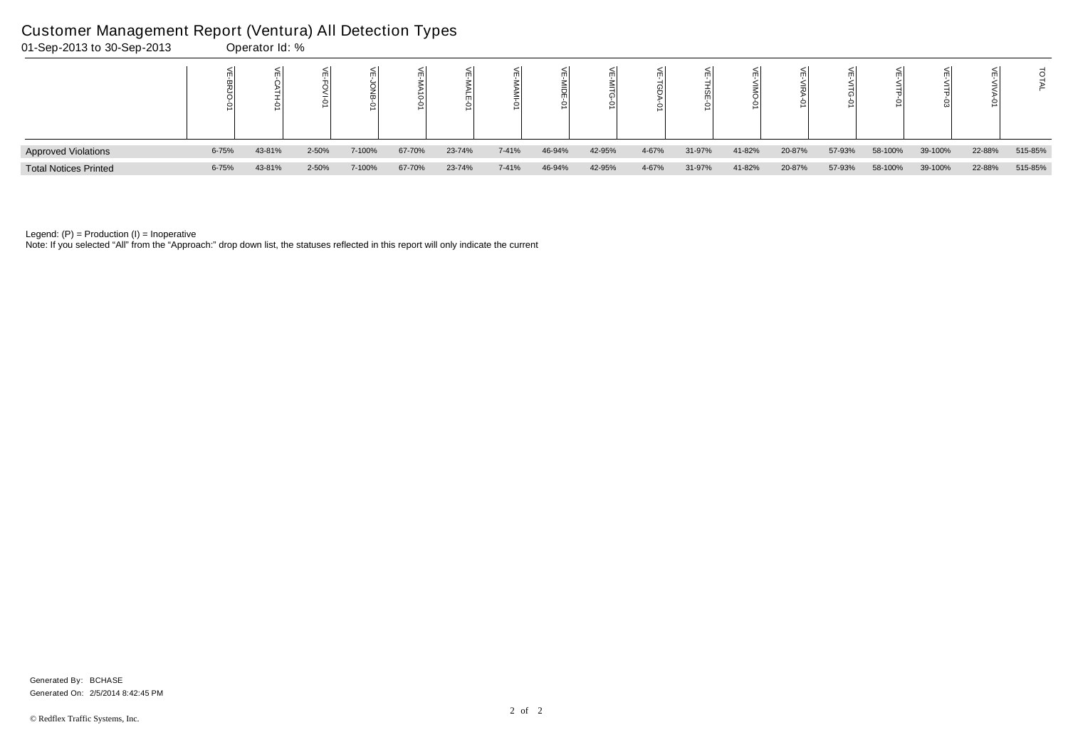Note: If you selected "All" from the "Approach:" drop down list, the statuses reflected in this report will only indicate the current

| 01-Sep-2013 to 30-Sep-2013   |           | Operator Id: % |       |        |        |        |       |        |        |       |        |        |        |        |         |         |        |         |
|------------------------------|-----------|----------------|-------|--------|--------|--------|-------|--------|--------|-------|--------|--------|--------|--------|---------|---------|--------|---------|
|                              |           | $\leq$         |       |        |        |        |       |        |        |       |        |        |        |        |         |         |        |         |
| <b>Approved Violations</b>   | $6 - 75%$ | 43-81%         | 2-50% | 7-100% | 67-70% | 23-74% | 7-41% | 46-94% | 42-95% | 4-67% | 31-97% | 41-82% | 20-87% | 57-93% | 58-100% | 39-100% | 22-88% | 515-85% |
| <b>Total Notices Printed</b> | $6 - 75%$ | 43-81%         | 2-50% | 7-100% | 67-70% | 23-74% | 7-41% | 46-94% | 42-95% | 4-67% | 31-97% | 41-82% | 20-87% | 57-93% | 58-100% | 39-100% | 22-88% | 515-85% |

## Customer Management Report (Ventura) All Detection Types

Generated On: 2/5/2014 8:42:45 PM Generated By: BCHASE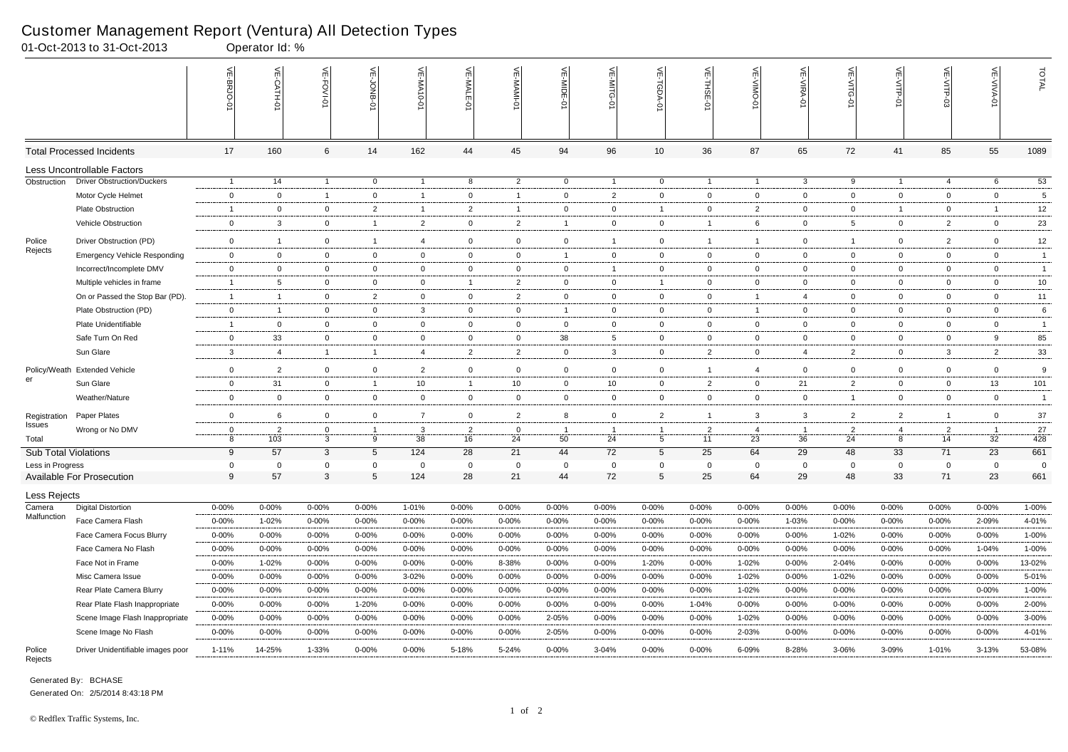|                                                 | 01-Oct-2013 to 31-Oct-2013          |                     | Operator Id: %     |                             |                |                |                    |                   |                |                |                                |                |                   |                   |                 |                |                      |                         |                 |
|-------------------------------------------------|-------------------------------------|---------------------|--------------------|-----------------------------|----------------|----------------|--------------------|-------------------|----------------|----------------|--------------------------------|----------------|-------------------|-------------------|-----------------|----------------|----------------------|-------------------------|-----------------|
|                                                 |                                     | VE-BRJO             | VE-CATH-0          | VE-FOVI-01                  | VE-JONB-01     | VE-MA10-0      | VE-MALE-01         | $\leq$<br>MAMI-0- | VE-MIDE-0      | VE-MITG-<br>ò  | VE-TGDA-0                      | VE-THSE-01     | VE-VIMO-01        | <b>VE-VIRA-01</b> | VE-VITG-01      | VE-VITP-01     | VE-VITP-03           | <b>VE-VIVA-01</b>       | TOTAL           |
|                                                 | <b>Total Processed Incidents</b>    | 17                  | 160                | 6                           | 14             | 162            | 44                 | 45                | 94             | 96             | 10                             | 36             | 87                | 65                | 72              | 41             | 85                   | 55                      | 1089            |
|                                                 | Less Uncontrollable Factors         |                     |                    |                             |                |                |                    |                   |                |                |                                |                |                   |                   |                 |                |                      |                         |                 |
| Obstruction                                     | <b>Driver Obstruction/Duckers</b>   | $\overline{1}$      | 14                 | $\overline{1}$              | $\overline{0}$ | $\overline{1}$ | 8                  | $\overline{2}$    | $\overline{0}$ | $\overline{1}$ | $\overline{0}$                 | $\overline{1}$ | $\overline{1}$    | $\mathbf{3}$      | 9               | - 1            | 4                    | 6                       | 53              |
|                                                 | Motor Cycle Helmet                  | $\overline{0}$      | $\overline{0}$     | $\overline{1}$              | $\mathbf 0$    | $\overline{1}$ | $\mathbf 0$        | $\overline{1}$    | $\mathbf 0$    | $\overline{2}$ | $\mathbf 0$                    | $\mathbf 0$    | $\mathbf 0$       | $\mathbf 0$       | $\mathbf{0}$    | $\mathbf 0$    | $\mathbf 0$          | $\overline{0}$          | $\overline{5}$  |
|                                                 | <b>Plate Obstruction</b>            | $\overline{1}$      | $\mathbf 0$        | $\overline{0}$              | $\overline{2}$ | $\mathbf{1}$   | $\overline{2}$     | $\overline{1}$    | $\mathbf 0$    | $\overline{0}$ | $\overline{1}$                 | $\mathbf{0}$   | $\overline{2}$    | $\mathbf{0}$      | $\mathbf{0}$    | -1             | $\overline{0}$       | $\overline{\mathbf{1}}$ | 12              |
|                                                 | Vehicle Obstruction                 | $\overline{0}$      | $\mathbf{3}$       | $\overline{0}$              | $\overline{1}$ | $\overline{2}$ | $\mathbf 0$        | $\overline{2}$    | $\overline{1}$ | $\mathbf 0$    | $\overline{0}$                 | $\overline{1}$ | 6                 | $\mathbf{0}$      | $5\overline{5}$ | $\mathbf{0}$   | $\overline{2}$       | $\mathbf 0$             | 23              |
| Police                                          | Driver Obstruction (PD)             | $\overline{0}$      | $\overline{1}$     | $\overline{0}$              | $\overline{1}$ | $\overline{4}$ | $\mathbf 0$        | 0                 | $\mathbf 0$    | $\mathbf{1}$   | $\overline{0}$                 | $\overline{1}$ |                   | $\overline{0}$    | $\mathbf{1}$    | $\mathbf{0}$   | $\overline{2}$       | $\overline{0}$          | 12              |
| Rejects                                         | <b>Emergency Vehicle Responding</b> | $\overline{0}$      | $\mathbf 0$        | $\overline{0}$              | $\overline{0}$ | $\mathbf 0$    | $\mathbf 0$        | $\overline{0}$    | $\overline{1}$ | $\overline{0}$ | $\overline{0}$                 | $\mathbf{0}$   | $\overline{0}$    | $\overline{0}$    | $\overline{0}$  | $\mathbf{0}$   | $\overline{0}$       | $\overline{0}$          | $\overline{1}$  |
|                                                 | Incorrect/Incomplete DMV            | $\overline{0}$      | $\overline{0}$     | $\overline{0}$              | $\overline{0}$ | $\mathbf 0$    | $\mathbf 0$        | 0                 | $\mathbf 0$    | 1              | $\overline{0}$                 | $\overline{0}$ | $\mathbf 0$       | $\mathbf{0}$      | $\mathbf 0$     | $\mathbf{0}$   | $\mathbf{0}$         | $\overline{0}$          | $\mathbf{1}$    |
|                                                 | Multiple vehicles in frame          | $\overline{1}$      | $5\overline{5}$    | $\overline{0}$              | $\mathbf 0$    | 0              | $\overline{1}$     | $\overline{2}$    | $\overline{0}$ | $\overline{0}$ | $\overline{1}$                 | $\overline{0}$ | $\overline{0}$    | $\overline{0}$    | $\overline{0}$  | $\mathbf 0$    | $\overline{0}$       | $\overline{0}$          | 10              |
|                                                 | On or Passed the Stop Bar (PD).     | $\overline{1}$      | $\overline{1}$     | $\overline{0}$              | $\overline{2}$ | $\mathbf 0$    | $\overline{0}$     | $\overline{2}$    | $\mathbf{0}$   | $\overline{0}$ | $\overline{0}$                 | $\overline{0}$ | $\overline{1}$    | $\overline{4}$    | $\mathbf{0}$    | $\mathbf{0}$   | $\overline{0}$       | $\overline{0}$          | 11              |
|                                                 | Plate Obstruction (PD)              | $\overline{0}$      | $\overline{1}$     | $\overline{0}$              | $\mathbf 0$    | 3              | $\mathbf 0$        | $\overline{0}$    | $\overline{1}$ | $\overline{0}$ | $\overline{0}$                 | $\overline{0}$ | $\overline{1}$    | $\overline{0}$    | $\mathbf{0}$    | $\mathbf 0$    | $\overline{0}$       | $\overline{0}$          | 6               |
|                                                 | Plate Unidentifiable                | $\overline{1}$      | $\overline{0}$     | $\overline{0}$              | $\overline{0}$ | $\overline{0}$ | $\mathbf 0$        | $\overline{0}$    | $\overline{0}$ | $\overline{0}$ | $\overline{0}$                 | $\overline{0}$ | $\mathbf 0$       | $\mathbf{0}$      | $\overline{0}$  | $\mathbf{0}$   | $\mathbf{0}$         | $\overline{0}$          | $\overline{1}$  |
|                                                 | Safe Turn On Red                    | $\overline{0}$      | 33                 | $\mathbf 0$                 | $\mathbf 0$    | 0              | $\mathbf 0$        | 0                 | 38             | 5              | $\overline{0}$                 | $\mathbf 0$    | $\overline{0}$    | $\mathbf 0$       | $\mathbf{0}$    | $\mathbf 0$    | $\mathbf 0$          | 9                       | 85              |
|                                                 | Sun Glare                           | $\mathbf{3}$        | $\overline{4}$     | $\mathbf{1}$                | $\overline{1}$ | 4              | $\overline{2}$     | $\overline{2}$    | $\overline{0}$ | $\mathbf{3}$   | $\overline{0}$                 | $\overline{2}$ | $\overline{0}$    | 4                 | $\overline{2}$  | $\mathbf 0$    | $\mathbf{3}$         | $\overline{2}$          | 33              |
|                                                 | Policy/Weath Extended Vehicle       | $\overline{0}$      | $\overline{2}$     | $\overline{0}$              | $\mathbf 0$    | $\overline{2}$ | $\mathbf{0}$       | $\mathbf 0$       | $\mathbf 0$    | $\overline{0}$ | $\overline{0}$                 |                | $\overline{4}$    | $\overline{0}$    | $\mathbf{0}$    | $\mathbf 0$    | $\overline{0}$       | $\mathbf 0$             | 9               |
| er                                              | Sun Glare                           | $\overline{0}$      | 31                 | $\overline{0}$              | $\overline{1}$ | 10             | $\overline{1}$     | 10                | $\mathbf 0$    | 10             | $\overline{0}$                 | $\overline{2}$ | $\mathbf 0$       | 21                | $\overline{2}$  | $\mathbf{0}$   | $\mathbf 0$          | 13                      | 101             |
|                                                 | Weather/Nature                      | $\overline{0}$      | $\overline{0}$     | $\overline{0}$              | $\mathbf 0$    | $\overline{0}$ | $\mathbf{0}$       | 0                 | $\mathbf{0}$   | $\mathbf{0}$   | $\overline{0}$                 | $\mathbf{0}$   | $\mathbf 0$       | $\overline{0}$    | $\mathbf{1}$    | $\mathbf 0$    | $\overline{0}$       | $\overline{0}$          | $\overline{1}$  |
| Registration                                    | Paper Plates                        | $\overline{0}$      | 6                  | $\overline{0}$              | $\mathbf 0$    | $\overline{7}$ | $\mathbf 0$        | $\overline{2}$    | 8              | $\overline{0}$ | $\overline{2}$                 | $\overline{1}$ | 3                 | 3                 | $\overline{2}$  | $\overline{2}$ | $\overline{1}$       | $\mathbf 0$             | $37\,$          |
| Issues                                          | Wrong or No DMV                     | $\overline{0}$      | $\overline{2}$     | $\mathbf 0$                 |                | 3              | $\overline{2}$     | $\mathbf 0$       |                |                | $\overline{1}$                 | $\overline{2}$ | $\overline{4}$    | - 1               | $\overline{2}$  | $\overline{4}$ | $\overline{2}$       | $\overline{1}$          | $27\,$          |
| Total                                           |                                     | 8                   | 103                | 3                           | 9              | 38<br>124      | 16                 | 24                | 50             | 24             | $5\overline{)}$                | 11             | 23                | 36                | 24              | 8              | 14                   | 32                      | 428             |
| <b>Sub Total Violations</b><br>Less in Progress |                                     | 9<br>$\overline{0}$ | 57<br>$\mathbf{0}$ | $\mathbf{3}$<br>$\mathbf 0$ | 5<br>$\Omega$  | $\Omega$       | 28<br>$\mathbf{0}$ | 21<br>$\Omega$    | 44<br>$\Omega$ | 72<br>$\Omega$ | $5\phantom{.0}$<br>$\mathbf 0$ | 25<br>$\Omega$ | 64<br>$\mathbf 0$ | 29<br>$\Omega$    | 48<br>$\Omega$  | 33<br>$\Omega$ | 71<br>$\overline{0}$ | 23<br>$\overline{0}$    | 661<br>$\Omega$ |
|                                                 | <b>Available For Prosecution</b>    | 9                   | 57                 | 3                           | 5              | 124            | 28                 | 21                | 44             | 72             | 5                              | 25             | 64                | 29                | 48              | 33             | 71                   | 23                      | 661             |
| Less Rejects                                    |                                     |                     |                    |                             |                |                |                    |                   |                |                |                                |                |                   |                   |                 |                |                      |                         |                 |
| Camera                                          | <b>Digital Distortion</b>           | $0 - 00\%$          | $0 - 00%$          | $0 - 00%$                   | $0 - 00%$      | 1-01%          | $0 - 00%$          | $0 - 00%$         | $0 - 00%$      | $0 - 00%$      | $0 - 00%$                      | $0 - 00%$      | $0 - 00%$         | $0 - 00\%$        | $0 - 00%$       | 0-00%          | $0 - 00%$            | $0 - 00%$               | $1 - 00\%$      |
| Malfunction                                     | Face Camera Flash                   | $0 - 00\%$          | 1-02%              | 0-00%                       | 0-00%          | $0 - 00%$      | $0 - 00\%$         | $0 - 00%$         | $0 - 00%$      | $0 - 00%$      | 0-00%                          | $0 - 00%$      | $0 - 00\%$        | 1-03%             | $0 - 00\%$      | 0-00%          | $0 - 00\%$           | 2-09%                   | 4-01%           |
|                                                 | Face Camera Focus Blurry            | $0 - 00\%$          | $0 - 00\%$         | $0 - 00\%$                  | $0 - 00%$      | $0 - 00\%$     | $0 - 00\%$         | $0 - 00%$         | $0 - 00\%$     | $0 - 00%$      | 0-00%                          | $0 - 00%$      | $0 - 00\%$        | $0 - 00%$         | 1-02%           | $0 - 00%$      | $0 - 00%$            | $0 - 00%$               | 1-00%           |
|                                                 | Face Camera No Flash                | $0 - 00%$           | $0 - 00%$          | 0-00%                       | 0-00%          | $0 - 00\%$     | $0 - 00\%$         | $0 - 00%$         | $0 - 00%$      | $0 - 00%$      | 0-00%                          | $0 - 00%$      | 0-00%             | $0 - 00%$         | $0 - 00\%$      | 0-00%          | 0-00%                | 1-04%                   | 1-00%           |
|                                                 | Face Not in Frame                   | $0 - 00\%$          | 1-02%              | $0 - 00%$                   | $0 - 00%$      | $0 - 00%$      | $0 - 00%$          | 8-38%             | $0 - 00\%$     | $0 - 00%$      | 1-20%                          | $0 - 00%$      | 1-02%             | $0 - 00%$         | 2-04%           | $0 - 00%$      | $0 - 00%$            | $0 - 00%$               | 13-02%          |
|                                                 | Misc Camera Issue                   | $0 - 00\%$          | $0 - 00%$          | $0 - 00%$                   | $0 - 00%$      | 3-02%          | $0 - 00%$          | $0 - 00%$         | $0 - 00%$      | $0 - 00%$      | $0 - 00%$                      | $0 - 00%$      | 1-02%             | $0 - 00\%$        | 1-02%           | $0 - 00%$      | $0 - 00%$            | $0 - 00%$               | 5-01%           |
|                                                 | Rear Plate Camera Blurry            | $0 - 00\%$          | 0-00%              | 0-00%                       | 0-00%          | $0 - 00%$      | $0 - 00\%$         | 0-00%             | $0 - 00%$      | 0-00%          | 0-00%                          | $0 - 00%$      | 1-02%             | $0 - 00%$         | 0-00%           | $0 - 00%$      | $0 - 00%$            | $0 - 00%$               | 1-00%           |
|                                                 | Rear Plate Flash Inappropriate      | $0 - 00\%$          | $0 - 00%$          | $0 - 00%$                   | 1-20%          | $0 - 00%$      | $0 - 00\%$         | $0 - 00%$         | $0 - 00\%$     | $0 - 00%$      | $0 - 00%$                      | 1-04%          | $0 - 00\%$        | $0 - 00%$         | $0 - 00\%$      | $0 - 00%$      | $0 - 00%$            | $0 - 00%$               | 2-00%           |
|                                                 | Scene Image Flash Inappropriate     | $0 - 00\%$          | $0 - 00%$          | $0 - 00\%$                  | $0 - 00%$      | $0 - 00%$      | $0 - 00\%$         | $0 - 00%$         | 2-05%          | $0 - 00%$      | $0 - 00%$                      | $0 - 00%$      | 1-02%             | $0 - 00\%$        | $0 - 00\%$      | 0-00%          | $0 - 00%$            | $0 - 00%$               | $3 - 00\%$      |
|                                                 | Scene Image No Flash                | $0 - 00\%$          | $0 - 00%$          | $0 - 00%$                   | $0 - 00%$      | $0 - 00\%$     | $0 - 00\%$         | $0 - 00\%$        | 2-05%          | $0 - 00\%$     | $0 - 00\%$                     | $0 - 00%$      | 2-03%             | $0 - 00\%$        | $0 - 00\%$      | 0-00%          | $0 - 00%$            | $0 - 00%$               | 4-01%           |
| Police<br>Rejects                               | Driver Unidentifiable images poor   | $1 - 11%$           | 14-25%             | 1-33%                       | $0 - 00\%$     | $0 - 00\%$     | 5-18%              | 5-24%             | $0 - 00\%$     | 3-04%          | $0 - 00\%$                     | $0 - 00\%$     | 6-09%             | 8-28%             | 3-06%           | 3-09%          | 1-01%                | 3-13%                   | 53-08%          |

Generated By: BCHASE

#### Customer Management Report (Ventura) All Detection Types

Generated On: 2/5/2014 8:43:18 PM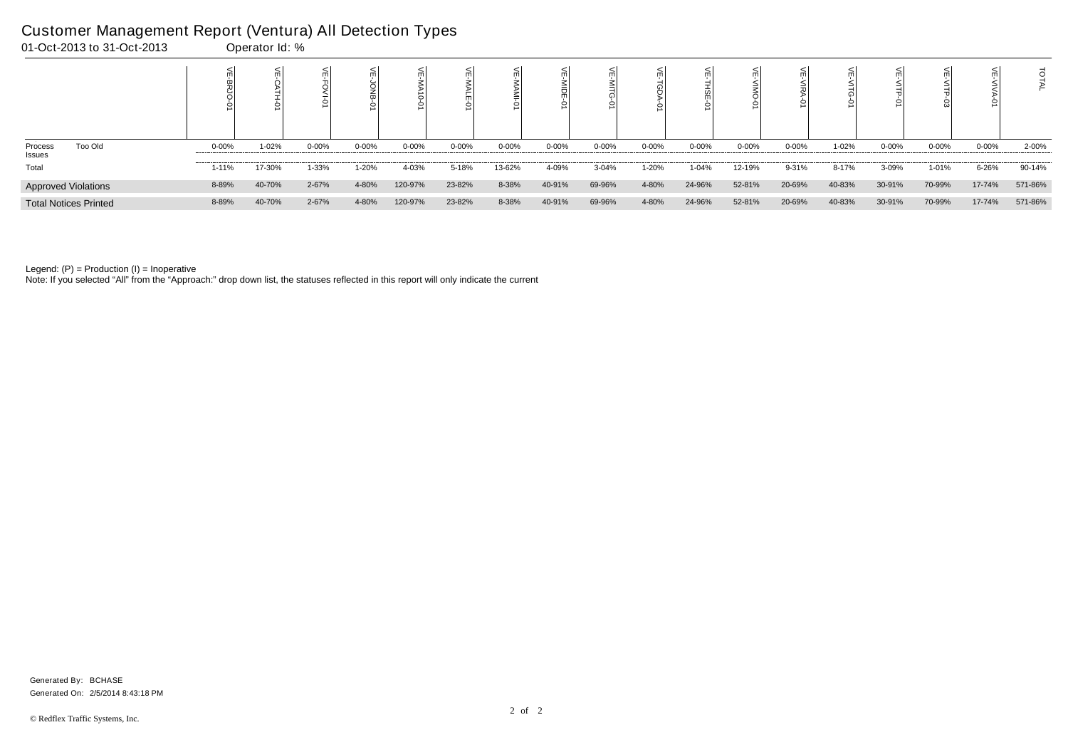|                                            |            |        |            |           |            |           |           |           |            |           |           |           |           |        | 0         |            |            |         |
|--------------------------------------------|------------|--------|------------|-----------|------------|-----------|-----------|-----------|------------|-----------|-----------|-----------|-----------|--------|-----------|------------|------------|---------|
| <b>Too Old</b><br>Process<br><b>Issues</b> | $0 - 00\%$ | 1-02%  | $0 - 00\%$ | $0 - 00%$ | $0 - 00\%$ | $0 - 00%$ | $0 - 00%$ | $0 - 00%$ | $0 - 00\%$ | $0 - 00%$ | $0 - 00%$ | $0 - 00%$ | $0 - 00%$ | 1-02%  | $0 - 00%$ | $0 - 00\%$ | $0 - 00\%$ | 2-00%   |
| Total                                      | $1 - 11%$  | 17-30% | 1-33%      | 1-20%     | 4-03%      | 5-18%     | 13-62%    | 4-09%     | $3 - 04%$  | 1-20%     | 1-04%     | 12-19%    | 9-31%     | 8-17%  | 3-09%     | 1-01%      | 6-26%      | 90-14%  |
| <b>Approved Violations</b>                 | 8-89%      | 40-70% | 2-67%      | 4-80%     | 120-97%    | 23-82%    | 8-38%     | 40-91%    | 69-96%     | 4-80%     | 24-96%    | 52-81%    | 20-69%    | 40-83% | 30-91%    | 70-99%     | 17-74%     | 571-86% |
| <b>Total Notices Printed</b>               | 8-89%      | 40-70% | 2-67%      | 4-80%     | 120-97%    | 23-82%    | 8-38%     | 40-91%    | 69-96%     | 4-80%     | 24-96%    | 52-81%    | 20-69%    | 40-83% | 30-91%    | 70-99%     | 17-74%     | 571-86% |

Note: If you selected "All" from the "Approach:" drop down list, the statuses reflected in this report will only indicate the current

## Customer Management Report (Ventura) All Detection Types

| 01-Oct-2013 to 31-Oct-2013 | Operator Id: % |
|----------------------------|----------------|
|----------------------------|----------------|

Generated On: 2/5/2014 8:43:18 PM Generated By: BCHASE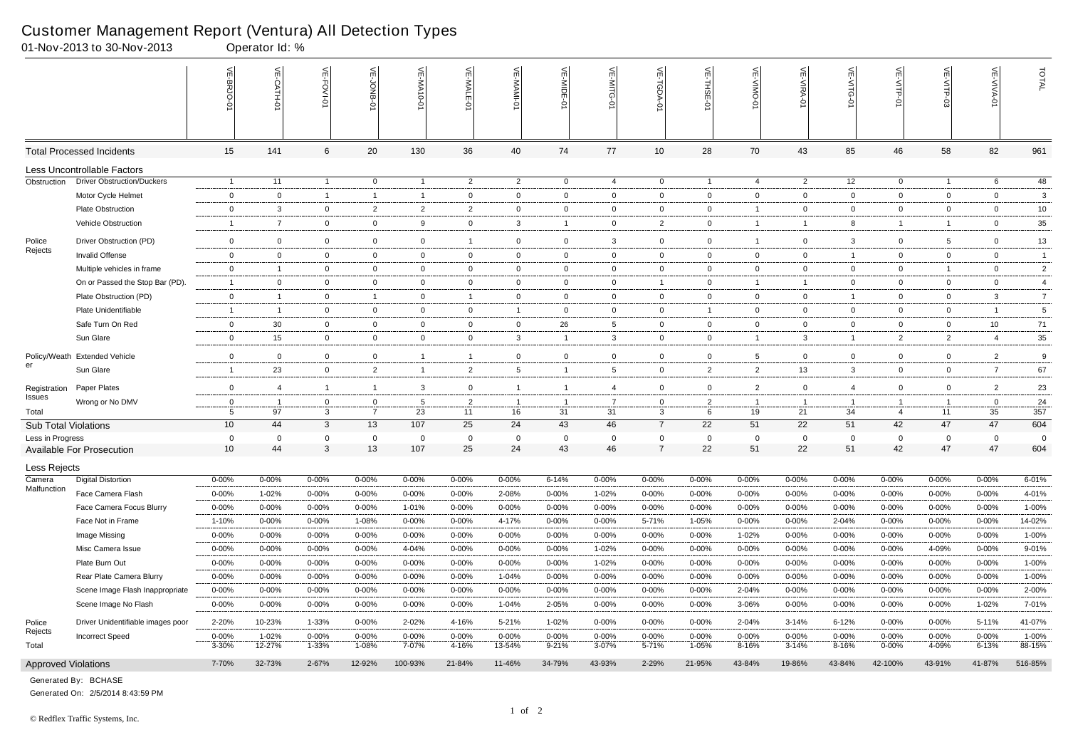|                             | 01-Nov-2013 to 30-Nov-2013        |                | Operator Id: % |                |                |                  |                |                  |                         |                |                     |                |                 |                   |                |                |                |                   |                |
|-----------------------------|-----------------------------------|----------------|----------------|----------------|----------------|------------------|----------------|------------------|-------------------------|----------------|---------------------|----------------|-----------------|-------------------|----------------|----------------|----------------|-------------------|----------------|
|                             |                                   | VE-BRJO        | VE-CATH-0      | VE-FOVI-01     | VE-JONB-01     | <b>VE-MA10-0</b> | VE-MALE-0      | $\leq$<br>MAMI-0 | VE-MIDE-                | VE-MITG-<br>ò  | VE-TGDA-0           | VE-THSE-01     | VE-VIMO-0       | <b>VE-VIRA-01</b> | VE-VITG-0      | VE-VITP-01     | VE-VITP-03     | <b>VE-VIVA-01</b> | TOTAL          |
|                             | <b>Total Processed Incidents</b>  | 15             | 141            | 6              | 20             | 130              | 36             | 40               | 74                      | 77             | $10$                | 28             | 70              | 43                | 85             | 46             | 58             | 82                | 961            |
|                             | Less Uncontrollable Factors       |                |                |                |                |                  |                |                  |                         |                |                     |                |                 |                   |                |                |                |                   |                |
| Obstruction                 | <b>Driver Obstruction/Duckers</b> | $\overline{1}$ | 11             | $\overline{1}$ | $\overline{0}$ | $\overline{1}$   | $\overline{2}$ | $\overline{2}$   | $\overline{0}$          | 4              | $\overline{0}$      | $\overline{1}$ | 4               | $\overline{2}$    | 12             | $\overline{0}$ | $\overline{1}$ | 6                 | 48             |
|                             | Motor Cycle Helmet                | $\overline{0}$ | $\overline{0}$ | $\overline{1}$ | $\overline{1}$ | $\mathbf{1}$     | $\mathbf 0$    | 0                | $\mathbf 0$             | $\mathbf 0$    | $\overline{0}$      | $\mathbf 0$    | $\mathbf 0$     | $\mathbf 0$       | $\mathbf{0}$   | $\mathbf 0$    | $\mathbf 0$    | $\overline{0}$    | $\mathbf{3}$   |
|                             | <b>Plate Obstruction</b>          | $\overline{0}$ | $\mathbf{3}$   | $\overline{0}$ | $\overline{2}$ | $\overline{2}$   | $\overline{2}$ | 0                | $\mathbf 0$             | $\overline{0}$ | $\overline{0}$      | $\mathbf{0}$   |                 | $\overline{0}$    | $\mathbf{0}$   | $\mathbf{0}$   | $\overline{0}$ | $\mathbf 0$       | 10             |
|                             | Vehicle Obstruction               | $\overline{1}$ | $\overline{7}$ | $\mathbf 0$    | $\mathbf 0$    | 9                | $\mathbf 0$    | $\mathbf{3}$     | $\overline{\mathbf{1}}$ | $\mathbf 0$    | $\overline{2}$      | $\overline{0}$ | $\overline{1}$  | $\overline{1}$    | 8              | -1             | $\mathbf{1}$   | $\mathbf 0$       | $35\,$         |
| Police                      | Driver Obstruction (PD)           | $\overline{0}$ | $\overline{0}$ | $\mathbf 0$    | $\mathbf 0$    | 0                | $\overline{1}$ | 0                | $\overline{0}$          | 3              | $\overline{0}$      | $\mathbf{0}$   |                 | $\overline{0}$    | $\mathbf{3}$   | $\mathbf 0$    | $5^{\circ}$    | $\overline{0}$    | 13             |
| Rejects                     | Invalid Offense                   | $\overline{0}$ | $\mathbf 0$    | $\overline{0}$ | $\overline{0}$ | $\mathbf 0$      | $\mathbf 0$    | 0                | $\mathbf{0}$            | $\overline{0}$ | $\overline{0}$      | $\overline{0}$ | $\overline{0}$  | $\overline{0}$    | $\overline{1}$ | $\mathbf 0$    | $\overline{0}$ | $\overline{0}$    | $\overline{1}$ |
|                             | Multiple vehicles in frame        | $\overline{0}$ | $\overline{1}$ | $\overline{0}$ | $\overline{0}$ | $\mathbf 0$      | $\mathbf 0$    | $\mathbf 0$      | $\mathbf 0$             | $\overline{0}$ | $\mathbf{0}$        | $\overline{0}$ | $\mathbf 0$     | $\mathbf{0}$      | $\mathbf 0$    | $\mathbf{0}$   | $\overline{1}$ | $\overline{0}$    | $\overline{2}$ |
|                             | On or Passed the Stop Bar (PD).   | $\overline{1}$ | $\overline{0}$ | $\overline{0}$ | $\mathbf 0$    | $\overline{0}$   | $\mathbf 0$    | $\overline{0}$   | $\overline{0}$          | $\overline{0}$ | $\overline{1}$      | $\overline{0}$ | $\overline{1}$  | $\overline{1}$    | $\overline{0}$ | $\mathbf 0$    | $\overline{0}$ | $\overline{0}$    | 4              |
|                             | Plate Obstruction (PD)            | $\overline{0}$ | $\overline{1}$ | $\overline{0}$ | $\overline{1}$ | $\overline{0}$   | $\overline{1}$ | $\overline{0}$   | $\mathbf{0}$            | $\overline{0}$ | $\overline{0}$      | $\overline{0}$ | $\overline{0}$  | $\overline{0}$    | $\overline{1}$ | $\mathbf{0}$   | $\overline{0}$ | $\mathbf{3}$      | $\overline{7}$ |
|                             | Plate Unidentifiable              | $\overline{1}$ | $\overline{1}$ | $\overline{0}$ | $\mathbf 0$    | 0                | $\mathbf{0}$   | $\mathbf{1}$     | $\mathbf{0}$            | $\overline{0}$ | $\overline{0}$      |                | $\mathbf 0$     | $\mathbf{0}$      | $\overline{0}$ | $\mathbf 0$    | $\overline{0}$ | $\overline{1}$    | $\overline{5}$ |
|                             | Safe Turn On Red                  | $\overline{0}$ | 30             | $\overline{0}$ | $\overline{0}$ | $\overline{0}$   | $\mathbf 0$    | $\overline{0}$   | 26                      | $5^{\circ}$    | $\overline{0}$      | $\overline{0}$ | $\mathbf 0$     | $\overline{0}$    | $\overline{0}$ | $\mathbf{0}$   | $\overline{0}$ | 10                | 71             |
|                             | Sun Glare                         | $\overline{0}$ | 15             | $\overline{0}$ | $\mathbf 0$    | $\overline{0}$   | $\mathbf 0$    | $\mathbf{3}$     | $\overline{1}$          | $\mathbf{3}$   | $\overline{0}$      | $\mathbf{0}$   | $\overline{1}$  | 3                 | $\mathbf{1}$   | $\overline{2}$ | $\overline{2}$ | $\overline{4}$    | $35\,$         |
|                             |                                   |                |                |                |                |                  |                |                  |                         |                |                     |                |                 |                   |                |                |                |                   |                |
| er                          | Policy/Weath Extended Vehicle     | $\mathbf 0$    | $\overline{0}$ | $\mathbf 0$    | $\mathbf 0$    | $\mathbf{1}$     | $\overline{1}$ | 0                | $\mathbf 0$             | $\mathbf{0}$   | $\mathsf 0$         | $\mathbf 0$    | $5\phantom{.0}$ | $\mathbf 0$       | $\mathbf{0}$   | $\mathbf 0$    | $\mathbf 0$    | $\overline{2}$    | 9              |
|                             | Sun Glare                         | $\overline{1}$ | 23             | $\overline{0}$ | $\overline{2}$ | $\mathbf{1}$     | $\overline{2}$ | $5^{\circ}$      | -1                      | $5^{\circ}$    | $\overline{0}$      | $\overline{2}$ | $\overline{2}$  | 13                | $\mathbf{3}$   | $\mathbf 0$    | $\overline{0}$ | $\overline{7}$    | 67             |
| Registration                | Paper Plates                      | $\overline{0}$ | $\overline{4}$ | $\overline{1}$ | -1             | 3                | $\mathbf 0$    | $\overline{1}$   | $\overline{\mathbf{1}}$ | $\overline{4}$ | $\overline{0}$      | $\overline{0}$ | $\overline{2}$  | $\mathbf 0$       | $\overline{4}$ | $\mathbf 0$    | $\overline{0}$ | $\overline{2}$    | 23             |
| <b>Issues</b>               | Wrong or No DMV                   | $\mathbf 0$    | $\overline{1}$ | $\overline{0}$ | 0              | 5                | $\overline{2}$ | -1               |                         | $\overline{7}$ | $\mathbf 0$         | $\overline{2}$ |                 | -1                | $\overline{1}$ | - 1            | -1             | $\overline{0}$    | 24             |
| Total                       |                                   | 5              | 97             | 3              | $\overline{7}$ | 23               | 11             | 16               | 31                      | 31             | $\mathbf{3}$        | 6              | 19              | 21                | 34             | $\overline{4}$ | 11             | 35                | 357            |
| <b>Sub Total Violations</b> |                                   | 10             | 44             | $\mathbf{3}$   | 13             | 107              | 25             | 24               | 43                      | 46             | $\overline{7}$      | 22             | 51              | 22                | 51             | 42             | 47             | 47                | 604            |
| Less in Progress            |                                   | $\overline{0}$ | $\mathbf 0$    | $\mathbf 0$    | $\Omega$       | $\mathbf{0}$     | $\mathbf 0$    | 0                | $\mathbf 0$             | $\mathbf 0$    | 0<br>$\overline{7}$ | $\mathbf 0$    | $\mathbf 0$     | $\mathbf 0$       | $\mathbf 0$    | $\mathbf{0}$   | $\mathbf 0$    | $\mathbf{0}$      | $\mathbf 0$    |
|                             | <b>Available For Prosecution</b>  | 10             | 44             | 3              | 13             | 107              | 25             | 24               | 43                      | 46             |                     | 22             | 51              | 22                | 51             | 42             | 47             | 47                | 604            |
| Less Rejects                |                                   |                |                |                |                |                  |                |                  |                         |                |                     |                |                 |                   |                |                |                |                   |                |
| Camera<br>Malfunction       | <b>Digital Distortion</b>         | $0 - 00%$      | $0 - 00%$      | $0 - 00%$      | $0 - 00%$      | $0 - 00%$        | $0 - 00%$      | $0 - 00%$        | $6 - 14%$               | $0 - 00%$      | $0 - 00%$           | 0-00%          | $0 - 00%$       | $0 - 00%$         | $0 - 00%$      | 0-00%          | $0 - 00%$      | $0 - 00%$         | $6 - 01%$      |
|                             | Face Camera Flash                 | $0 - 00%$      | 1-02%          | 0-00%          | 0-00%          | $0 - 00%$        | $0 - 00%$      | 2-08%            | $0 - 00%$               | 1-02%          | 0-00%               | $0 - 00%$      | $0 - 00\%$      | $0 - 00%$         | $0 - 00\%$     | $0 - 00%$      | $0 - 00%$      | 0-00%             | 4-01%          |
|                             | Face Camera Focus Blurry          | $0 - 00%$      | $0 - 00\%$     | $0 - 00\%$     | $0 - 00%$      | 1-01%            | $0 - 00%$      | $0 - 00%$        | $0 - 00%$               | $0 - 00%$      | 0-00%               | $0 - 00%$      | $0 - 00%$       | $0 - 00%$         | 0-00%          | $0 - 00%$      | $0 - 00%$      | $0 - 00%$         | 1-00%          |
|                             | Face Not in Frame                 | 1-10%          | $0 - 00\%$     | 0-00%          | 1-08%          | $0 - 00%$        | $0 - 00%$      | 4-17%            | $0 - 00\%$              | $0 - 00\%$     | 5-71%               | 1-05%          | 0-00%           | $0 - 00\%$        | 2-04%          | 0-00%          | $0 - 00%$      | $0 - 00\%$        | 14-02%         |
|                             | Image Missing                     | $0 - 00\%$     | $0 - 00\%$     | $0 - 00\%$     | $0 - 00%$      | $0 - 00%$        | $0 - 00%$      | $0 - 00%$        | $0 - 00\%$              | $0 - 00%$      | 0-00%               | $0 - 00%$      | 1-02%           | $0 - 00%$         | $0 - 00\%$     | $0 - 00%$      | $0 - 00%$      | $0 - 00%$         | 1-00%          |
|                             | Misc Camera Issue                 | $0 - 00%$      | $0 - 00%$      | 0-00%          | 0-00%          | 4-04%            | $0 - 00%$      | $0 - 00%$        | 0-00%                   | 1-02%          | 0-00%               | $0 - 00%$      | 0-00%           | $0 - 00%$         | $0 - 00\%$     | 0-00%          | 4-09%          | 0-00%             | 9-01%          |
|                             | Plate Burn Out                    | $0 - 00\%$     | $0 - 00%$      | $0 - 00%$      | $0 - 00%$      | $0 - 00%$        | $0 - 00%$      | $0 - 00%$        | $0 - 00%$               | 1-02%          | $0 - 00\%$          | $0 - 00%$      | $0 - 00\%$      | $0 - 00%$         | $0 - 00\%$     | $0 - 00%$      | $0 - 00%$      | $0 - 00%$         | 1-00%          |
|                             | Rear Plate Camera Blurry          | $0 - 00%$      | $0 - 00%$      | $0 - 00%$      | $0 - 00%$      | $0 - 00%$        | $0 - 00%$      | 1-04%            | $0 - 00%$               | 0-00%          | $0 - 00%$           | $0 - 00%$      | 0-00%           | $0 - 00\%$        | $0 - 00%$      | 0-00%          | $0 - 00%$      | $0 - 00%$         | 1-00%          |
|                             | Scene Image Flash Inappropriate   | $0 - 00\%$     | $0 - 00\%$     | 0-00%          | 0-00%          | $0 - 00%$        | $0 - 00%$      | 0-00%            | 0-00%                   | 0-00%          | 0-00%               | $0 - 00%$      | 2-04%           | $0 - 00%$         | $0 - 00\%$     | 0-00%          | $0 - 00%$      | 0-00%             | 2-00%          |
|                             | Scene Image No Flash              | $0 - 00\%$     | $0 - 00%$      | $0 - 00\%$     | $0 - 00%$      | $0 - 00\%$       | $0 - 00\%$     | 1-04%            | 2-05%                   | 0-00%          | $0 - 00%$           | $0 - 00%$      | 3-06%           | $0 - 00%$         | $0 - 00\%$     | $0 - 00%$      | $0 - 00%$      | 1-02%             | 7-01%          |
| Police                      | Driver Unidentifiable images poor | 2-20%          | 10-23%         | 1-33%          | $0 - 00%$      | 2-02%            | 4-16%          | 5-21%            | 1-02%                   | $0 - 00%$      | $0 - 00%$           | $0 - 00%$      | 2-04%           | $3 - 14%$         | $6 - 12%$      | $0 - 00%$      | $0 - 00%$      | 5-11%             | 41-07%         |
| Rejects                     | <b>Incorrect Speed</b>            | $0 - 00\%$     | 1-02%          | $0 - 00\%$     | $0 - 00%$      | $0 - 00%$        | $0 - 00%$      | 0-00%            | $0 - 00%$               | 0-00%          | $0 - 00%$           | $0 - 00%$      | $0 - 00%$       | $0 - 00\%$        | $0 - 00\%$     | 0-00%          | $0 - 00%$      | $0 - 00%$         | $1 - 00\%$     |
| Total                       |                                   | 3-30%          | 12-27%         | 1-33%          | 1-08%          | 7-07%            | 4-16%          | 13-54%           | $9 - 21%$               | 3-07%          | 5-71%               | 1-05%          | 8-16%           | $3 - 14%$         | 8-16%          | $0 - 00%$      | 4-09%          | 6-13%             | 88-15%         |
| <b>Approved Violations</b>  |                                   | 7-70%          | 32-73%         | 2-67%          | 12-92%         | 100-93%          | 21-84%         | 11-46%           | 34-79%                  | 43-93%         | 2-29%               | 21-95%         | 43-84%          | 19-86%            | 43-84%         | 42-100%        | 43-91%         | 41-87%            | 516-85%        |
|                             |                                   |                |                |                |                |                  |                |                  |                         |                |                     |                |                 |                   |                |                |                |                   |                |

Generated On: 2/5/2014 8:43:59 PM

Generated By: BCHASE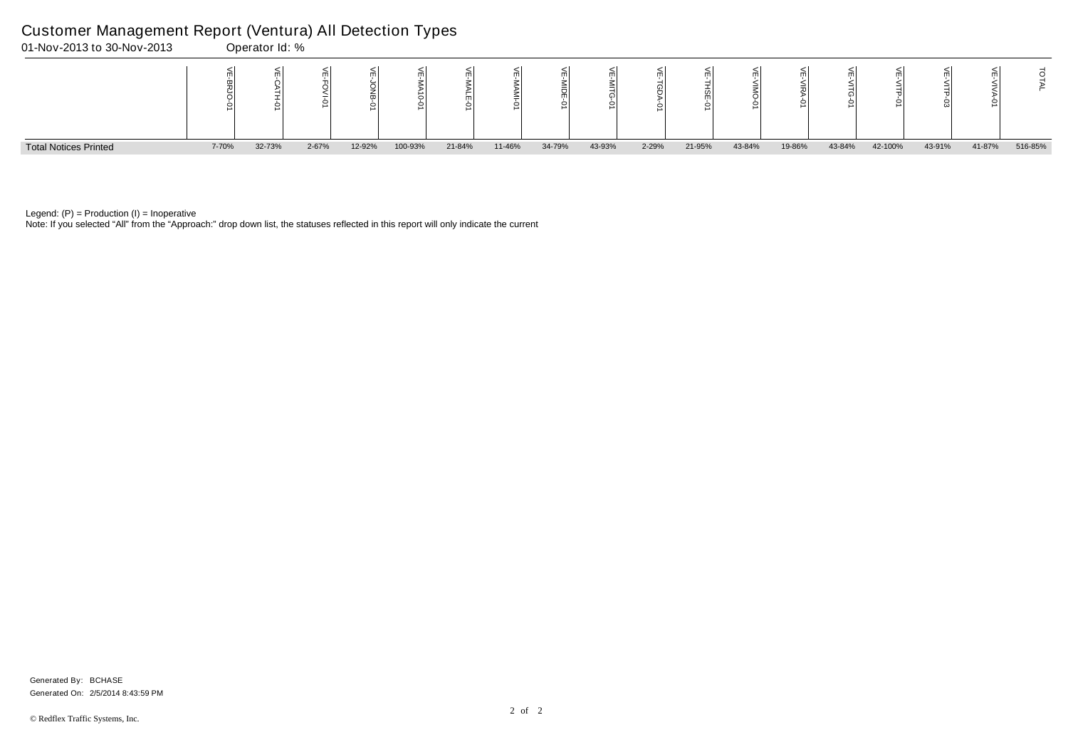Note: If you selected "All" from the "Approach:" drop down list, the statuses reflected in this report will only indicate the current



Legend:  $(P)$  = Production  $(I)$  = Inoperative

## Customer Management Report (Ventura) All Detection Types

|   | VE-VITP-01 | $\widetilde{\mathbb{F}}$<br><b>NITP-03</b> | VE-VIVA-01 | ΓAΙ     |
|---|------------|--------------------------------------------|------------|---------|
| n | 42-100%    | 43-91%                                     | 41-87%     | 516-85% |

Generated On: 2/5/2014 8:43:59 PM Generated By: BCHASE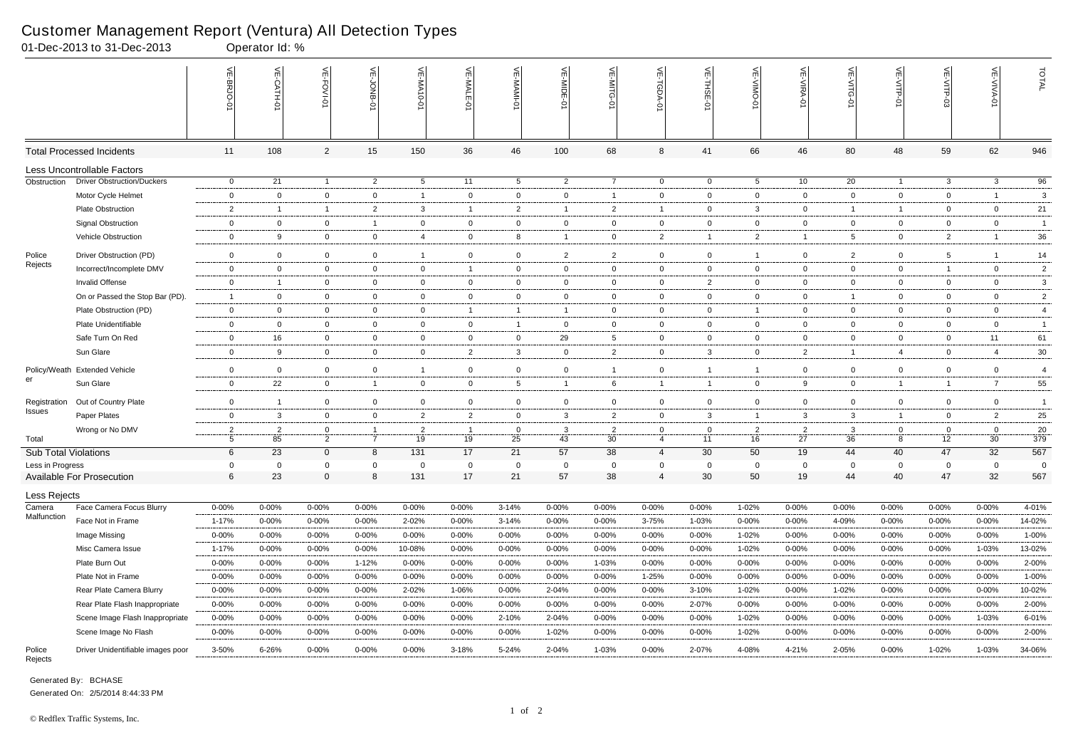Generated By: BCHASE Generated On: 2/5/2014 8:44:33 PM

|                               | 01-Dec-2013 to 31-Dec-2013        |                     | Operator Id: %          |                               |                |                      |                      |                    |                    |                      |                     |                   |                      |                      |                    |                         |                                   |                      |                 |
|-------------------------------|-----------------------------------|---------------------|-------------------------|-------------------------------|----------------|----------------------|----------------------|--------------------|--------------------|----------------------|---------------------|-------------------|----------------------|----------------------|--------------------|-------------------------|-----------------------------------|----------------------|-----------------|
|                               |                                   | VE-BRJO             | VE-CATH-0               | VE-FOVI-01                    | VE-JONB-01     | VE-MA10-0            | VE-MALE-01           | 븻<br><b>MAMI-0</b> | 늰<br>$\frac{1}{2}$ | VE-MITG<br>ьI        | 븻<br>TGDA-          | VE-THSE-01        | VE-VIMO-0            | VE-VIRA-01           | VE-VITG-01         | VE-VITP-01              | VE-VITP-03                        | VE-VIVA-01           | TOTAL           |
|                               | <b>Total Processed Incidents</b>  | 11                  | 108                     | $\overline{2}$                | 15             | 150                  | 36                   | 46                 | 100                | 68                   | 8                   | 41                | 66                   | 46                   | 80                 | 48                      | 59                                | 62                   | 946             |
|                               | Less Uncontrollable Factors       |                     |                         |                               |                |                      |                      |                    |                    |                      |                     |                   |                      |                      |                    |                         |                                   |                      |                 |
| Obstruction                   | <b>Driver Obstruction/Duckers</b> | $\overline{0}$      | 21                      | $\overline{1}$                | $\overline{2}$ | $5\overline{)}$      | 11                   | $5\overline{)}$    | $\overline{2}$     | $\overline{7}$       | $\overline{0}$      | $\overline{0}$    | $5\overline{)}$      | 10                   | 20                 | $\overline{1}$          | $\mathbf{3}$                      | $\mathbf{3}$         | $\overline{96}$ |
|                               | Motor Cycle Helmet                | $\overline{0}$      | $\overline{0}$          | $\mathbf 0$                   | $\mathbf 0$    | $\overline{1}$       | $\mathbf 0$          | $\mathbf 0$        | $\mathbf 0$        |                      | $\mathbf 0$         | $\mathbf{0}$      | $\mathbf 0$          | $\mathbf 0$          | $\mathbf{0}$       | $\mathbf 0$             | $\overline{0}$                    | $\overline{1}$       | $\mathbf{3}$    |
|                               | <b>Plate Obstruction</b>          | $\overline{2}$      | $\overline{1}$          | $\overline{1}$                | $\overline{2}$ | 3                    | $\overline{1}$       | $\overline{2}$     | -1                 | $\overline{2}$       | $\overline{1}$      | $\mathbf{0}$      | $\mathbf{3}$         | $\overline{0}$       | $\mathbf{1}$       | -1                      | $\overline{0}$                    | $\mathbf 0$          | 21              |
|                               | <b>Signal Obstruction</b>         | $\overline{0}$      | $\mathbf 0$             | $\mathbf 0$                   | $\overline{1}$ | $\mathbf{0}$         | $\mathbf 0$          | $\mathbf 0$        | $\mathbf{0}$       | $\mathbf 0$          | $\overline{0}$      | $\mathbf{0}$      | $\mathbf 0$          | $\mathbf{0}$         | $\mathbf{0}$       | $\mathbf 0$             | $\overline{0}$                    | $\mathbf 0$          | $\overline{1}$  |
|                               | Vehicle Obstruction               | $\overline{0}$      | 9                       | $\overline{0}$                | $\mathbf 0$    | $\overline{4}$       | $\mathbf 0$          | 8                  | $\mathbf{1}$       | $\mathbf 0$          | $\overline{2}$      |                   | $\overline{2}$       | $\overline{1}$       | $5\phantom{.0}$    | $\overline{0}$          | $\overline{2}$                    | $\overline{1}$       | 36              |
| Police                        | Driver Obstruction (PD)           | $\overline{0}$      | $\mathbf 0$             | $\overline{0}$                | $\mathbf 0$    | $\mathbf{1}$         | $\overline{0}$       | $\mathbf{0}$       | $\overline{a}$     | $\overline{2}$       | $\overline{0}$      | $\overline{0}$    | $\mathbf{1}$         | $\overline{0}$       | $\overline{2}$     | $\overline{0}$          | $5\phantom{.0}$                   | - 1                  | 14              |
| Rejects                       | Incorrect/Incomplete DMV          | $\overline{0}$      | $\mathbf 0$             | $\overline{0}$                | $\mathbf 0$    | $\mathbf{0}$         | $\overline{1}$       | $\mathbf 0$        | $\mathbf{0}$       | $\mathbf 0$          | $\overline{0}$      | $\mathbf 0$       | $\mathbf 0$          | $\mathbf{0}$         | $\overline{0}$     | $\mathbf 0$             | $\overline{1}$                    | $\mathbf 0$          | $\overline{2}$  |
|                               | Invalid Offense                   | $\overline{0}$      | -1                      | $\overline{0}$                | $\mathbf 0$    | $\mathbf{0}$         | $\overline{0}$       | $\mathbf{0}$       | $\mathbf{0}$       | $\overline{0}$       | $\overline{0}$      | $\overline{2}$    | $\overline{0}$       | $\overline{0}$       | $\overline{0}$     | $\overline{0}$          | $\overline{0}$                    | $\overline{0}$       | 3               |
|                               | On or Passed the Stop Bar (PD).   | $\overline{1}$      | $\mathbf 0$             | $\overline{0}$                | $\mathbf 0$    | $\overline{0}$       | $\overline{0}$       | $\mathbf{0}$       | $\mathbf{0}$       | $\overline{0}$       | $\overline{0}$      | $\overline{0}$    | $\overline{0}$       | $\overline{0}$       | $\overline{1}$     | $\overline{0}$          | $\overline{0}$                    | $\overline{0}$       | $\overline{2}$  |
|                               | Plate Obstruction (PD)            | $\overline{0}$      | $\overline{0}$          | $\overline{0}$                | $\mathbf 0$    | $\mathbf{0}$         | $\overline{1}$       | $\overline{1}$     | $\mathbf{1}$       | $\overline{0}$       | $\overline{0}$      | $\overline{0}$    | $\mathbf{1}$         | $\mathbf{0}$         | $\overline{0}$     | $\mathbf{0}$            | $\overline{0}$                    | $\mathbf{0}$         | $\overline{4}$  |
|                               | Plate Unidentifiable              | $\overline{0}$      | $\overline{0}$          | $\overline{0}$                | $\overline{0}$ | $\mathbf 0$          | $\mathbf 0$          | $\overline{1}$     | $\overline{0}$     | $\overline{0}$       | $\overline{0}$      | $\overline{0}$    | $\mathbf 0$          | $\overline{0}$       | $\overline{0}$     | $\overline{0}$          | $\overline{0}$                    | $\overline{0}$       | $\mathbf{1}$    |
|                               | Safe Turn On Red                  | $\overline{0}$      | 16                      | $\overline{0}$                | $\mathbf 0$    | 0                    | $\overline{0}$       | 0                  | 29                 | 5                    | $\overline{0}$      | $\mathbf 0$       | $\overline{0}$       | $\overline{0}$       | $\mathbf{0}$       | $\mathbf 0$             | $\overline{0}$                    | 11                   | 61              |
|                               | Sun Glare                         | $\overline{0}$      | 9                       | $\overline{0}$                | $\mathbf 0$    | $\mathbf 0$          | $\overline{2}$       | $\mathbf{3}$       | $\overline{0}$     | $\overline{2}$       | $\overline{0}$      | $\mathbf{3}$      | $\overline{0}$       | $\overline{2}$       | $\overline{1}$     | 4                       | $\overline{0}$                    | $\overline{4}$       | $30\,$          |
|                               | Policy/Weath Extended Vehicle     | $\overline{0}$      | $\overline{0}$          | $\overline{0}$                | $\mathbf 0$    | $\mathbf{1}$         | $\mathbf 0$          | $\mathbf 0$        | $\mathbf 0$        |                      | $\mathbf 0$         |                   | $\overline{1}$       | $\overline{0}$       | $\mathbf{0}$       | $\mathbf 0$             | $\mathbf 0$                       | $\overline{0}$       | $\overline{4}$  |
| er                            | Sun Glare                         | $\overline{0}$      | 22                      | $\overline{0}$                | $\overline{1}$ | $\mathbf 0$          | $\overline{0}$       | $5\overline{)}$    | $\mathbf{1}$       | 6                    | $\overline{1}$      |                   | $\mathbf{0}$         | 9                    | $\mathbf{0}$       | $\overline{\mathbf{1}}$ | $\mathbf{1}$                      | $\overline{7}$       | 55              |
|                               |                                   |                     |                         |                               |                |                      |                      |                    |                    |                      |                     |                   |                      |                      |                    |                         |                                   |                      |                 |
| Registration<br><b>Issues</b> | Out of Country Plate              | $\mathbf 0$         | $\overline{\mathbf{1}}$ | $\mathbf 0$                   | $\mathbf 0$    | 0                    | $\mathbf 0$          | 0                  | $\mathbf 0$        | $\mathbf 0$          | $\mathbf 0$         | $\mathbf 0$       | $\mathbf 0$          | $\mathbf{0}$         | $\mathbf 0$        | $\mathbf 0$             | $\overline{0}$                    | $\mathbf{0}$         | -1              |
|                               | Paper Plates                      | $\overline{0}$      | $\mathbf{3}$            | $\overline{0}$                | $\overline{0}$ | $\overline{2}$       | $\overline{2}$       | $\mathbf 0$        | 3                  | $\overline{2}$       | $\overline{0}$      | $\mathbf{3}$      | $\overline{1}$       | 3                    | $\mathbf{3}$       | $\overline{\mathbf{1}}$ | $\overline{0}$                    | $\overline{2}$       | 25              |
| Total                         | Wrong or No DMV                   | $\overline{2}$<br>5 | $\overline{2}$<br>85    | $\mathbf 0$<br>$\overline{2}$ | $\overline{7}$ | $\overline{2}$<br>19 | $\overline{1}$<br>19 | $\mathbf{0}$<br>25 | 3<br>43            | $\overline{2}$<br>30 | $\overline{0}$<br>4 | $\mathbf 0$<br>11 | $\overline{2}$<br>16 | $\overline{2}$<br>27 | $\mathbf{3}$<br>36 | $\mathbf{0}$<br>8       | $\overline{0}$<br>12 <sub>2</sub> | $\overline{0}$<br>30 | 20<br>379       |
| <b>Sub Total Violations</b>   |                                   | 6                   | 23                      | $\overline{0}$                | 8              | 131                  | 17                   | 21                 | 57                 | 38                   | $\overline{4}$      | 30                | 50                   | 19                   | 44                 | 40                      | 47                                | 32                   | 567             |
| Less in Progress              |                                   | $\Omega$            | $\Omega$                | $\mathbf{0}$                  | $\Omega$       | $\Omega$             | $\Omega$             | $\Omega$           | $\Omega$           | $\Omega$             | $\mathbf 0$         | $\Omega$          | $\mathbf{0}$         | $\Omega$             | $\Omega$           | $\Omega$                | $\mathbf{0}$                      | $\Omega$             | $\Omega$        |
|                               | <b>Available For Prosecution</b>  | 6                   | 23                      | 0                             | 8              | 131                  | 17                   | 21                 | 57                 | 38                   | 4                   | 30                | 50                   | 19                   | 44                 | 40                      | 47                                | 32                   | 567             |
| Less Rejects                  |                                   |                     |                         |                               |                |                      |                      |                    |                    |                      |                     |                   |                      |                      |                    |                         |                                   |                      |                 |
| Camera                        | Face Camera Focus Blurry          | $0 - 00\%$          | $0 - 00%$               | $0 - 00%$                     | $0 - 00%$      | $0 - 00%$            | $0 - 00%$            | $3 - 14%$          | 0-00%              | $0 - 00%$            | $0 - 00%$           | $0 - 00%$         | 1-02%                | $0 - 00\%$           | $0 - 00%$          | $0 - 00%$               | $0 - 00%$                         | $0 - 00%$            | 4-01%           |
| Malfunction                   | Face Not in Frame                 | 1-17%               | $0 - 00\%$              | $0 - 00%$                     | 0-00%          | 2-02%                | $0 - 00\%$           | $3 - 14%$          | 0-00%              | $0 - 00\%$           | 3-75%               | 1-03%             | 0-00%                | $0 - 00\%$           | 4-09%              | $0 - 00%$               | $0 - 00%$                         | 0-00%                | 14-02%          |
|                               | Image Missing                     | $0 - 00\%$          | $0 - 00\%$              | $0 - 00%$                     | $0 - 00%$      | $0 - 00\%$           | $0 - 00\%$           | 0-00%              | 0-00%              | $0 - 00\%$           | $0 - 00\%$          | $0 - 00%$         | 1-02%                | $0 - 00\%$           | 0-00%              | $0 - 00%$               | $0 - 00%$                         | $0 - 00\%$           | 1-00%           |
|                               | Misc Camera Issue                 | $1 - 17%$           | $0 - 00%$               | $0 - 00%$                     | 0-00%          | 10-08%               | $0 - 00\%$           | 0-00%              | 0-00%              | $0 - 00\%$           | 0-00%               | $0 - 00%$         | 1-02%                | 0-00%                | $0 - 00\%$         | 0-00%                   | $0 - 00%$                         | 1-03%                | 13-02%          |
|                               | Plate Burn Out                    | $0 - 00\%$          | $0 - 00%$               | $0 - 00%$                     | 1-12%          | $0 - 00\%$           | $0 - 00%$            | $0 - 00%$          | $0 - 00%$          | 1-03%                | $0 - 00\%$          | $0 - 00%$         | $0 - 00%$            | $0 - 00%$            | $0 - 00\%$         | $0 - 00%$               | $0 - 00%$                         | $0 - 00%$            | 2-00%           |
|                               | Plate Not in Frame                | $0 - 00\%$          | $0 - 00%$               | $0 - 00%$                     | $0 - 00%$      | $0 - 00\%$           | $0 - 00%$            | $0 - 00\%$         | 0-00%              | $0 - 00%$            | 1-25%               | $0 - 00%$         | $0 - 00%$            | $0 - 00\%$           | $0 - 00\%$         | $0 - 00%$               | $0 - 00%$                         | $0 - 00%$            | $1 - 00\%$      |
|                               | Rear Plate Camera Blurry          | $0 - 00\%$          | $0 - 00%$               | $0 - 00%$                     | 0-00%          | 2-02%                | 1-06%                | $0 - 00%$          | 2-04%              | $0 - 00%$            | $0 - 00\%$          | $3 - 10%$         | 1-02%                | $0 - 00%$            | 1-02%              | 0-00%                   | $0 - 00%$                         | 0-00%                | 10-02%          |
|                               | Rear Plate Flash Inappropriate    | $0 - 00\%$          | $0 - 00%$               | $0 - 00%$                     | $0 - 00%$      | $0 - 00\%$           | $0 - 00\%$           | $0 - 00%$          | $0 - 00%$          | $0 - 00%$            | $0 - 00%$           | 2-07%             | $0 - 00%$            | $0 - 00%$            | $0 - 00\%$         | $0 - 00%$               | $0 - 00%$                         | $0 - 00%$            | 2-00%           |
|                               | Scene Image Flash Inappropriate   | $0 - 00\%$          | $0 - 00%$               | $0 - 00%$                     | $0 - 00%$      | $0 - 00\%$           | $0 - 00\%$           | 2-10%              | 2-04%              | $0 - 00\%$           | $0 - 00%$           | $0 - 00%$         | 1-02%                | $0 - 00\%$           | $0 - 00\%$         | $0 - 00%$               | $0 - 00%$                         | 1-03%                | 6-01%           |
|                               | Scene Image No Flash              | $0 - 00\%$          | $0 - 00%$               | $0 - 00%$                     | $0 - 00%$      | $0 - 00\%$           | $0 - 00\%$           | $0 - 00\%$         | 1-02%              | $0 - 00\%$           | $0 - 00\%$          | $0 - 00\%$        | 1-02%                | $0 - 00\%$           | $0 - 00\%$         | $0 - 00%$               | $0 - 00%$                         | $0 - 00%$            | 2-00%           |
| Police<br>Rejects             | Driver Unidentifiable images poor | 3-50%               | 6-26%                   | $0 - 00\%$                    | $0 - 00\%$     | $0 - 00\%$           | 3-18%                | 5-24%              | 2-04%              | 1-03%                | $0 - 00\%$          | 2-07%             | 4-08%                | 4-21%                | 2-05%              | 0-00%                   | 1-02%                             | 1-03%                | 34-06%          |

#### Customer Management Report (Ventura) All Detection Types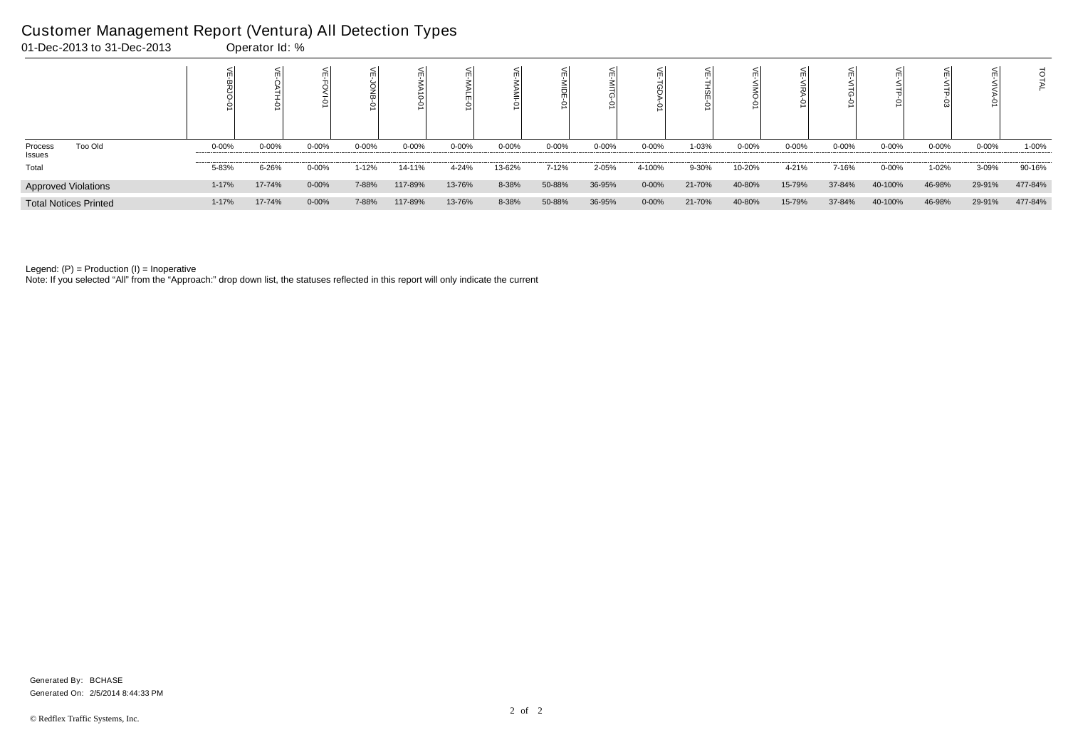|                              |           |           |            |           |           |           |            |           | ○          |            |        |           |           |           | 0         |            |            |         |
|------------------------------|-----------|-----------|------------|-----------|-----------|-----------|------------|-----------|------------|------------|--------|-----------|-----------|-----------|-----------|------------|------------|---------|
| Too Old<br>Process<br>Issues | $0 - 00%$ | $0 - 00%$ | $0 - 00\%$ | $0 - 00%$ | $0 - 00%$ | $0 - 00%$ | $0 - 00\%$ | $0 - 00%$ | $0 - 00\%$ | $0 - 00\%$ | 1-03%  | $0 - 00%$ | $0 - 00%$ | $0 - 00%$ | $0 - 00%$ | $0 - 00\%$ | $0 - 00\%$ | 1-00%   |
| Total                        | 5-83%     | 6-26%     | $0 - 00\%$ | $1 - 12%$ | 14-11%    | 4-24%     | 13-62%     | 7-12%     | 2-05%      | 4-100%     | 9-30%  | 10-20%    | 4-21%     | 7-16%     | $0 - 00%$ | $1 - 02%$  | 3-09%      | 90-16%  |
| <b>Approved Violations</b>   | $1 - 17%$ | 17-74%    | $0 - 00%$  | 7-88%     | 117-89%   | 13-76%    | 8-38%      | 50-88%    | 36-95%     | $0 - 00\%$ | 21-70% | 40-80%    | 15-79%    | 37-84%    | 40-100%   | 46-98%     | 29-91%     | 477-84% |
| <b>Total Notices Printed</b> | $1 - 17%$ | 17-74%    | $0 - 00%$  | 7-88%     | 117-89%   | 13-76%    | 8-38%      | 50-88%    | 36-95%     | $0 - 00\%$ | 21-70% | 40-80%    | 15-79%    | 37-84%    | 40-100%   | 46-98%     | 29-91%     | 477-84% |

Note: If you selected "All" from the "Approach:" drop down list, the statuses reflected in this report will only indicate the current

# Customer Management Report (Ventura) All Detection Types

| 01-Dec-2013 to 31-Dec-2013 | Operator Id: % |
|----------------------------|----------------|

Generated On: 2/5/2014 8:44:33 PM Generated By: BCHASE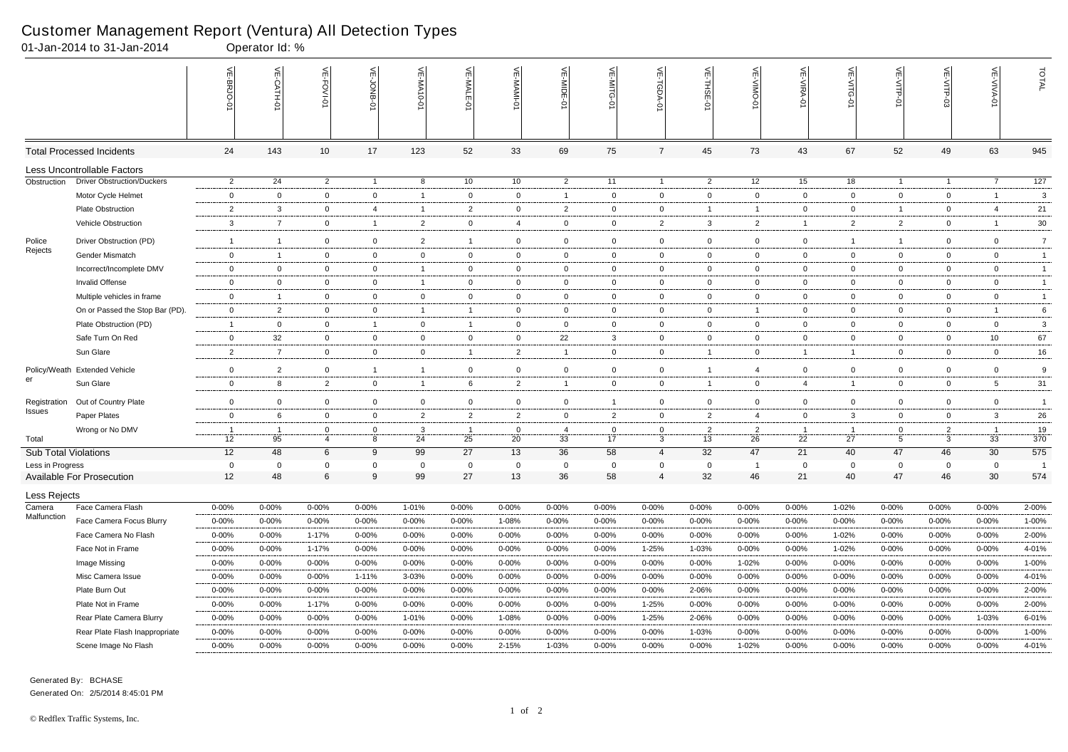|                               | 01-Jan-2014 to 31-Jan-2014        |                | Operator Id: %       |                     |                  |                |                         |                   |                      |                   |                              |                      |                      |                      |                      |                     |                     |                      |                |
|-------------------------------|-----------------------------------|----------------|----------------------|---------------------|------------------|----------------|-------------------------|-------------------|----------------------|-------------------|------------------------------|----------------------|----------------------|----------------------|----------------------|---------------------|---------------------|----------------------|----------------|
|                               |                                   | VE-BRJO-0      | VE-CATH-0            | VE-FOVI-01          | 븻<br>JONB-       | 늰<br>-MA10-01  | VE-MALE-01              | VE-MAMI-01        | VE-MIDE              | VE-MITG-01        | VE-TGDA-0                    | VE-THSE-01           | VE-VIMO-0            | VE-VIRA-01           | VE-VITG-01           | VE-VITP-01          | VE-VITP-03          | <b>VE-VIVA-01</b>    | TOTAL          |
|                               | <b>Total Processed Incidents</b>  | 24             | 143                  | 10                  | 17               | 123            | 52                      | 33                | 69                   | 75                | $\overline{7}$               | 45                   | 73                   | 43                   | 67                   | 52                  | 49                  | 63                   | 945            |
|                               | Less Uncontrollable Factors       |                |                      |                     |                  |                |                         |                   |                      |                   |                              |                      |                      |                      |                      |                     |                     |                      |                |
| Obstruction                   | <b>Driver Obstruction/Duckers</b> | $\overline{2}$ | 24                   | $\overline{2}$      | $\overline{1}$   | 8              | 10                      | 10                | $\overline{2}$       | 11                | $\overline{1}$               | $\overline{2}$       | 12                   | 15                   | 18                   | $\overline{1}$      | $\overline{1}$      | $\overline{7}$       | 127            |
|                               | Motor Cycle Helmet                | $\overline{0}$ | $\mathbf 0$          | $\mathbf 0$         | $\mathbf 0$      | $\overline{1}$ | $\mathbf{0}$            | 0                 | $\overline{1}$       | $\mathbf{0}$      | $\overline{0}$               | $\overline{0}$       | $\overline{0}$       | $\mathbf 0$          | $\mathbf{0}$         | $\overline{0}$      | $\mathbf 0$         | $\overline{1}$       | $\mathbf{3}$   |
|                               | Plate Obstruction                 | $\overline{2}$ | $\mathbf{3}$         | $\mathbf 0$         | 4                | $\overline{1}$ | $\overline{c}$          | 0                 | $\overline{2}$       | $\overline{0}$    | $\overline{0}$               |                      | $\overline{1}$       | $\overline{0}$       | $\mathbf{0}$         | -1                  | $\overline{0}$      | $\overline{4}$       | 21             |
|                               | Vehicle Obstruction               | 3              | $\overline{7}$       | $\mathbf 0$         | $\overline{1}$   | $\overline{2}$ | $\mathbf 0$             | 4                 | $\overline{0}$       | $\overline{0}$    | $\overline{2}$               | 3                    | 2                    | $\overline{1}$       | $\overline{2}$       | $\overline{2}$      | $\mathbf 0$         | $\overline{1}$       | $30\,$         |
| Police                        | Driver Obstruction (PD)           | $\overline{1}$ | $\overline{1}$       | $\overline{0}$      | $\mathbf 0$      | $\overline{2}$ | $\mathbf{1}$            | 0                 | $\mathbf 0$          | $\mathbf{0}$      | $\overline{0}$               | $\mathbf{0}$         | $\mathbf 0$          | $\mathbf 0$          | $\mathbf{1}$         | -1                  | $\mathbf 0$         | $\mathbf 0$          | $\overline{7}$ |
| Rejects                       | Gender Mismatch                   | $\overline{0}$ | $\overline{1}$       | $\overline{0}$      | $\mathbf 0$      | $\overline{0}$ | $\overline{0}$          | $\mathbf{0}$      | $\overline{0}$       | $\overline{0}$    | $\overline{0}$               | $\overline{0}$       | $\mathbf 0$          | $\overline{0}$       | $\mathbf{0}$         | $\overline{0}$      | $\overline{0}$      | $\overline{0}$       | $\overline{1}$ |
|                               | Incorrect/Incomplete DMV          | $\overline{0}$ | $\overline{0}$       | $\overline{0}$      | $\mathbf 0$      | $\mathbf{1}$   | $\mathbf 0$             | 0                 | $\overline{0}$       | $\overline{0}$    | $\overline{0}$               | $\mathbf 0$          | $\overline{0}$       | $\mathbf{0}$         | $\mathbf{0}$         | $\mathbf 0$         | $\overline{0}$      | $\overline{0}$       | $\overline{1}$ |
|                               | Invalid Offense                   | $\overline{0}$ | $\mathbf 0$          | $\overline{0}$      | $\mathbf 0$      | $\mathbf{1}$   | $\overline{0}$          | $\mathbf{0}$      | $\overline{0}$       | $\overline{0}$    | $\overline{0}$               | $\overline{0}$       | $\overline{0}$       | $\overline{0}$       | $\mathbf{0}$         | $\overline{0}$      | $\overline{0}$      | $\overline{0}$       | $\overline{1}$ |
|                               | Multiple vehicles in frame        | $\overline{0}$ | $\overline{1}$       | $\mathbf 0$         | $\mathbf 0$      | $\overline{0}$ | $\mathbf{0}$            | 0                 | $\overline{0}$       | $\overline{0}$    | $\mathbf{0}$                 | $\mathbf 0$          | $\overline{0}$       | $\overline{0}$       | $\mathbf{0}$         | $\mathbf 0$         | $\overline{0}$      | $\overline{0}$       | $\mathbf{1}$   |
|                               | On or Passed the Stop Bar (PD).   | $\mathbf 0$    | $\overline{2}$       | $\mathbf 0$         | $\mathbf 0$      | 1              | $\overline{1}$          | 0                 | $\overline{0}$       | $\overline{0}$    | $\overline{0}$               | $\overline{0}$       | $\overline{1}$       | $\mathbf{0}$         | $\mathbf{0}$         | $\mathbf 0$         | $\overline{0}$      | $\overline{1}$       | $\,6\,$        |
|                               | Plate Obstruction (PD)            | $\overline{1}$ | $\overline{0}$       | $\overline{0}$      | $\overline{1}$   | $\overline{0}$ | $\overline{\mathbf{1}}$ | $\overline{0}$    | $\overline{0}$       | $\overline{0}$    | $\overline{0}$               | $\overline{0}$       | $\mathbf 0$          | $\overline{0}$       | $\mathbf{0}$         | $\overline{0}$      | $\overline{0}$      | $\overline{0}$       | $\mathbf{3}$   |
|                               | Safe Turn On Red                  | $\mathbf 0$    | 32                   | $\mathbf 0$         | $\mathbf 0$      | 0              | $\overline{0}$          | 0                 | 22                   | $\mathbf{3}$      | $\overline{0}$               | $\mathbf 0$          | $\mathbf 0$          | $\overline{0}$       | $\mathbf{0}$         | $\mathbf 0$         | $\overline{0}$      | 10                   | 67             |
|                               | Sun Glare                         | $\overline{2}$ | $\overline{7}$       | $\overline{0}$      | $\mathbf 0$      | $\overline{0}$ | $\overline{1}$          | $\overline{2}$    | $\overline{1}$       | $\overline{0}$    | $\mathbf 0$                  |                      | $\overline{0}$       | $\overline{1}$       | $\overline{1}$       | $\overline{0}$      | $\overline{0}$      | $\overline{0}$       | 16             |
|                               | Policy/Weath Extended Vehicle     | $\mathbf 0$    | $\overline{2}$       | $\overline{0}$      | -1               | $\overline{1}$ | $\mathbf{0}$            | $\mathbf 0$       | $\mathbf 0$          | $\mathbf{0}$      | $\mathbf{0}$                 |                      | 4                    | $\mathbf 0$          | $\overline{0}$       | $\mathbf 0$         | $\mathbf 0$         | $\mathbf 0$          | 9              |
| er                            | Sun Glare                         | $\overline{0}$ | 8                    | $\overline{2}$      | $\mathbf 0$      | $\mathbf{1}$   | 6                       | $\overline{a}$    | $\overline{1}$       | $\overline{0}$    | $\overline{0}$               |                      | $\mathbf 0$          | 4                    | $\mathbf{1}$         | $\overline{0}$      | $\overline{0}$      | $5\phantom{.0}$      | 31             |
|                               |                                   |                |                      |                     |                  |                |                         |                   |                      |                   |                              |                      |                      |                      |                      |                     |                     |                      |                |
| Registration<br><b>Issues</b> | Out of Country Plate              | $\mathbf 0$    | $\overline{0}$       | $\mathsf{O}$        | $\mathbf 0$      | 0              | $\overline{0}$          | 0                 | $\mathbf 0$          |                   | $\overline{0}$               | $\mathbf 0$          | $\mathbf 0$          | $\mathbf 0$          | $\mathbf 0$          | $\mathsf{O}$        | $\mathbf 0$         | $\mathbf 0$          | $\overline{1}$ |
|                               | Paper Plates                      | $\mathbf 0$    | 6                    | $\mathbf 0$         | $\mathbf 0$      | $\overline{2}$ | $\overline{2}$          | $\overline{2}$    | $\overline{0}$       | $\overline{2}$    | $\overline{0}$               | $\overline{2}$       | $\overline{4}$       | $\mathbf 0$          | $\mathbf{3}$         | $\overline{0}$      | $\overline{0}$      | $\mathbf{3}$         | 26             |
| Total                         | Wrong or No DMV                   | 12             | $\overline{1}$<br>95 | $\overline{0}$<br>4 | $\mathbf 0$<br>8 | 3<br>24        | $\overline{1}$<br>25    | $\mathbf 0$<br>20 | $\overline{4}$<br>33 | $\mathbf 0$<br>17 | $\mathbf{0}$<br>$\mathbf{3}$ | $\overline{2}$<br>13 | $\overline{2}$<br>26 | $\overline{1}$<br>22 | $\overline{1}$<br>27 | $\overline{0}$<br>5 | $\overline{2}$<br>3 | $\overline{1}$<br>33 | $19$<br>370    |
| <b>Sub Total Violations</b>   |                                   | 12             | 48                   | 6                   | 9                | 99             | 27                      | 13                | 36                   | 58                | $\overline{4}$               | 32                   | 47                   | 21                   | 40                   | 47                  | 46                  | 30                   | 575            |
| Less in Progress              |                                   | $\mathbf 0$    | $\Omega$             | $\Omega$            | $\Omega$         | $\Omega$       | $\Omega$                | $\Omega$          | $\Omega$             | $\Omega$          | $\mathbf 0$                  | $\Omega$             | $\mathbf{1}$         | $\Omega$             | $\mathbf 0$          | $\Omega$            | $\overline{0}$      | $\overline{0}$       |                |
|                               | Available For Prosecution         | 12             | 48                   | 6                   | 9                | 99             | 27                      | 13                | 36                   | 58                | $\overline{4}$               | 32                   | 46                   | 21                   | 40                   | 47                  | 46                  | 30                   | 574            |
| Less Rejects                  |                                   |                |                      |                     |                  |                |                         |                   |                      |                   |                              |                      |                      |                      |                      |                     |                     |                      |                |
| Camera                        | Face Camera Flash                 | $0 - 00%$      | $0 - 00%$            | $0 - 00%$           | $0 - 00%$        | 1-01%          | $0 - 00%$               | $0 - 00%$         | $0 - 00%$            | $0 - 00%$         | $0 - 00%$                    | $0 - 00%$            | $0 - 00%$            | $0 - 00%$            | $1 - 02%$            | 0-00%               | $0 - 00%$           | $0 - 00%$            | 2-00%          |
| Malfunction                   | Face Camera Focus Blurry          | 0-00%          | 0-00%                | 0-00%               | 0-00%            | $0 - 00%$      | $0 - 00\%$              | 1-08%             | 0-00%                | $0 - 00\%$        | $0 - 00\%$                   | 0-00%                | $0 - 00%$            | 0-00%                | 0-00%                | 0-00%               | $0 - 00%$           | $0 - 00%$            | 1-00%          |
|                               | Face Camera No Flash              | $0 - 00\%$     | 0-00%                | 1-17%               | 0-00%            | $0 - 00%$      | $0 - 00\%$              | $0 - 00%$         | 0-00%                | $0 - 00\%$        | $0 - 00\%$                   | 0-00%                | $0 - 00\%$           | 0-00%                | 1-02%                | 0-00%               | $0 - 00%$           | $0 - 00%$            | 2-00%          |
|                               | Face Not in Frame                 | 0-00%          | 0-00%                | 1-17%               | 0-00%            | $0 - 00%$      | $0 - 00\%$              | $0 - 00%$         | 0-00%                | $0 - 00\%$        | 1-25%                        | 1-03%                | 0-00%                | $0 - 00\%$           | 1-02%                | 0-00%               | 0-00%               | 0-00%                | 4-01%          |
|                               | Image Missing                     | $0 - 00\%$     | $0 - 00\%$           | $0 - 00%$           | $0 - 00%$        | $0 - 00%$      | $0 - 00\%$              | $0 - 00%$         | $0 - 00%$            | $0 - 00\%$        | $0 - 00\%$                   | $0 - 00%$            | 1-02%                | $0 - 00%$            | $0 - 00\%$           | $0 - 00%$           | $0 - 00%$           | $0 - 00%$            | 1-00%          |
|                               | Misc Camera Issue                 | $0 - 00\%$     | $0 - 00\%$           | 0-00%               | $1 - 11%$        | 3-03%          | $0 - 00%$               | $0 - 00%$         | $0 - 00%$            | $0 - 00%$         | $0 - 00\%$                   | $0 - 00%$            | $0 - 00\%$           | $0 - 00%$            | $0 - 00\%$           | $0 - 00%$           | $0 - 00%$           | $0 - 00%$            | 4-01%          |
|                               | Plate Burn Out                    | 0-00%          | 0-00%                | $0 - 00%$           | 0-00%            | 0-00%          | $0 - 00\%$              | $0 - 00%$         | 0-00%                | $0 - 00\%$        | $0 - 00%$                    | 2-06%                | $0 - 00\%$           | 0-00%                | 0-00%                | 0-00%               | 0-00%               | $0 - 00%$            | 2-00%          |
|                               | Plate Not in Frame                | $0 - 00\%$     | $0 - 00\%$           | $1 - 17%$           | $0 - 00%$        | $0 - 00%$      | $0 - 00\%$              | $0 - 00%$         | $0 - 00%$            | $0 - 00\%$        | 1-25%                        | $0 - 00%$            | $0 - 00%$            | 0-00%                | $0 - 00\%$           | $0 - 00%$           | $0 - 00%$           | $0 - 00%$            | 2-00%          |
|                               | Rear Plate Camera Blurry          | $0 - 00\%$     | $0 - 00\%$           | 0-00%               | $0 - 00%$        | 1-01%          | $0 - 00\%$              | 1-08%             | $0 - 00%$            | $0 - 00\%$        | 1-25%                        | 2-06%                | $0 - 00%$            | 0-00%                | 0-00%                | $0 - 00%$           | $0 - 00%$           | 1-03%                | 6-01%          |
|                               | Rear Plate Flash Inappropriate    | $0 - 00\%$     | $0 - 00\%$           | $0 - 00%$           | $0 - 00\%$       | $0 - 00%$      | $0 - 00\%$              | $0 - 00%$         | $0 - 00\%$           | $0 - 00%$         | $0 - 00\%$                   | 1-03%                | $0 - 00\%$           | $0 - 00%$            | $0 - 00\%$           | $0 - 00%$           | $0 - 00%$           | $0 - 00\%$           | 1-00%          |
|                               | Scene Image No Flash              | $0 - 00\%$     | $0 - 00\%$           | $0 - 00\%$          | $0 - 00\%$       | $0 - 00\%$     | $0 - 00\%$              | 2-15%             | 1-03%                | $0 - 00\%$        | $0 - 00\%$                   | $0 - 00%$            | 1-02%                | $0 - 00\%$           | $0 - 00\%$           | $0 - 00%$           | $0 - 00\%$          | $0 - 00%$            | 4-01%          |

Generated By: BCHASE Generated On: 2/5/2014 8:45:01 PM

#### Customer Management Report (Ventura) All Detection Types